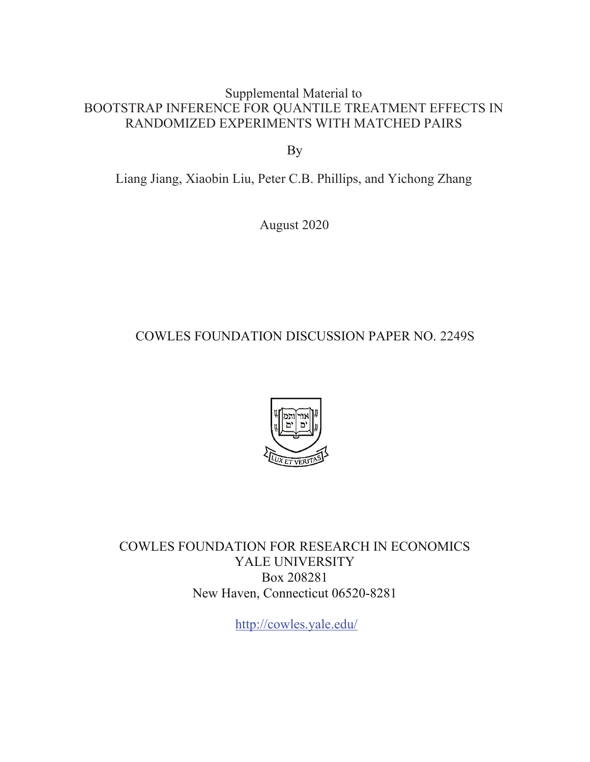Supplemental Material to BOOTSTRAP INFERENCE FOR QUANTILE TREATMENT EFFECTS IN RANDOMIZED EXPERIMENTS WITH MATCHED PAIRS

By

Liang Jiang, Xiaobin Liu, Peter C.B. Phillips, and Yichong Zhang

August 2020

COWLES FOUNDATION DISCUSSION PAPER NO. 2249S



COWLES FOUNDATION FOR RESEARCH IN ECONOMICS YALE UNIVERSITY Box 208281 New Haven, Connecticut 06520-8281

<http://cowles.yale.edu>/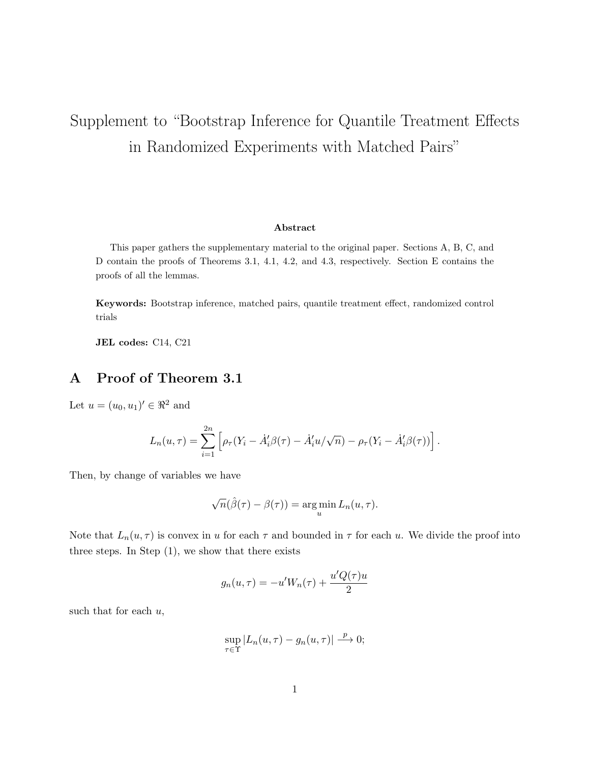# Supplement to "Bootstrap Inference for Quantile Treatment Effects in Randomized Experiments with Matched Pairs"

#### Abstract

This paper gathers the supplementary material to the original paper. Sections A, B, C, and D contain the proofs of Theorems 3.1, 4.1, 4.2, and 4.3, respectively. Section E contains the proofs of all the lemmas.

Keywords: Bootstrap inference, matched pairs, quantile treatment effect, randomized control trials

JEL codes: C14, C21

# A Proof of Theorem 3.1

Let  $u = (u_0, u_1)' \in \Re^2$  and

$$
L_n(u,\tau) = \sum_{i=1}^{2n} \left[ \rho_\tau (Y_i - \dot{A}'_i \beta(\tau) - \dot{A}'_i u/\sqrt{n}) - \rho_\tau (Y_i - \dot{A}'_i \beta(\tau)) \right].
$$

Then, by change of variables we have

$$
\sqrt{n}(\hat{\beta}(\tau) - \beta(\tau)) = \argmin_{u} L_n(u, \tau).
$$

Note that  $L_n(u, \tau)$  is convex in u for each  $\tau$  and bounded in  $\tau$  for each u. We divide the proof into three steps. In Step (1), we show that there exists

$$
g_n(u, \tau) = -u'W_n(\tau) + \frac{u'Q(\tau)u}{2}
$$

such that for each  $u$ ,

$$
\sup_{\tau \in \Upsilon} |L_n(u, \tau) - g_n(u, \tau)| \stackrel{p}{\longrightarrow} 0;
$$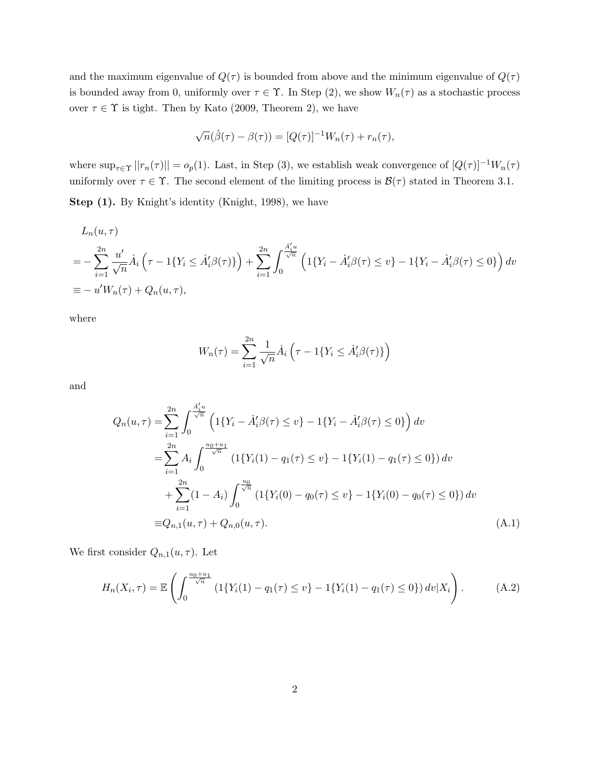and the maximum eigenvalue of  $Q(\tau)$  is bounded from above and the minimum eigenvalue of  $Q(\tau)$ is bounded away from 0, uniformly over  $\tau \in \Upsilon$ . In Step (2), we show  $W_n(\tau)$  as a stochastic process over  $\tau \in \Upsilon$  is tight. Then by Kato (2009, Theorem 2), we have

$$
\sqrt{n}(\hat{\beta}(\tau) - \beta(\tau)) = [Q(\tau)]^{-1}W_n(\tau) + r_n(\tau),
$$

where  $\sup_{\tau \in \Upsilon} ||r_n(\tau)|| = o_p(1)$ . Last, in Step (3), we establish weak convergence of  $[Q(\tau)]^{-1}W_n(\tau)$ uniformly over  $\tau \in \Upsilon$ . The second element of the limiting process is  $\mathcal{B}(\tau)$  stated in Theorem 3.1.

Step (1). By Knight's identity (Knight, 1998), we have

$$
L_n(u,\tau)
$$
  
=  $-\sum_{i=1}^{2n} \frac{u'}{\sqrt{n}} \dot{A}_i \left(\tau - 1\{Y_i \le \dot{A}'_i \beta(\tau)\}\right) + \sum_{i=1}^{2n} \int_0^{\frac{\dot{A}'_i u}{\sqrt{n}}} \left(1\{Y_i - \dot{A}'_i \beta(\tau) \le v\} - 1\{Y_i - \dot{A}'_i \beta(\tau) \le 0\}\right) dv$   
\equiv  $-u'W_n(\tau) + Q_n(u,\tau)$ ,

where

$$
W_n(\tau) = \sum_{i=1}^{2n} \frac{1}{\sqrt{n}} \dot{A}_i \left( \tau - 1\{Y_i \le \dot{A}_i' \beta(\tau)\} \right)
$$

and

$$
Q_n(u,\tau) = \sum_{i=1}^{2n} \int_0^{\frac{\dot{A}'_i u}{\sqrt{n}}} \left( 1\{Y_i - \dot{A}'_i \beta(\tau) \le v\} - 1\{Y_i - \dot{A}'_i \beta(\tau) \le 0\} \right) dv
$$
  
\n
$$
= \sum_{i=1}^{2n} A_i \int_0^{\frac{u_0 + u_1}{\sqrt{n}}} \left( 1\{Y_i(1) - q_1(\tau) \le v\} - 1\{Y_i(1) - q_1(\tau) \le 0\} \right) dv
$$
  
\n
$$
+ \sum_{i=1}^{2n} (1 - A_i) \int_0^{\frac{u_0}{\sqrt{n}}} \left( 1\{Y_i(0) - q_0(\tau) \le v\} - 1\{Y_i(0) - q_0(\tau) \le 0\} \right) dv
$$
  
\n
$$
\equiv Q_{n,1}(u,\tau) + Q_{n,0}(u,\tau).
$$
\n(A.1)

We first consider  $Q_{n,1}(u, \tau)$ . Let

$$
H_n(X_i, \tau) = \mathbb{E}\left(\int_0^{\frac{u_0 + u_1}{\sqrt{n}}} \left(1\{Y_i(1) - q_1(\tau) \le v\} - 1\{Y_i(1) - q_1(\tau) \le 0\}\right) dv|X_i\right). \tag{A.2}
$$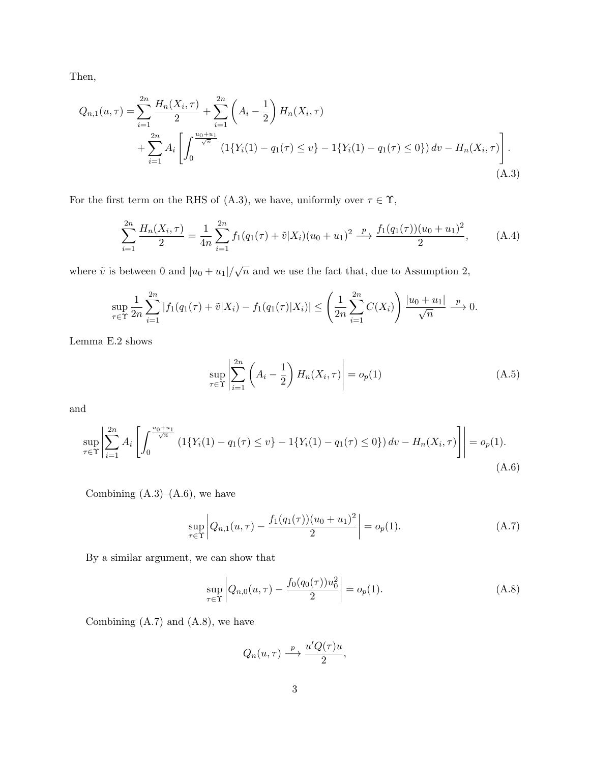Then,

$$
Q_{n,1}(u,\tau) = \sum_{i=1}^{2n} \frac{H_n(X_i,\tau)}{2} + \sum_{i=1}^{2n} \left( A_i - \frac{1}{2} \right) H_n(X_i,\tau)
$$
  
+ 
$$
\sum_{i=1}^{2n} A_i \left[ \int_0^{\frac{u_0+u_1}{\sqrt{n}}} \left( 1\{ Y_i(1) - q_1(\tau) \le v \} - 1\{ Y_i(1) - q_1(\tau) \le 0 \} \right) dv - H_n(X_i,\tau) \right].
$$
  
(A.3)

For the first term on the RHS of (A.3), we have, uniformly over  $\tau \in \Upsilon$ ,

$$
\sum_{i=1}^{2n} \frac{H_n(X_i, \tau)}{2} = \frac{1}{4n} \sum_{i=1}^{2n} f_1(q_1(\tau) + \tilde{v}|X_i)(u_0 + u_1)^2 \xrightarrow{p} \frac{f_1(q_1(\tau))(u_0 + u_1)^2}{2}, \quad (A.4)
$$

where  $\tilde{v}$  is between 0 and  $|u_0 + u_1| / \sqrt{n}$  and we use the fact that, due to Assumption 2,

$$
\sup_{\tau \in \Upsilon} \frac{1}{2n} \sum_{i=1}^{2n} |f_1(q_1(\tau) + \tilde{v}|X_i) - f_1(q_1(\tau)|X_i)| \le \left(\frac{1}{2n} \sum_{i=1}^{2n} C(X_i)\right) \frac{|u_0 + u_1|}{\sqrt{n}} \xrightarrow{p} 0.
$$

Lemma E.2 shows

$$
\sup_{\tau \in \Upsilon} \left| \sum_{i=1}^{2n} \left( A_i - \frac{1}{2} \right) H_n(X_i, \tau) \right| = o_p(1) \tag{A.5}
$$

and

$$
\sup_{\tau \in \Upsilon} \left| \sum_{i=1}^{2n} A_i \left[ \int_0^{\frac{u_0 + u_1}{\sqrt{n}}} \left( 1\{ Y_i(1) - q_1(\tau) \le v \} - 1\{ Y_i(1) - q_1(\tau) \le 0 \} \right) dv - H_n(X_i, \tau) \right] \right| = o_p(1).
$$
\n(A.6)

Combining  $(A.3)$ – $(A.6)$ , we have

$$
\sup_{\tau \in \Upsilon} \left| Q_{n,1}(u,\tau) - \frac{f_1(q_1(\tau))(u_0 + u_1)^2}{2} \right| = o_p(1). \tag{A.7}
$$

By a similar argument, we can show that

$$
\sup_{\tau \in \Upsilon} \left| Q_{n,0}(u,\tau) - \frac{f_0(q_0(\tau))u_0^2}{2} \right| = o_p(1).
$$
 (A.8)

Combining (A.7) and (A.8), we have

$$
Q_n(u,\tau) \stackrel{p}{\longrightarrow} \frac{u'Q(\tau)u}{2},
$$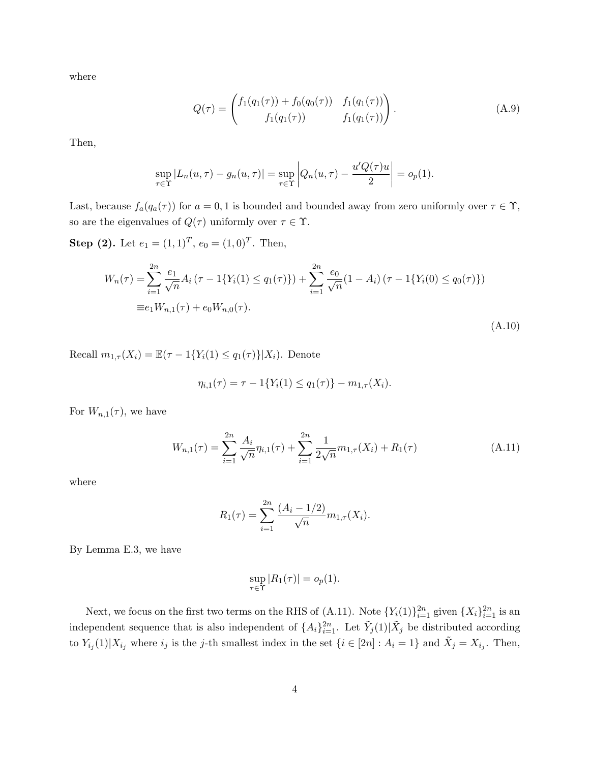where

$$
Q(\tau) = \begin{pmatrix} f_1(q_1(\tau)) + f_0(q_0(\tau)) & f_1(q_1(\tau)) \\ f_1(q_1(\tau)) & f_1(q_1(\tau)) \end{pmatrix}.
$$
 (A.9)

Then,

$$
\sup_{\tau \in \Upsilon} |L_n(u, \tau) - g_n(u, \tau)| = \sup_{\tau \in \Upsilon} \left| Q_n(u, \tau) - \frac{u'Q(\tau)u}{2} \right| = o_p(1).
$$

Last, because  $f_a(q_a(\tau))$  for  $a = 0, 1$  is bounded and bounded away from zero uniformly over  $\tau \in \Upsilon$ , so are the eigenvalues of  $Q(\tau)$  uniformly over  $\tau \in \Upsilon$ .

**Step (2).** Let  $e_1 = (1, 1)^T$ ,  $e_0 = (1, 0)^T$ . Then,

$$
W_n(\tau) = \sum_{i=1}^{2n} \frac{e_1}{\sqrt{n}} A_i (\tau - 1\{Y_i(1) \le q_1(\tau)\}) + \sum_{i=1}^{2n} \frac{e_0}{\sqrt{n}} (1 - A_i) (\tau - 1\{Y_i(0) \le q_0(\tau)\})
$$
  
\n
$$
\equiv e_1 W_{n,1}(\tau) + e_0 W_{n,0}(\tau).
$$
\n(A.10)

Recall  $m_{1,\tau}(X_i) = \mathbb{E}(\tau - 1\{Y_i(1) \leq q_1(\tau)\} | X_i)$ . Denote

$$
\eta_{i,1}(\tau) = \tau - 1\{Y_i(1) \le q_1(\tau)\} - m_{1,\tau}(X_i).
$$

For  $W_{n,1}(\tau)$ , we have

$$
W_{n,1}(\tau) = \sum_{i=1}^{2n} \frac{A_i}{\sqrt{n}} \eta_{i,1}(\tau) + \sum_{i=1}^{2n} \frac{1}{2\sqrt{n}} m_{1,\tau}(X_i) + R_1(\tau)
$$
(A.11)

where

$$
R_1(\tau) = \sum_{i=1}^{2n} \frac{(A_i - 1/2)}{\sqrt{n}} m_{1,\tau}(X_i).
$$

By Lemma E.3, we have

$$
\sup_{\tau \in \Upsilon} |R_1(\tau)| = o_p(1).
$$

Next, we focus on the first two terms on the RHS of (A.11). Note  $\{Y_i(1)\}_{i=1}^{2n}$  given  $\{X_i\}_{i=1}^{2n}$  is an independent sequence that is also independent of  $\{A_i\}_{i=1}^{2n}$ . Let  $\tilde{Y}_j(1)|\tilde{X}_j$  be distributed according to  $Y_{i_j}(1)|X_{i_j}$  where  $i_j$  is the j-th smallest index in the set  $\{i \in [2n]: A_i = 1\}$  and  $\tilde{X}_j = X_{i_j}$ . Then,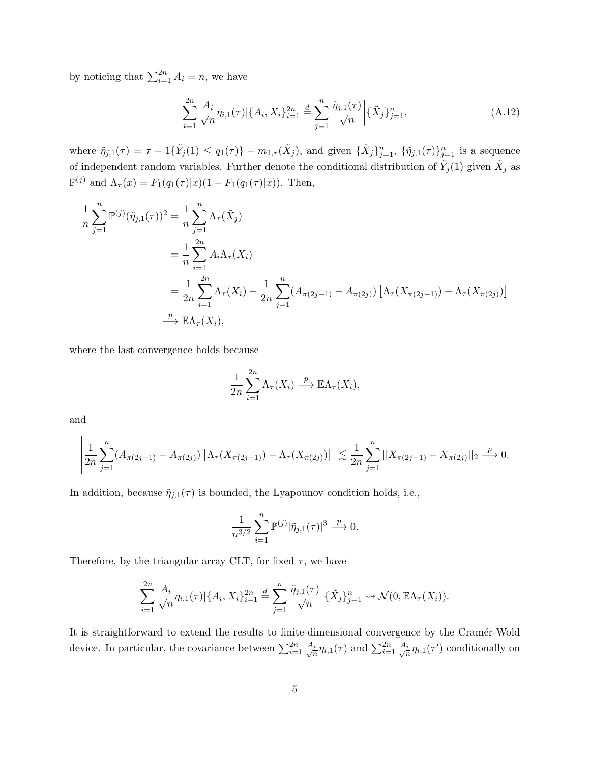by noticing that  $\sum_{i=1}^{2n} A_i = n$ , we have

$$
\sum_{i=1}^{2n} \frac{A_i}{\sqrt{n}} \eta_{i,1}(\tau) |\{A_i, X_i\}_{i=1}^{2n} \stackrel{d}{=} \sum_{j=1}^n \frac{\tilde{\eta}_{j,1}(\tau)}{\sqrt{n}} \Big| \{\tilde{X}_j\}_{j=1}^n,\tag{A.12}
$$

where  $\tilde{\eta}_{j,1}(\tau) = \tau - 1\{\tilde{Y}_j(1) \le q_1(\tau)\} - m_{1,\tau}(\tilde{X}_j)$ , and given  $\{\tilde{X}_j\}_{j=1}^n$ ,  $\{\tilde{\eta}_{j,1}(\tau)\}_{j=1}^n$  is a sequence of independent random variables. Further denote the conditional distribution of  $\tilde{Y}_j(1)$  given  $\tilde{X}_j$  as  $\mathbb{P}^{(j)}$  and  $\Lambda_{\tau}(x) = F_1(q_1(\tau)|x)(1 - F_1(q_1(\tau)|x))$ . Then,

$$
\frac{1}{n} \sum_{j=1}^{n} \mathbb{P}^{(j)}(\tilde{\eta}_{j,1}(\tau))^2 = \frac{1}{n} \sum_{j=1}^{n} \Lambda_{\tau}(\tilde{X}_j)
$$
\n
$$
= \frac{1}{n} \sum_{i=1}^{2n} A_i \Lambda_{\tau}(X_i)
$$
\n
$$
= \frac{1}{2n} \sum_{i=1}^{2n} \Lambda_{\tau}(X_i) + \frac{1}{2n} \sum_{j=1}^{n} (A_{\pi(2j-1)} - A_{\pi(2j)}) [\Lambda_{\tau}(X_{\pi(2j-1)}) - \Lambda_{\tau}(X_{\pi(2j)})]
$$
\n
$$
\xrightarrow{p} \mathbb{E}\Lambda_{\tau}(X_i),
$$

where the last convergence holds because

$$
\frac{1}{2n} \sum_{i=1}^{2n} \Lambda_{\tau}(X_i) \xrightarrow{p} \mathbb{E}\Lambda_{\tau}(X_i),
$$

and

$$
\left|\frac{1}{2n}\sum_{j=1}^n(A_{\pi(2j-1)}-A_{\pi(2j)})\left[\Lambda_{\tau}(X_{\pi(2j-1)})-\Lambda_{\tau}(X_{\pi(2j)})\right]\right|\lesssim \frac{1}{2n}\sum_{j=1}^n||X_{\pi(2j-1)}-X_{\pi(2j)}||_2\stackrel{p}{\longrightarrow}0.
$$

In addition, because  $\tilde{\eta}_{j,1}(\tau)$  is bounded, the Lyapounov condition holds, i.e.,

$$
\frac{1}{n^{3/2}} \sum_{i=1}^{n} \mathbb{P}^{(j)} |\tilde{\eta}_{j,1}(\tau)|^3 \xrightarrow{p} 0.
$$

Therefore, by the triangular array CLT, for fixed  $\tau$ , we have

$$
\sum_{i=1}^{2n} \frac{A_i}{\sqrt{n}} \eta_{i,1}(\tau) | \{ A_i, X_i \}_{i=1}^{2n} \stackrel{d}{=} \sum_{j=1}^{n} \frac{\tilde{\eta}_{j,1}(\tau)}{\sqrt{n}} \Big| \{ \tilde{X}_j \}_{j=1}^{n} \rightsquigarrow \mathcal{N}(0, \mathbb{E} \Lambda_{\tau}(X_i)).
$$

It is straightforward to extend the results to finite-dimensional convergence by the Cramér-Wold device. In particular, the covariance between  $\sum_{i=1}^{2n} \frac{A_i}{\sqrt{r}}$  $\frac{i}{n}\eta_{i,1}(\tau)$  and  $\sum_{i=1}^{2n} \frac{A_i}{\sqrt{n}}$  $\frac{i}{n}\eta_{i,1}(\tau')$  conditionally on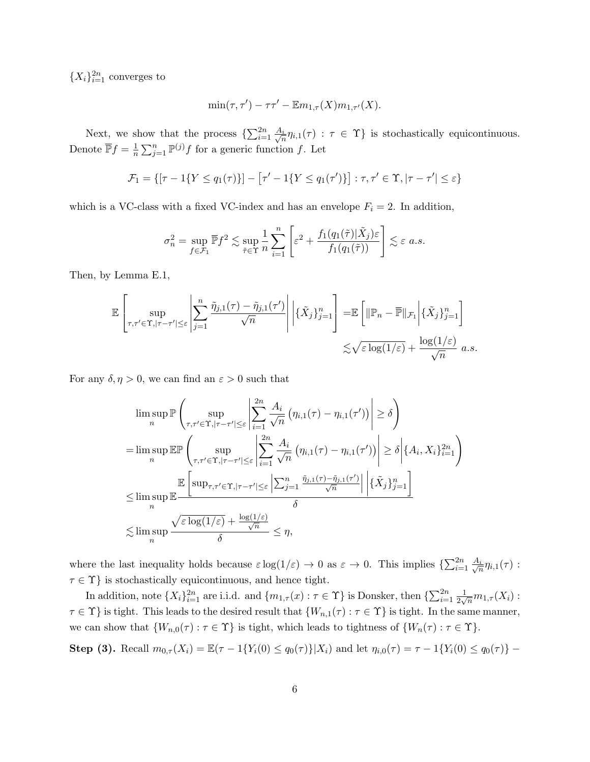${X<sub>i</sub>}<sub>i=1</sub><sup>2n</sup> converges to$ 

$$
\min(\tau, \tau') - \tau \tau' - \mathbb{E} m_{1,\tau}(X) m_{1,\tau'}(X).
$$

Next, we show that the process  $\{\sum_{i=1}^{2n} \frac{A_i}{\sqrt{n}}\}$  $\frac{i}{n}\eta_{i,1}(\tau) : \tau \in \Upsilon$  is stochastically equicontinuous. Denote  $\overline{\mathbb{P}}f = \frac{1}{n}$  $\frac{1}{n}\sum_{j=1}^{n} \mathbb{P}^{(j)} f$  for a generic function f. Let

$$
\mathcal{F}_1 = \{ [\tau - 1\{Y \le q_1(\tau)\}] - [\tau' - 1\{Y \le q_1(\tau')\}] : \tau, \tau' \in \Upsilon, |\tau - \tau'| \le \varepsilon \}
$$

which is a VC-class with a fixed VC-index and has an envelope  $F_i = 2$ . In addition,

$$
\sigma_n^2 = \sup_{f \in \mathcal{F}_1} \overline{\mathbb{P}} f^2 \lesssim \sup_{\tilde{\tau} \in \Upsilon} \frac{1}{n} \sum_{i=1}^n \left[ \varepsilon^2 + \frac{f_1(q_1(\tilde{\tau}) | \tilde{X}_j) \varepsilon}{f_1(q_1(\tilde{\tau}))} \right] \lesssim \varepsilon \ a.s.
$$

Then, by Lemma E.1,

$$
\mathbb{E}\left[\sup_{\tau,\tau'\in\Upsilon,|\tau-\tau'|\leq\varepsilon}\left|\sum_{j=1}^n\frac{\tilde{\eta}_{j,1}(\tau)-\tilde{\eta}_{j,1}(\tau')}{\sqrt{n}}\right|\Big|\{\tilde{X}_j\}_{j=1}^n\right]=\mathbb{E}\left[\|\mathbb{P}_n-\overline{\mathbb{P}}\|_{\mathcal{F}_1}\Big|\{\tilde{X}_j\}_{j=1}^n\right]
$$

$$
\lesssim \sqrt{\varepsilon\log(1/\varepsilon)}+\frac{\log(1/\varepsilon)}{\sqrt{n}} a.s.
$$

For any  $\delta, \eta > 0$ , we can find an  $\varepsilon > 0$  such that

$$
\limsup_{n} \mathbb{P}\left(\sup_{\tau,\tau'\in\Upsilon,|\tau-\tau'|\leq\varepsilon}\left|\sum_{i=1}^{2n}\frac{A_i}{\sqrt{n}}\left(\eta_{i,1}(\tau)-\eta_{i,1}(\tau')\right)\right|\geq \delta\right)
$$
\n
$$
=\limsup_{n} \mathbb{E}\mathbb{P}\left(\sup_{\tau,\tau'\in\Upsilon,|\tau-\tau'|\leq\varepsilon}\left|\sum_{i=1}^{2n}\frac{A_i}{\sqrt{n}}\left(\eta_{i,1}(\tau)-\eta_{i,1}(\tau')\right)\right|\geq \delta\left|\{A_i,X_i\}_{i=1}^{2n}\right|\right)
$$
\n
$$
\leq \limsup_{n} \mathbb{E}\left[\sup_{\tau,\tau'\in\Upsilon,|\tau-\tau'|\leq\varepsilon}\left|\sum_{j=1}^n\frac{\tilde{\eta}_{j,1}(\tau)-\tilde{\eta}_{j,1}(\tau')}{\sqrt{n}}\right|\left|\{\tilde{X}_j\}_{j=1}^n\right|\right]
$$
\n
$$
\leq \limsup_{n} \frac{\sqrt{\varepsilon}\log(1/\varepsilon)+\frac{\log(1/\varepsilon)}{\sqrt{n}}}{\delta}\leq \eta,
$$

where the last inequality holds because  $\varepsilon \log(1/\varepsilon) \to 0$  as  $\varepsilon \to 0$ . This implies  $\{\sum_{i=1}^{2n} \frac{A_i}{\sqrt{r}}\}$  $\frac{i}{n}\eta_{i,1}(\tau)$  :  $\tau \in \Upsilon\}$  is stochastically equicontinuous, and hence tight.

In addition, note  $\{X_i\}_{i=1}^{2n}$  are i.i.d. and  $\{m_{1,\tau}(x): \tau \in \Upsilon\}$  is Donsker, then  $\{\sum_{i=1}^{2n} \frac{1}{2\sqrt{n}}\}$  $\frac{1}{2\sqrt{n}}m_{1,\tau}(X_i):$  $\tau \in \Upsilon$  is tight. This leads to the desired result that  $\{W_{n,1}(\tau) : \tau \in \Upsilon\}$  is tight. In the same manner, we can show that  $\{W_{n,0}(\tau) : \tau \in \Upsilon\}$  is tight, which leads to tightness of  $\{W_n(\tau) : \tau \in \Upsilon\}$ .

Step (3). Recall  $m_{0,\tau}(X_i) = \mathbb{E}(\tau - 1\{Y_i(0) \leq q_0(\tau)\} | X_i)$  and let  $\eta_{i,0}(\tau) = \tau - 1\{Y_i(0) \leq q_0(\tau)\}$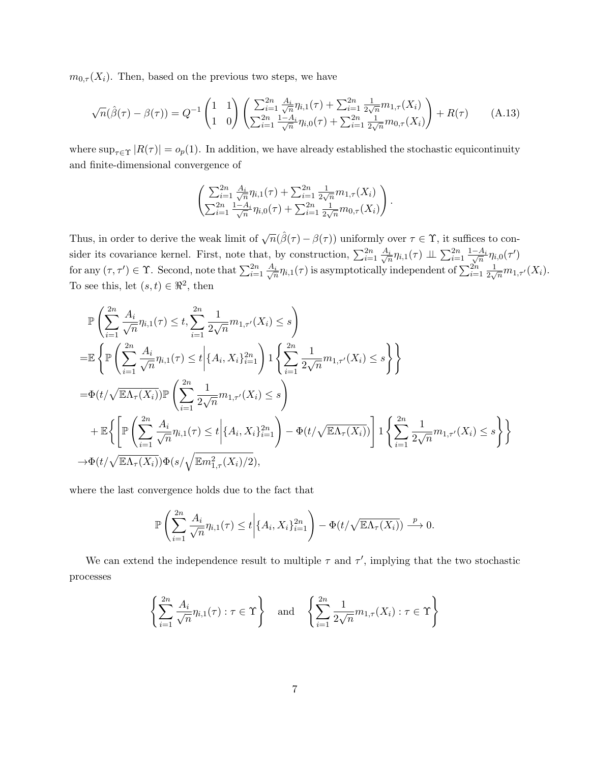$m_{0,\tau}(X_i)$ . Then, based on the previous two steps, we have

$$
\sqrt{n}(\hat{\beta}(\tau) - \beta(\tau)) = Q^{-1} \begin{pmatrix} 1 & 1 \\ 1 & 0 \end{pmatrix} \left( \frac{\sum_{i=1}^{2n} \frac{A_i}{\sqrt{n}} \eta_{i,1}(\tau) + \sum_{i=1}^{2n} \frac{1}{2\sqrt{n}} m_{1,\tau}(X_i)}{\sum_{i=1}^{2n} \frac{1 - A_i}{\sqrt{n}} \eta_{i,0}(\tau) + \sum_{i=1}^{2n} \frac{1}{2\sqrt{n}} m_{0,\tau}(X_i)} \right) + R(\tau) \tag{A.13}
$$

where  $\sup_{\tau \in \Upsilon} |R(\tau)| = o_p(1)$ . In addition, we have already established the stochastic equicontinuity and finite-dimensional convergence of

$$
\begin{pmatrix}\sum_{i=1}^{2n} \frac{A_i}{\sqrt{n}} \eta_{i,1}(\tau) + \sum_{i=1}^{2n} \frac{1}{2\sqrt{n}} m_{1,\tau}(X_i) \\
\sum_{i=1}^{2n} \frac{1-A_i}{\sqrt{n}} \eta_{i,0}(\tau) + \sum_{i=1}^{2n} \frac{1}{2\sqrt{n}} m_{0,\tau}(X_i)\end{pmatrix}.
$$

Thus, in order to derive the weak limit of  $\sqrt{n}(\hat{\beta}(\tau) - \beta(\tau))$  uniformly over  $\tau \in \Upsilon$ , it suffices to consider its covariance kernel. First, note that, by construction,  $\sum_{i=1}^{2n} \frac{A_i}{\sqrt{n}}$  $\frac{i}{n}\eta_{i,1}(\tau)\perp\!\!\!\perp \sum_{i=1}^{2n}\frac{1-A_i}{\sqrt{n}}\eta_{i,0}(\tau')$ for any  $(\tau, \tau') \in \Upsilon$ . Second, note that  $\sum_{i=1}^{2n} \frac{A_i}{\sqrt{n}}$  $\frac{i}{n}\eta_{i,1}(\tau)$  is asymptotically independent of  $\sum_{i=1}^{2n}\frac{1}{2\sqrt{n}}$  $\frac{1}{2\sqrt{n}}m_{1,\tau'}(X_i).$ To see this, let  $(s, t) \in \mathbb{R}^2$ , then

$$
\mathbb{P}\left\{\sum_{i=1}^{2n} \frac{A_i}{\sqrt{n}} \eta_{i,1}(\tau) \leq t, \sum_{i=1}^{2n} \frac{1}{2\sqrt{n}} m_{1,\tau'}(X_i) \leq s\right\}
$$
\n
$$
= \mathbb{E}\left\{\mathbb{P}\left(\sum_{i=1}^{2n} \frac{A_i}{\sqrt{n}} \eta_{i,1}(\tau) \leq t \middle| \{A_i, X_i\}_{i=1}^{2n}\right) \mathbb{1}\left\{\sum_{i=1}^{2n} \frac{1}{2\sqrt{n}} m_{1,\tau'}(X_i) \leq s\right\}\right\}
$$
\n
$$
= \Phi(t/\sqrt{\mathbb{E}\Lambda_{\tau}(X_i)}) \mathbb{P}\left(\sum_{i=1}^{2n} \frac{1}{2\sqrt{n}} m_{1,\tau'}(X_i) \leq s\right)
$$
\n
$$
+ \mathbb{E}\left\{\left[\mathbb{P}\left(\sum_{i=1}^{2n} \frac{A_i}{\sqrt{n}} \eta_{i,1}(\tau) \leq t \middle| \{A_i, X_i\}_{i=1}^{2n}\right) - \Phi(t/\sqrt{\mathbb{E}\Lambda_{\tau}(X_i)})\right] \mathbb{1}\left\{\sum_{i=1}^{2n} \frac{1}{2\sqrt{n}} m_{1,\tau'}(X_i) \leq s\right\}\right\}
$$
\n
$$
\to \Phi(t/\sqrt{\mathbb{E}\Lambda_{\tau}(X_i)}) \Phi(s/\sqrt{\mathbb{E}m_{1,\tau}^2(X_i)/2}),
$$

where the last convergence holds due to the fact that

$$
\mathbb{P}\left(\sum_{i=1}^{2n}\frac{A_i}{\sqrt{n}}\eta_{i,1}(\tau)\leq t\bigg|\{A_i,X_i\}_{i=1}^{2n}\right)-\Phi(t/\sqrt{\mathbb{E}\Lambda_{\tau}(X_i)})\stackrel{p}{\longrightarrow}0.
$$

We can extend the independence result to multiple  $\tau$  and  $\tau'$ , implying that the two stochastic processes

$$
\left\{\sum_{i=1}^{2n} \frac{A_i}{\sqrt{n}} \eta_{i,1}(\tau) : \tau \in \Upsilon\right\} \quad \text{and} \quad \left\{\sum_{i=1}^{2n} \frac{1}{2\sqrt{n}} \eta_{1,\tau}(X_i) : \tau \in \Upsilon\right\}
$$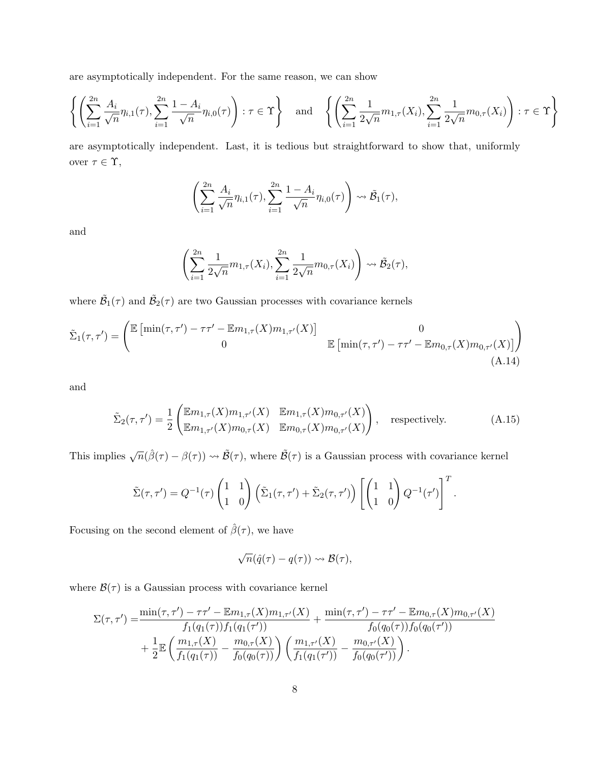are asymptotically independent. For the same reason, we can show

$$
\left\{ \left( \sum_{i=1}^{2n} \frac{A_i}{\sqrt{n}} \eta_{i,1}(\tau), \sum_{i=1}^{2n} \frac{1 - A_i}{\sqrt{n}} \eta_{i,0}(\tau) \right) : \tau \in \Upsilon \right\} \text{ and } \left\{ \left( \sum_{i=1}^{2n} \frac{1}{2\sqrt{n}} m_{1,\tau}(X_i), \sum_{i=1}^{2n} \frac{1}{2\sqrt{n}} m_{0,\tau}(X_i) \right) : \tau \in \Upsilon \right\}
$$

are asymptotically independent. Last, it is tedious but straightforward to show that, uniformly over  $\tau\in\Upsilon,$ 

$$
\left(\sum_{i=1}^{2n} \frac{A_i}{\sqrt{n}} \eta_{i,1}(\tau), \sum_{i=1}^{2n} \frac{1-A_i}{\sqrt{n}} \eta_{i,0}(\tau)\right) \rightsquigarrow \tilde{\mathcal{B}}_1(\tau),
$$

and

$$
\left(\sum_{i=1}^{2n} \frac{1}{2\sqrt{n}} m_{1,\tau}(X_i), \sum_{i=1}^{2n} \frac{1}{2\sqrt{n}} m_{0,\tau}(X_i)\right) \rightsquigarrow \tilde{\mathcal{B}}_2(\tau),
$$

where  $\tilde{\mathcal{B}}_1(\tau)$  and  $\tilde{\mathcal{B}}_2(\tau)$  are two Gaussian processes with covariance kernels

$$
\tilde{\Sigma}_1(\tau,\tau') = \begin{pmatrix} \mathbb{E}\left[\min(\tau,\tau') - \tau\tau' - \mathbb{E}m_{1,\tau}(X)m_{1,\tau'}(X)\right] & 0\\ 0 & \mathbb{E}\left[\min(\tau,\tau') - \tau\tau' - \mathbb{E}m_{0,\tau}(X)m_{0,\tau'}(X)\right] \end{pmatrix}
$$
\n(A.14)

and

$$
\tilde{\Sigma}_2(\tau, \tau') = \frac{1}{2} \begin{pmatrix} \mathbb{E}m_{1,\tau}(X)m_{1,\tau'}(X) & \mathbb{E}m_{1,\tau}(X)m_{0,\tau'}(X) \\ \mathbb{E}m_{1,\tau'}(X)m_{0,\tau}(X) & \mathbb{E}m_{0,\tau}(X)m_{0,\tau'}(X) \end{pmatrix}, \quad \text{respectively.} \tag{A.15}
$$

This implies  $\sqrt{n}(\hat{\beta}(\tau) - \beta(\tau)) \rightsquigarrow \tilde{\mathcal{B}}(\tau)$ , where  $\tilde{\mathcal{B}}(\tau)$  is a Gaussian process with covariance kernel

$$
\tilde{\Sigma}(\tau,\tau') = Q^{-1}(\tau) \begin{pmatrix} 1 & 1 \\ 1 & 0 \end{pmatrix} \left( \tilde{\Sigma}_1(\tau,\tau') + \tilde{\Sigma}_2(\tau,\tau') \right) \left[ \begin{pmatrix} 1 & 1 \\ 1 & 0 \end{pmatrix} Q^{-1}(\tau') \right]^T.
$$

Focusing on the second element of  $\hat{\beta}(\tau)$ , we have

$$
\sqrt{n}(\hat{q}(\tau)-q(\tau))\rightsquigarrow\mathcal{B}(\tau),
$$

where  $\mathcal{B}(\tau)$  is a Gaussian process with covariance kernel

$$
\Sigma(\tau,\tau') = \frac{\min(\tau,\tau') - \tau\tau' - \mathbb{E}m_{1,\tau}(X)m_{1,\tau'}(X)}{f_1(q_1(\tau))f_1(q_1(\tau'))} + \frac{\min(\tau,\tau') - \tau\tau' - \mathbb{E}m_{0,\tau}(X)m_{0,\tau'}(X)}{f_0(q_0(\tau))f_0(q_0(\tau'))} + \frac{1}{2}\mathbb{E}\left(\frac{m_{1,\tau}(X)}{f_1(q_1(\tau))} - \frac{m_{0,\tau}(X)}{f_0(q_0(\tau))}\right)\left(\frac{m_{1,\tau'}(X)}{f_1(q_1(\tau'))} - \frac{m_{0,\tau'}(X)}{f_0(q_0(\tau'))}\right).
$$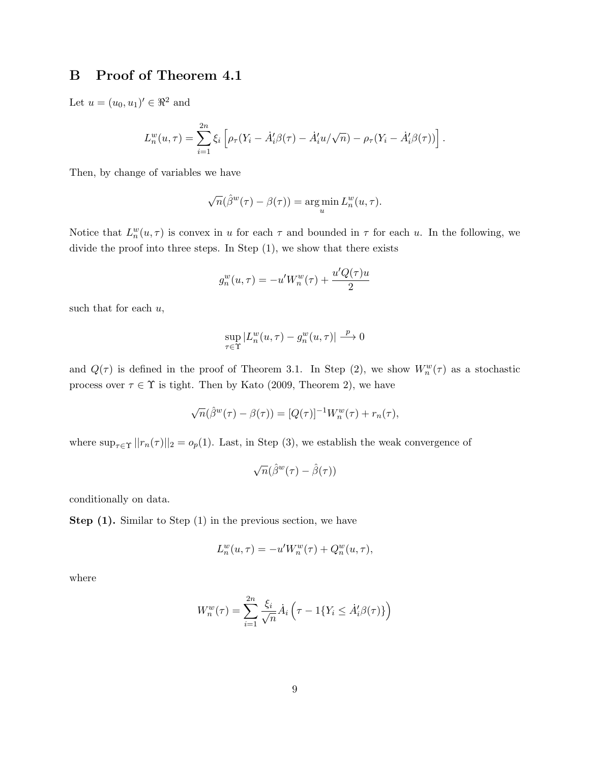# B Proof of Theorem 4.1

Let  $u = (u_0, u_1)' \in \Re^2$  and

$$
L_n^w(u,\tau) = \sum_{i=1}^{2n} \xi_i \left[ \rho_\tau (Y_i - \dot{A}'_i \beta(\tau) - \dot{A}'_i u/\sqrt{n}) - \rho_\tau (Y_i - \dot{A}'_i \beta(\tau)) \right].
$$

Then, by change of variables we have

$$
\sqrt{n}(\hat{\beta}^w(\tau) - \beta(\tau)) = \argmin_u L_n^w(u, \tau).
$$

Notice that  $L_n^w(u,\tau)$  is convex in u for each  $\tau$  and bounded in  $\tau$  for each u. In the following, we divide the proof into three steps. In Step (1), we show that there exists

$$
g_n^w(u, \tau) = -u'W_n^w(\tau) + \frac{u'Q(\tau)u}{2}
$$

such that for each  $u$ ,

$$
\sup_{\tau \in \Upsilon} |L_n^w(u, \tau) - g_n^w(u, \tau)| \stackrel{p}{\longrightarrow} 0
$$

and  $Q(\tau)$  is defined in the proof of Theorem 3.1. In Step (2), we show  $W_n^w(\tau)$  as a stochastic process over  $\tau \in \Upsilon$  is tight. Then by Kato (2009, Theorem 2), we have

$$
\sqrt{n}(\hat{\beta}^w(\tau) - \beta(\tau)) = [Q(\tau)]^{-1}W_n^w(\tau) + r_n(\tau),
$$

where  $\sup_{\tau \in \Upsilon} ||r_n(\tau)||_2 = o_p(1)$ . Last, in Step (3), we establish the weak convergence of

$$
\sqrt{n}(\hat{\beta}^w(\tau)-\hat{\beta}(\tau))
$$

conditionally on data.

Step (1). Similar to Step (1) in the previous section, we have

$$
L_n^w(u,\tau) = -u'W_n^w(\tau) + Q_n^w(u,\tau),
$$

where

$$
W_n^w(\tau) = \sum_{i=1}^{2n} \frac{\xi_i}{\sqrt{n}} \dot{A}_i \left( \tau - 1\{Y_i \le \dot{A}_i' \beta(\tau)\} \right)
$$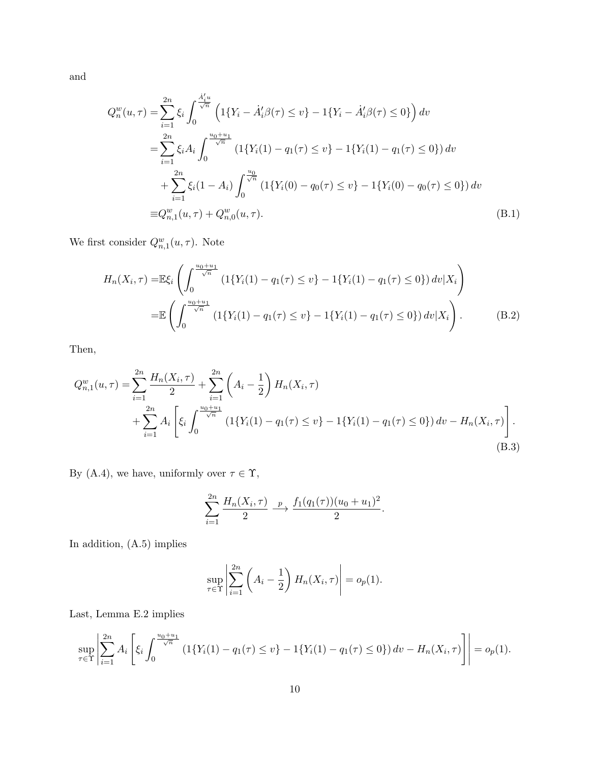and

$$
Q_n^w(u,\tau) = \sum_{i=1}^{2n} \xi_i \int_0^{\frac{\dot{A}_i'u}{\sqrt{n}}} \left( 1\{Y_i - \dot{A}_i'\beta(\tau) \le v\} - 1\{Y_i - \dot{A}_i'\beta(\tau) \le 0\} \right) dv
$$
  
\n
$$
= \sum_{i=1}^{2n} \xi_i A_i \int_0^{\frac{u_0+u_1}{\sqrt{n}}} \left( 1\{Y_i(1) - q_1(\tau) \le v\} - 1\{Y_i(1) - q_1(\tau) \le 0\} \right) dv
$$
  
\n
$$
+ \sum_{i=1}^{2n} \xi_i (1 - A_i) \int_0^{\frac{u_0}{\sqrt{n}}} \left( 1\{Y_i(0) - q_0(\tau) \le v\} - 1\{Y_i(0) - q_0(\tau) \le 0\} \right) dv
$$
  
\n
$$
\equiv Q_{n,1}^w(u,\tau) + Q_{n,0}^w(u,\tau).
$$
 (B.1)

We first consider  $Q_{n,1}^w(u,\tau)$ . Note

$$
H_n(X_i, \tau) = \mathbb{E}\xi_i \left( \int_0^{\frac{u_0 + u_1}{\sqrt{n}}} \left( 1\{ Y_i(1) - q_1(\tau) \le v \} - 1\{ Y_i(1) - q_1(\tau) \le 0 \} \right) dv | X_i \right)
$$
  
= 
$$
\mathbb{E}\left( \int_0^{\frac{u_0 + u_1}{\sqrt{n}}} \left( 1\{ Y_i(1) - q_1(\tau) \le v \} - 1\{ Y_i(1) - q_1(\tau) \le 0 \} \right) dv | X_i \right).
$$
 (B.2)

Then,

$$
Q_{n,1}^{w}(u,\tau) = \sum_{i=1}^{2n} \frac{H_n(X_i,\tau)}{2} + \sum_{i=1}^{2n} \left( A_i - \frac{1}{2} \right) H_n(X_i,\tau)
$$
  
+ 
$$
\sum_{i=1}^{2n} A_i \left[ \xi_i \int_0^{\frac{u_0+u_1}{\sqrt{n}}} \left( 1\{ Y_i(1) - q_1(\tau) \le v \} - 1\{ Y_i(1) - q_1(\tau) \le 0 \} \right) dv - H_n(X_i,\tau) \right].
$$
  
(B.3)

By (A.4), we have, uniformly over  $\tau \in \Upsilon,$ 

$$
\sum_{i=1}^{2n} \frac{H_n(X_i, \tau)}{2} \xrightarrow{p} \frac{f_1(q_1(\tau))(u_0 + u_1)^2}{2}.
$$

In addition, (A.5) implies

$$
\sup_{\tau \in \Upsilon} \left| \sum_{i=1}^{2n} \left( A_i - \frac{1}{2} \right) H_n(X_i, \tau) \right| = o_p(1).
$$

Last, Lemma E.2 implies

$$
\sup_{\tau \in \Upsilon} \left| \sum_{i=1}^{2n} A_i \left[ \xi_i \int_0^{\frac{u_0 + u_1}{\sqrt{n}}} \left( 1\{ Y_i(1) - q_1(\tau) \le v \} - 1\{ Y_i(1) - q_1(\tau) \le 0 \} \right) dv - H_n(X_i, \tau) \right] \right| = o_p(1).
$$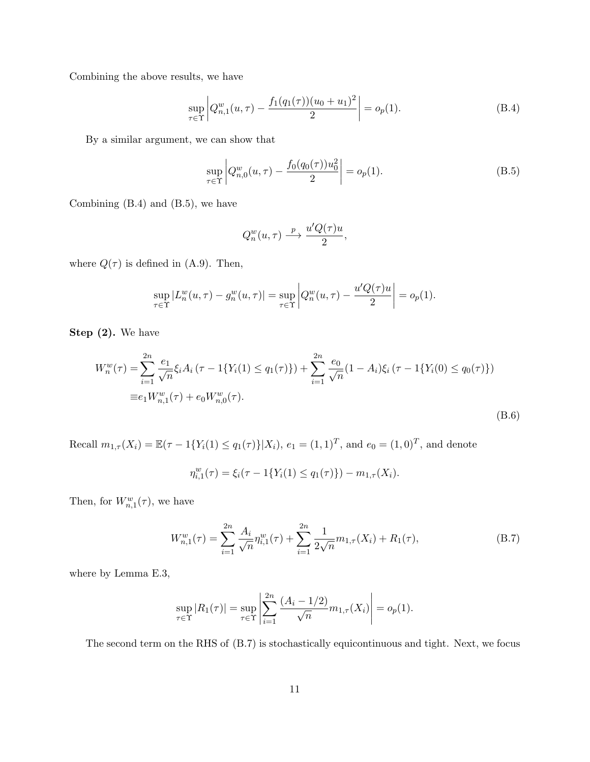Combining the above results, we have

$$
\sup_{\tau \in \Upsilon} \left| Q_{n,1}^w(u,\tau) - \frac{f_1(q_1(\tau))(u_0 + u_1)^2}{2} \right| = o_p(1). \tag{B.4}
$$

By a similar argument, we can show that

$$
\sup_{\tau \in \Upsilon} \left| Q_{n,0}^w(u,\tau) - \frac{f_0(q_0(\tau))u_0^2}{2} \right| = o_p(1). \tag{B.5}
$$

Combining (B.4) and (B.5), we have

$$
Q_n^w(u,\tau) \stackrel{p}{\longrightarrow} \frac{u'Q(\tau)u}{2},
$$

where  $Q(\tau)$  is defined in (A.9). Then,

$$
\sup_{\tau \in \Upsilon} |L_n^w(u, \tau) - g_n^w(u, \tau)| = \sup_{\tau \in \Upsilon} \left| Q_n^w(u, \tau) - \frac{u'Q(\tau)u}{2} \right| = o_p(1).
$$

Step  $(2)$ . We have

$$
W_n^w(\tau) = \sum_{i=1}^{2n} \frac{e_1}{\sqrt{n}} \xi_i A_i (\tau - 1\{Y_i(1) \le q_1(\tau)\}) + \sum_{i=1}^{2n} \frac{e_0}{\sqrt{n}} (1 - A_i) \xi_i (\tau - 1\{Y_i(0) \le q_0(\tau)\})
$$
  
\n
$$
\equiv e_1 W_{n,1}^w(\tau) + e_0 W_{n,0}^w(\tau).
$$
\n(B.6)

Recall  $m_{1,\tau}(X_i) = \mathbb{E}(\tau - 1\{Y_i(1) \le q_1(\tau)\} | X_i)$ ,  $e_1 = (1,1)^T$ , and  $e_0 = (1,0)^T$ , and denote

$$
\eta_{i,1}^w(\tau) = \xi_i(\tau - 1\{Y_i(1) \le q_1(\tau)\}) - m_{1,\tau}(X_i).
$$

Then, for  $W_{n,1}^w(\tau)$ , we have

$$
W_{n,1}^w(\tau) = \sum_{i=1}^{2n} \frac{A_i}{\sqrt{n}} \eta_{i,1}^w(\tau) + \sum_{i=1}^{2n} \frac{1}{2\sqrt{n}} m_{1,\tau}(X_i) + R_1(\tau), \tag{B.7}
$$

where by Lemma E.3,

$$
\sup_{\tau \in \Upsilon} |R_1(\tau)| = \sup_{\tau \in \Upsilon} \left| \sum_{i=1}^{2n} \frac{(A_i - 1/2)}{\sqrt{n}} m_{1,\tau}(X_i) \right| = o_p(1).
$$

The second term on the RHS of (B.7) is stochastically equicontinuous and tight. Next, we focus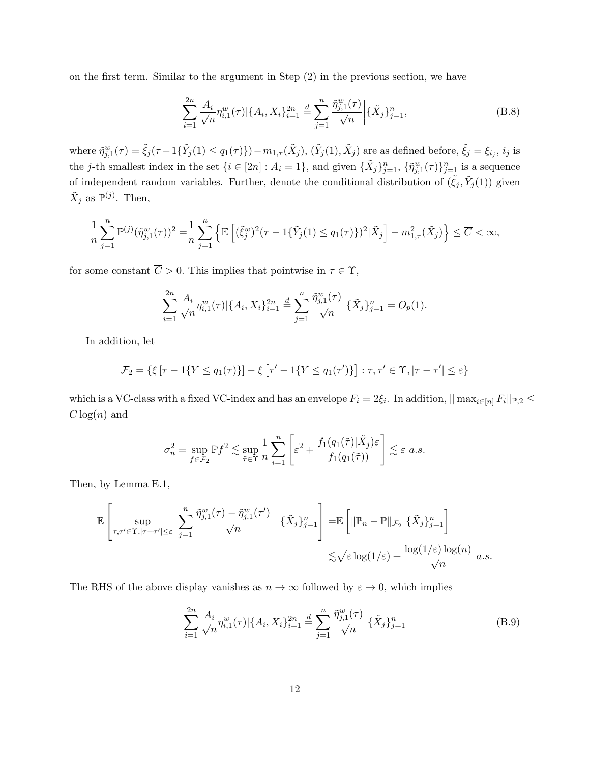on the first term. Similar to the argument in Step (2) in the previous section, we have

$$
\sum_{i=1}^{2n} \frac{A_i}{\sqrt{n}} \eta_{i,1}^w(\tau) |\{A_i, X_i\}_{i=1}^{2n} \stackrel{d}{=} \sum_{j=1}^n \frac{\tilde{\eta}_{j,1}^w(\tau)}{\sqrt{n}} \Big| \{\tilde{X}_j\}_{j=1}^n,\tag{B.8}
$$

where  $\tilde{\eta}_{j,1}^w(\tau) = \tilde{\xi}_j(\tau - 1\{\tilde{Y}_j(1) \leq q_1(\tau)\}) - m_{1,\tau}(\tilde{X}_j)$ ,  $(\tilde{Y}_j(1), \tilde{X}_j)$  are as defined before,  $\tilde{\xi}_j = \xi_{i_j}, i_j$  is the j-th smallest index in the set  $\{i \in [2n] : A_i = 1\}$ , and given  $\{\tilde{X}_j\}_{j=1}^n$ ,  $\{\tilde{\eta}_{j,1}^w(\tau)\}_{j=1}^n$  is a sequence of independent random variables. Further, denote the conditional distribution of  $(\tilde{\xi}_j, \tilde{Y}_j(1))$  given  $\tilde{X}_j$  as  $\mathbb{P}^{(j)}$ . Then,

$$
\frac{1}{n}\sum_{j=1}^n \mathbb{P}^{(j)}(\tilde{\eta}_{j,1}^w(\tau))^2 = \frac{1}{n}\sum_{j=1}^n \left\{ \mathbb{E}\left[ (\tilde{\xi}_j^w)^2(\tau - 1\{\tilde{Y}_j(1) \le q_1(\tau)\})^2 | \tilde{X}_j \right] - m_{1,\tau}^2(\tilde{X}_j) \right\} \le \overline{C} < \infty,
$$

for some constant  $\overline{C} > 0$ . This implies that pointwise in  $\tau \in \Upsilon$ ,

$$
\sum_{i=1}^{2n} \frac{A_i}{\sqrt{n}} \eta_{i,1}^w(\tau) |\{A_i, X_i\}_{i=1}^{2n} \stackrel{d}{=} \sum_{j=1}^n \frac{\tilde{\eta}_{j,1}^w(\tau)}{\sqrt{n}} \Big| \{\tilde{X}_j\}_{j=1}^n = O_p(1).
$$

In addition, let

$$
\mathcal{F}_2 = \{ \xi \left[ \tau - 1\{ Y \le q_1(\tau) \} \right] - \xi \left[ \tau' - 1\{ Y \le q_1(\tau') \} \right] : \tau, \tau' \in \Upsilon, |\tau - \tau'| \le \varepsilon \}
$$

which is a VC-class with a fixed VC-index and has an envelope  $F_i = 2\xi_i$ . In addition,  $||\max_{i \in [n]} F_i||_{\mathbb{P},2} \le$  $C \log(n)$  and

$$
\sigma_n^2 = \sup_{f \in \mathcal{F}_2} \overline{\mathbb{P}} f^2 \lesssim \sup_{\tilde{\tau} \in \Upsilon} \frac{1}{n} \sum_{i=1}^n \left[ \varepsilon^2 + \frac{f_1(q_1(\tilde{\tau}) | \tilde{X}_j) \varepsilon}{f_1(q_1(\tilde{\tau}))} \right] \lesssim \varepsilon \ a.s.
$$

Then, by Lemma E.1,

$$
\mathbb{E}\left[\sup_{\tau,\tau'\in\Upsilon,|\tau-\tau'|\leq\varepsilon}\left|\sum_{j=1}^n\frac{\tilde{\eta}^w_{j,1}(\tau)-\tilde{\eta}^w_{j,1}(\tau')}{\sqrt{n}}\right|\Big|\{\tilde{X}_j\}_{j=1}^n\right]=\mathbb{E}\left[\|\mathbb{P}_n-\overline{\mathbb{P}}\|_{\mathcal{F}_2}\Big|\{\tilde{X}_j\}_{j=1}^n\right]\right] \leq \sqrt{\varepsilon}\log(1/\varepsilon)+\frac{\log(1/\varepsilon)\log(n)}{\sqrt{n}} a.s.
$$

The RHS of the above display vanishes as  $n \to \infty$  followed by  $\varepsilon \to 0$ , which implies

$$
\sum_{i=1}^{2n} \frac{A_i}{\sqrt{n}} \eta_{i,1}^w(\tau) |\{A_i, X_i\}_{i=1}^{2n} \stackrel{d}{=} \sum_{j=1}^n \frac{\tilde{\eta}_{j,1}^w(\tau)}{\sqrt{n}} \Big| \{\tilde{X}_j\}_{j=1}^n \tag{B.9}
$$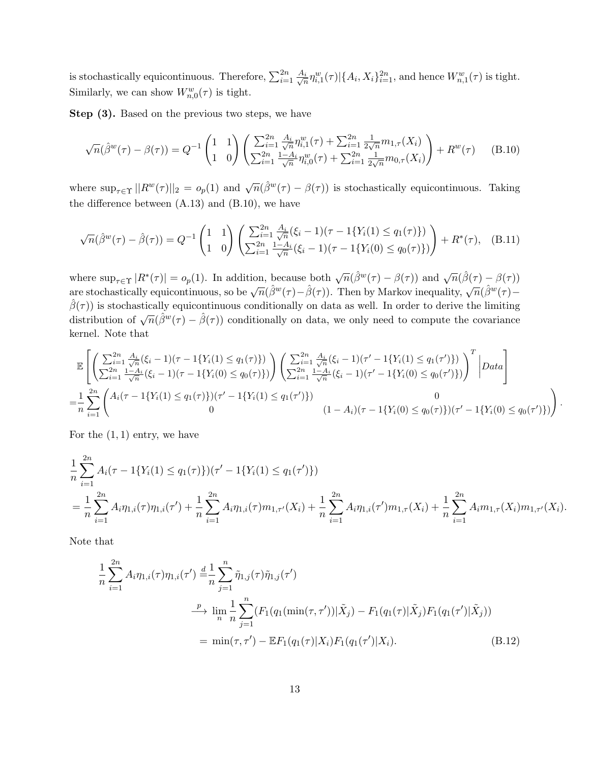is stochastically equicontinuous. Therefore,  $\sum_{i=1}^{2n} \frac{A_i}{\sqrt{r}}$  $\frac{i}{n}\eta_{i,1}^{w}(\tau)|\{A_i, X_i\}_{i=1}^{2n}$ , and hence  $W_{n,1}^{w}(\tau)$  is tight. Similarly, we can show  $W_{n,0}^w(\tau)$  is tight.

Step  $(3)$ . Based on the previous two steps, we have

$$
\sqrt{n}(\hat{\beta}^w(\tau) - \beta(\tau)) = Q^{-1} \begin{pmatrix} 1 & 1 \\ 1 & 0 \end{pmatrix} \begin{pmatrix} \sum_{i=1}^{2n} \frac{A_i}{\sqrt{n}} \eta_{i,1}^w(\tau) + \sum_{i=1}^{2n} \frac{1}{2\sqrt{n}} m_{1,\tau}(X_i) \\ \sum_{i=1}^{2n} \frac{1 - A_i}{\sqrt{n}} \eta_{i,0}^w(\tau) + \sum_{i=1}^{2n} \frac{1}{2\sqrt{n}} m_{0,\tau}(X_i) \end{pmatrix} + R^w(\tau) \tag{B.10}
$$

where  $\sup_{\tau \in \Upsilon} ||R^w(\tau)||_2 = o_p(1)$  and  $\sqrt{n}(\hat{\beta}^w(\tau) - \beta(\tau))$  is stochastically equicontinuous. Taking the difference between  $(A.13)$  and  $(B.10)$ , we have

$$
\sqrt{n}(\hat{\beta}^w(\tau) - \hat{\beta}(\tau)) = Q^{-1} \begin{pmatrix} 1 & 1 \\ 1 & 0 \end{pmatrix} \begin{pmatrix} \sum_{i=1}^{2n} \frac{A_i}{\sqrt{n}} (\xi_i - 1)(\tau - 1\{Y_i(1) \le q_1(\tau)\}) \\ \sum_{i=1}^{2n} \frac{1 - A_i}{\sqrt{n}} (\xi_i - 1)(\tau - 1\{Y_i(0) \le q_0(\tau)\}) \end{pmatrix} + R^*(\tau), \quad (B.11)
$$

where  $\sup_{\tau \in \Upsilon} |R^*(\tau)| = o_p(1)$ . In addition, because both  $\sqrt{n}(\hat{\beta}^w(\tau) - \beta(\tau))$  and  $\sqrt{n}(\hat{\beta}(\tau) - \beta(\tau))$ where  $\sup_{\tau \in \Upsilon} |x(\tau)| = o_p(\tau)$ . In addition, because both  $\sqrt{n}(\beta(\tau) - \beta(\tau))$  and  $\sqrt{n}(\beta(w(\tau) - \beta(\tau)))$ <br>are stochastically equicontinuous, so be  $\sqrt{n}(\hat{\beta}^w(\tau) - \hat{\beta}(\tau))$ . Then by Markov inequality,  $\sqrt{n}(\hat{\beta}^w(\tau) \hat{\beta}(\tau)$ ) is stochastically equicontinuous conditionally on data as well. In order to derive the limiting  $\beta(\tau)$  is socialistically equivalently distributionally on data as well. In order to derive the immining distribution of  $\sqrt{n}(\hat{\beta}^w(\tau) - \hat{\beta}(\tau))$  conditionally on data, we only need to compute the covariance kernel. Note that

$$
\mathbb{E}\left[\left(\sum_{i=1}^{2n}\frac{A_i}{\sqrt{n}}(\xi_i-1)(\tau-1\{Y_i(1)\leq q_1(\tau)\})\right)\left(\sum_{i=1}^{2n}\frac{A_i}{\sqrt{n}}(\xi_i-1)(\tau'-1\{Y_i(1)\leq q_1(\tau')\})\right)^T\Big| Data\right]
$$
\n
$$
=\frac{1}{n}\sum_{i=1}^{2n}\left(\begin{array}{c}A_i(\tau-1\{\tau_i(1)\leq q_1(\tau)\})(\tau-1\{\tau_i(0)\leq q_0(\tau)\}\})\end{array}\right)\left(\sum_{i=1}^{2n}\frac{1-A_i}{\sqrt{n}}(\xi_i-1)(\tau'-1\{\tau_i(0)\leq q_0(\tau')\})\right)^T\Big| Data\right]
$$
\n
$$
=\frac{1}{n}\sum_{i=1}^{2n}\left(\begin{array}{c}A_i(\tau-1\{\tau_i(1)\leq q_1(\tau)\})(\tau'-1\{\tau_i(1)\leq q_1(\tau')\})\end{array}\right)\left(1-A_i)(\tau-1\{\tau_i(0)\leq q_0(\tau)\})(\tau'-1\{\tau_i(0)\leq q_0(\tau')\})\right)
$$

.

For the  $(1, 1)$  entry, we have

$$
\frac{1}{n}\sum_{i=1}^{2n} A_i(\tau - 1\{Y_i(1) \le q_1(\tau)\}) (\tau' - 1\{Y_i(1) \le q_1(\tau')\})
$$
\n
$$
= \frac{1}{n}\sum_{i=1}^{2n} A_i \eta_{1,i}(\tau) \eta_{1,i}(\tau') + \frac{1}{n}\sum_{i=1}^{2n} A_i \eta_{1,i}(\tau) m_{1,\tau'}(X_i) + \frac{1}{n}\sum_{i=1}^{2n} A_i \eta_{1,i}(\tau') m_{1,\tau}(X_i) + \frac{1}{n}\sum_{i=1}^{2n} A_i m_{1,\tau}(X_i) m_{1,\tau'}(X_i).
$$

Note that

$$
\frac{1}{n} \sum_{i=1}^{2n} A_i \eta_{1,i}(\tau) \eta_{1,i}(\tau') \stackrel{d}{=} \frac{1}{n} \sum_{j=1}^n \tilde{\eta}_{1,j}(\tau) \tilde{\eta}_{1,j}(\tau')
$$
\n
$$
\xrightarrow{\quad p \quad} \lim_{n} \frac{1}{n} \sum_{j=1}^n (F_1(q_1(\min(\tau,\tau')) | \tilde{X}_j) - F_1(q_1(\tau) | \tilde{X}_j) F_1(q_1(\tau') | \tilde{X}_j))
$$
\n
$$
= \min(\tau, \tau') - \mathbb{E} F_1(q_1(\tau) | X_i) F_1(q_1(\tau') | X_i). \tag{B.12}
$$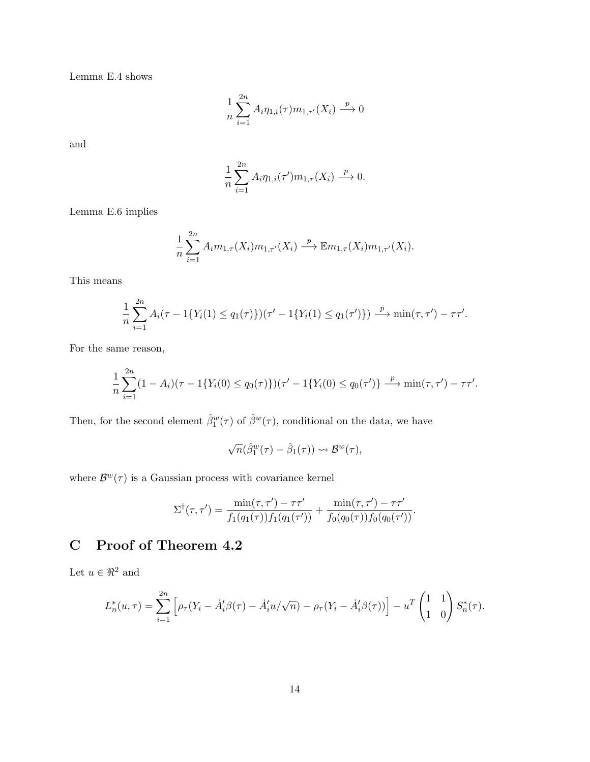Lemma E.4 shows

$$
\frac{1}{n}\sum_{i=1}^{2n}A_i\eta_{1,i}(\tau)m_{1,\tau'}(X_i)\stackrel{p}{\longrightarrow}0
$$

and

$$
\frac{1}{n} \sum_{i=1}^{2n} A_i \eta_{1,i}(\tau') m_{1,\tau}(X_i) \stackrel{p}{\longrightarrow} 0.
$$

Lemma E.6 implies

$$
\frac{1}{n}\sum_{i=1}^{2n}A_i m_{1,\tau}(X_i)m_{1,\tau'}(X_i)\stackrel{p}{\longrightarrow} \mathbb{E} m_{1,\tau}(X_i)m_{1,\tau'}(X_i).
$$

This means

$$
\frac{1}{n}\sum_{i=1}^{2n}A_i(\tau - 1\{Y_i(1) \le q_1(\tau)\})(\tau' - 1\{Y_i(1) \le q_1(\tau')\}) \xrightarrow{p} \min(\tau, \tau') - \tau\tau'.
$$

For the same reason,

$$
\frac{1}{n}\sum_{i=1}^{2n}(1-A_i)(\tau-1\{Y_i(0)\leq q_0(\tau)\})(\tau'-1\{Y_i(0)\leq q_0(\tau')\}\stackrel{p}{\longrightarrow}\min(\tau,\tau')-\tau\tau'.
$$

Then, for the second element  $\hat{\beta}_1^w(\tau)$  of  $\hat{\beta}^w(\tau)$ , conditional on the data, we have

$$
\sqrt{n}(\hat{\beta}_1^w(\tau)-\hat{\beta}_1(\tau))\leadsto\mathcal{B}^w(\tau),
$$

where  $\mathcal{B}^w(\tau)$  is a Gaussian process with covariance kernel

$$
\Sigma^{\dagger}(\tau,\tau') = \frac{\min(\tau,\tau') - \tau\tau'}{f_1(q_1(\tau))f_1(q_1(\tau'))} + \frac{\min(\tau,\tau') - \tau\tau'}{f_0(q_0(\tau))f_0(q_0(\tau'))}.
$$

# C Proof of Theorem 4.2

Let  $u \in \Re^2$  and

$$
L_n^*(u,\tau) = \sum_{i=1}^{2n} \left[ \rho_\tau (Y_i - \dot{A}_i' \beta(\tau) - \dot{A}_i' u/\sqrt{n}) - \rho_\tau (Y_i - \dot{A}_i' \beta(\tau)) \right] - u^T \begin{pmatrix} 1 & 1 \\ 1 & 0 \end{pmatrix} S_n^*(\tau).
$$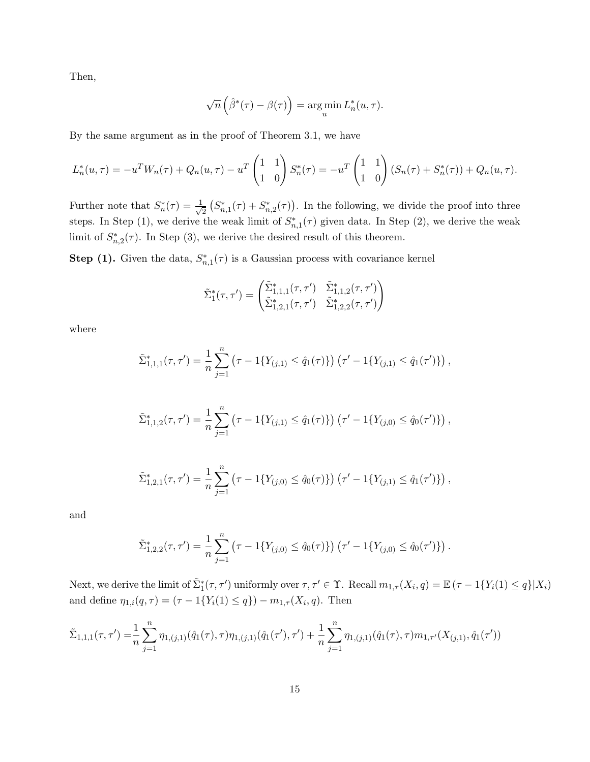Then,

$$
\sqrt{n}\left(\hat{\beta}^*(\tau)-\beta(\tau)\right) = \argmin_u L_n^*(u, \tau).
$$

By the same argument as in the proof of Theorem 3.1, we have

$$
L_n^*(u,\tau) = -u^T W_n(\tau) + Q_n(u,\tau) - u^T \begin{pmatrix} 1 & 1 \\ 1 & 0 \end{pmatrix} S_n^*(\tau) = -u^T \begin{pmatrix} 1 & 1 \\ 1 & 0 \end{pmatrix} (S_n(\tau) + S_n^*(\tau)) + Q_n(u,\tau).
$$

Further note that  $S_n^*(\tau) = \frac{1}{\sqrt{n}}$  $\frac{1}{2} \left( S_{n,1}^*(\tau) + S_{n,2}^*(\tau) \right)$ . In the following, we divide the proof into three steps. In Step (1), we derive the weak limit of  $S_{n,1}^*(\tau)$  given data. In Step (2), we derive the weak limit of  $S_{n,2}^*(\tau)$ . In Step (3), we derive the desired result of this theorem.

**Step (1).** Given the data,  $S_{n,1}^*(\tau)$  is a Gaussian process with covariance kernel

$$
\tilde{\Sigma}_{1}^{*}(\tau,\tau') = \begin{pmatrix} \tilde{\Sigma}_{1,1,1}^{*}(\tau,\tau') & \tilde{\Sigma}_{1,1,2}^{*}(\tau,\tau') \\ \tilde{\Sigma}_{1,2,1}^{*}(\tau,\tau') & \tilde{\Sigma}_{1,2,2}^{*}(\tau,\tau') \end{pmatrix}
$$

where

$$
\tilde{\Sigma}_{1,1,1}^*(\tau,\tau') = \frac{1}{n} \sum_{j=1}^n (\tau - 1\{Y_{(j,1)} \leq \hat{q}_1(\tau)\}) (\tau' - 1\{Y_{(j,1)} \leq \hat{q}_1(\tau')\}),
$$

$$
\tilde{\Sigma}_{1,1,2}^*(\tau,\tau') = \frac{1}{n} \sum_{j=1}^n (\tau - 1\{Y_{(j,1)} \leq \hat{q}_1(\tau)\}) (\tau' - 1\{Y_{(j,0)} \leq \hat{q}_0(\tau')\}),
$$

$$
\tilde{\Sigma}_{1,2,1}^*(\tau,\tau') = \frac{1}{n} \sum_{j=1}^n (\tau - 1\{Y_{(j,0)} \leq \hat{q}_0(\tau)\}) (\tau' - 1\{Y_{(j,1)} \leq \hat{q}_1(\tau')\}),
$$

and

$$
\tilde{\Sigma}_{1,2,2}^*(\tau,\tau') = \frac{1}{n} \sum_{j=1}^n (\tau - 1\{Y_{(j,0)} \leq \hat{q}_0(\tau)\}) (\tau' - 1\{Y_{(j,0)} \leq \hat{q}_0(\tau')\}).
$$

Next, we derive the limit of  $\tilde{\Sigma}_{1}^{*}(\tau,\tau')$  uniformly over  $\tau,\tau'\in\Upsilon$ . Recall  $m_{1,\tau}(X_i,q)=\mathbb{E}(\tau-1\{Y_i(1)\leq q\}|X_i)$ and define  $\eta_{1,i}(q,\tau) = (\tau - 1\{Y_i(1) \leq q\}) - m_{1,\tau}(X_i, q)$ . Then

$$
\tilde{\Sigma}_{1,1,1}(\tau,\tau') = \frac{1}{n} \sum_{j=1}^{n} \eta_{1,(j,1)}(\hat{q}_1(\tau),\tau)\eta_{1,(j,1)}(\hat{q}_1(\tau'),\tau') + \frac{1}{n} \sum_{j=1}^{n} \eta_{1,(j,1)}(\hat{q}_1(\tau),\tau)m_{1,\tau'}(X_{(j,1)},\hat{q}_1(\tau'))
$$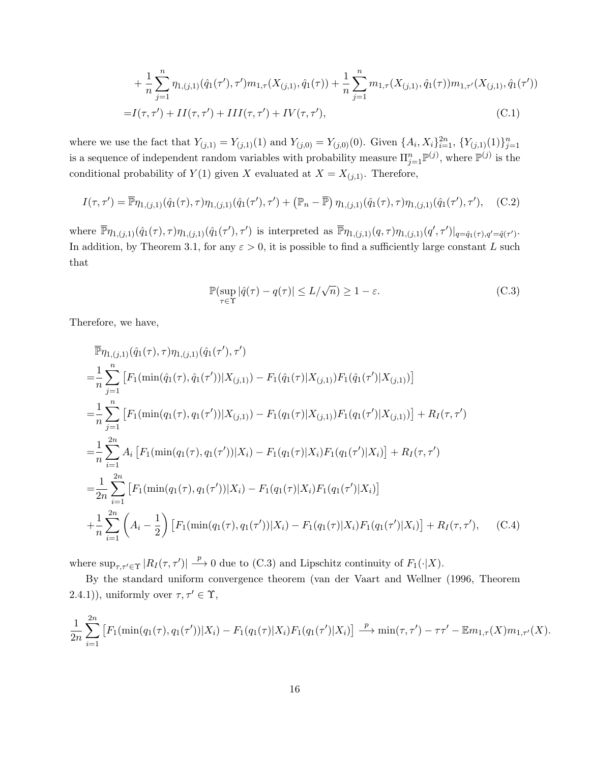+ 
$$
\frac{1}{n} \sum_{j=1}^{n} \eta_{1,(j,1)}(\hat{q}_1(\tau'), \tau') m_{1,\tau}(X_{(j,1)}, \hat{q}_1(\tau)) + \frac{1}{n} \sum_{j=1}^{n} m_{1,\tau}(X_{(j,1)}, \hat{q}_1(\tau)) m_{1,\tau'}(X_{(j,1)}, \hat{q}_1(\tau'))
$$
  
=  $I(\tau, \tau') + II(\tau, \tau') + III(\tau, \tau') + IV(\tau, \tau'),$  (C.1)

where we use the fact that  $Y_{(j,1)} = Y_{(j,1)}(1)$  and  $Y_{(j,0)} = Y_{(j,0)}(0)$ . Given  $\{A_i, X_i\}_{i=1}^{2n}$ ,  $\{Y_{(j,1)}(1)\}_{j=1}^n$ is a sequence of independent random variables with probability measure  $\prod_{j=1}^n \mathbb{P}^{(j)}$ , where  $\mathbb{P}^{(j)}$  is the conditional probability of  $Y(1)$  given X evaluated at  $X = X_{(j,1)}$ . Therefore,

$$
I(\tau, \tau') = \overline{\mathbb{P}} \eta_{1,(j,1)}(\hat{q}_1(\tau), \tau) \eta_{1,(j,1)}(\hat{q}_1(\tau'), \tau') + (\mathbb{P}_n - \overline{\mathbb{P}}) \eta_{1,(j,1)}(\hat{q}_1(\tau), \tau) \eta_{1,(j,1)}(\hat{q}_1(\tau'), \tau'), \quad (C.2)
$$

where  $\overline{\mathbb{P}} \eta_{1,(j,1)}(\hat{q}_1(\tau),\tau) \eta_{1,(j,1)}(\hat{q}_1(\tau'),\tau')$  is interpreted as  $\overline{\mathbb{P}} \eta_{1,(j,1)}(q,\tau) \eta_{1,(j,1)}(q',\tau')|_{q=\hat{q}_1(\tau),q'=\hat{q}(\tau')}$ . In addition, by Theorem 3.1, for any  $\varepsilon > 0$ , it is possible to find a sufficiently large constant L such that

$$
\mathbb{P}(\sup_{\tau \in \Upsilon} |\hat{q}(\tau) - q(\tau)| \le L/\sqrt{n}) \ge 1 - \varepsilon.
$$
 (C.3)

Therefore, we have,

$$
\begin{split}\n& \mathbb{P}\eta_{1,(j,1)}(\hat{q}_{1}(\tau),\tau)\eta_{1,(j,1)}(\hat{q}_{1}(\tau'),\tau') \\
& = \frac{1}{n}\sum_{j=1}^{n} \left[ F_{1}(\min(\hat{q}_{1}(\tau),\hat{q}_{1}(\tau'))|X_{(j,1)}) - F_{1}(\hat{q}_{1}(\tau)|X_{(j,1)})F_{1}(\hat{q}_{1}(\tau')|X_{(j,1)}) \right] \\
& = \frac{1}{n}\sum_{j=1}^{n} \left[ F_{1}(\min(q_{1}(\tau),q_{1}(\tau'))|X_{(j,1)}) - F_{1}(q_{1}(\tau)|X_{(j,1)})F_{1}(q_{1}(\tau')|X_{(j,1)}) \right] + R_{I}(\tau,\tau') \\
& = \frac{1}{n}\sum_{i=1}^{2n} A_{i} \left[ F_{1}(\min(q_{1}(\tau),q_{1}(\tau'))|X_{i}) - F_{1}(q_{1}(\tau)|X_{i})F_{1}(q_{1}(\tau')|X_{i}) \right] + R_{I}(\tau,\tau') \\
& = \frac{1}{2n}\sum_{i=1}^{2n} \left[ F_{1}(\min(q_{1}(\tau),q_{1}(\tau'))|X_{i}) - F_{1}(q_{1}(\tau)|X_{i})F_{1}(q_{1}(\tau')|X_{i}) \right] \\
& + \frac{1}{n}\sum_{i=1}^{2n} \left( A_{i} - \frac{1}{2} \right) \left[ F_{1}(\min(q_{1}(\tau),q_{1}(\tau'))|X_{i}) - F_{1}(q_{1}(\tau)|X_{i})F_{1}(q_{1}(\tau')|X_{i}) \right] + R_{I}(\tau,\tau'), \quad \text{(C.4)}\n\end{split}
$$

where  $\sup_{\tau,\tau'\in\Upsilon}|R_I(\tau,\tau')|\stackrel{p}{\longrightarrow}0$  due to (C.3) and Lipschitz continuity of  $F_1(\cdot|X)$ .

By the standard uniform convergence theorem (van der Vaart and Wellner (1996, Theorem 2.4.1)), uniformly over  $\tau, \tau' \in \Upsilon$ ,

$$
\frac{1}{2n} \sum_{i=1}^{2n} \left[ F_1(\min(q_1(\tau), q_1(\tau')) | X_i) - F_1(q_1(\tau) | X_i) F_1(q_1(\tau') | X_i) \right] \xrightarrow{p} \min(\tau, \tau') - \tau \tau' - \mathbb{E} m_{1,\tau}(X) m_{1,\tau'}(X).
$$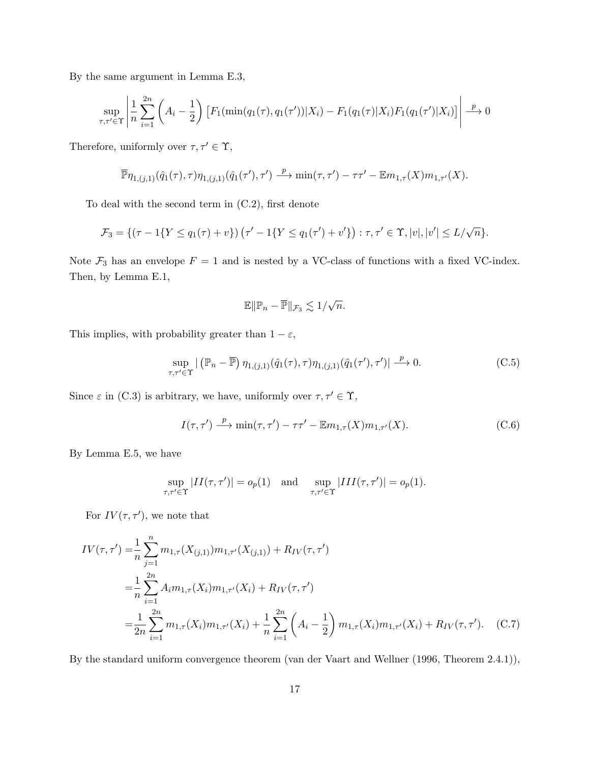By the same argument in Lemma E.3,

$$
\sup_{\tau,\tau'\in\Upsilon} \left| \frac{1}{n} \sum_{i=1}^{2n} \left( A_i - \frac{1}{2} \right) \left[ F_1(\min(q_1(\tau), q_1(\tau')) | X_i) - F_1(q_1(\tau) | X_i) F_1(q_1(\tau') | X_i) \right] \right| \xrightarrow{p} 0
$$

Therefore, uniformly over  $\tau,\tau' \in \Upsilon,$ 

$$
\overline{\mathbb{P}} \eta_{1,(j,1)}(\hat{q}_1(\tau),\tau) \eta_{1,(j,1)}(\hat{q}_1(\tau'),\tau') \xrightarrow{\ p \ \min(\tau,\tau') - \tau \tau' - \mathbb{E} m_{1,\tau}(X) m_{1,\tau'}(X).
$$

To deal with the second term in (C.2), first denote

$$
\mathcal{F}_3 = \{ (\tau - 1\{Y \le q_1(\tau) + v\}) \left( \tau' - 1\{Y \le q_1(\tau') + v'\} \right) : \tau, \tau' \in \Upsilon, |v|, |v'| \le L/\sqrt{n} \}.
$$

Note  $\mathcal{F}_3$  has an envelope  $F = 1$  and is nested by a VC-class of functions with a fixed VC-index. Then, by Lemma E.1,

$$
\mathbb{E} \|\mathbb{P}_n - \overline{\mathbb{P}}\|_{\mathcal{F}_3} \lesssim 1/\sqrt{n}.
$$

This implies, with probability greater than  $1-\varepsilon,$ 

$$
\sup_{\tau,\tau'\in\Upsilon} |\left(\mathbb{P}_n - \overline{\mathbb{P}}\right)\eta_{1,(j,1)}(\hat{q}_1(\tau),\tau)\eta_{1,(j,1)}(\hat{q}_1(\tau'),\tau')| \xrightarrow{\ p} 0. \tag{C.5}
$$

Since  $\varepsilon$  in (C.3) is arbitrary, we have, uniformly over  $\tau, \tau' \in \Upsilon$ ,

$$
I(\tau, \tau') \xrightarrow{p} \min(\tau, \tau') - \tau \tau' - \mathbb{E} m_{1,\tau}(X) m_{1,\tau'}(X). \tag{C.6}
$$

By Lemma E.5, we have

$$
\sup_{\tau,\tau'\in\Upsilon}|II(\tau,\tau')|=o_p(1)\quad\text{and}\quad\sup_{\tau,\tau'\in\Upsilon}|III(\tau,\tau')|=o_p(1).
$$

For  $IV(\tau, \tau')$ , we note that

$$
IV(\tau, \tau') = \frac{1}{n} \sum_{j=1}^{n} m_{1,\tau}(X_{(j,1)}) m_{1,\tau'}(X_{(j,1)}) + R_{IV}(\tau, \tau')
$$
  
\n
$$
= \frac{1}{n} \sum_{i=1}^{2n} A_i m_{1,\tau}(X_i) m_{1,\tau'}(X_i) + R_{IV}(\tau, \tau')
$$
  
\n
$$
= \frac{1}{2n} \sum_{i=1}^{2n} m_{1,\tau}(X_i) m_{1,\tau'}(X_i) + \frac{1}{n} \sum_{i=1}^{2n} \left( A_i - \frac{1}{2} \right) m_{1,\tau}(X_i) m_{1,\tau'}(X_i) + R_{IV}(\tau, \tau'). \quad (C.7)
$$

By the standard uniform convergence theorem (van der Vaart and Wellner (1996, Theorem 2.4.1)),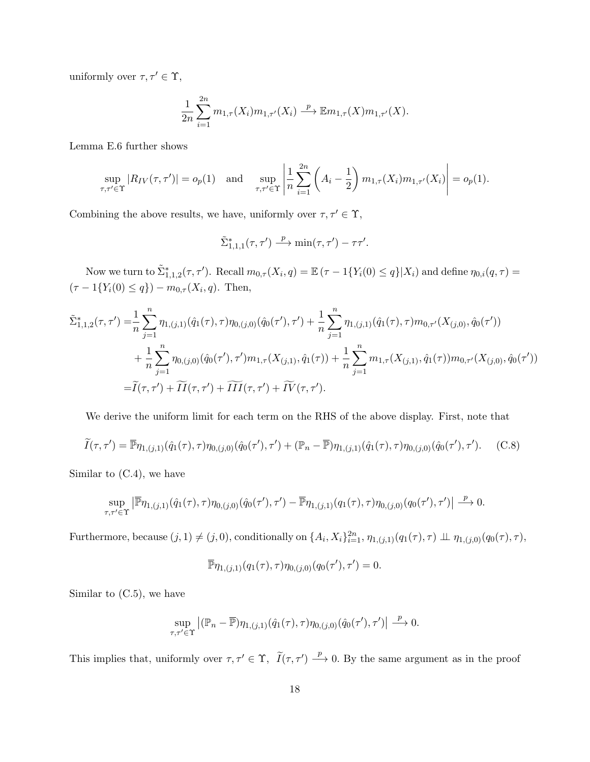uniformly over  $\tau, \tau' \in \Upsilon,$ 

$$
\frac{1}{2n} \sum_{i=1}^{2n} m_{1,\tau}(X_i) m_{1,\tau'}(X_i) \xrightarrow{p} \mathbb{E} m_{1,\tau}(X) m_{1,\tau'}(X).
$$

Lemma E.6 further shows

$$
\sup_{\tau,\tau'\in\Upsilon}|R_{IV}(\tau,\tau')| = o_p(1) \text{ and } \sup_{\tau,\tau'\in\Upsilon}\left|\frac{1}{n}\sum_{i=1}^{2n}\left(A_i - \frac{1}{2}\right)m_{1,\tau}(X_i)m_{1,\tau'}(X_i)\right| = o_p(1).
$$

Combining the above results, we have, uniformly over  $\tau, \tau' \in \Upsilon$ ,

$$
\tilde{\Sigma}_{1,1,1}^*(\tau,\tau') \stackrel{p}{\longrightarrow} \min(\tau,\tau') - \tau\tau'.
$$

Now we turn to  $\tilde{\Sigma}_{1,1,2}^*(\tau,\tau')$ . Recall  $m_{0,\tau}(X_i,q) = \mathbb{E}(\tau - 1\{Y_i(0) \leq q\}|X_i)$  and define  $\eta_{0,i}(q,\tau) =$  $(\tau - 1\{Y_i(0) \leq q\}) - m_{0,\tau}(X_i, q)$ . Then,

$$
\tilde{\Sigma}_{1,1,2}^{*}(\tau,\tau') = \frac{1}{n} \sum_{j=1}^{n} \eta_{1,(j,1)}(\hat{q}_{1}(\tau),\tau)\eta_{0,(j,0)}(\hat{q}_{0}(\tau'),\tau') + \frac{1}{n} \sum_{j=1}^{n} \eta_{1,(j,1)}(\hat{q}_{1}(\tau),\tau)m_{0,\tau'}(X_{(j,0)},\hat{q}_{0}(\tau')) \n+ \frac{1}{n} \sum_{j=1}^{n} \eta_{0,(j,0)}(\hat{q}_{0}(\tau'),\tau')m_{1,\tau}(X_{(j,1)},\hat{q}_{1}(\tau)) + \frac{1}{n} \sum_{j=1}^{n} m_{1,\tau}(X_{(j,1)},\hat{q}_{1}(\tau))m_{0,\tau'}(X_{(j,0)},\hat{q}_{0}(\tau')) \n= \tilde{I}(\tau,\tau') + \widetilde{II}(\tau,\tau') + \widetilde{III}(\tau,\tau') + \widetilde{IV}(\tau,\tau').
$$

We derive the uniform limit for each term on the RHS of the above display. First, note that

$$
\widetilde{I}(\tau,\tau') = \overline{\mathbb{P}} \eta_{1,(j,1)}(\hat{q}_1(\tau),\tau) \eta_{0,(j,0)}(\hat{q}_0(\tau'),\tau') + (\mathbb{P}_n - \overline{\mathbb{P}}) \eta_{1,(j,1)}(\hat{q}_1(\tau),\tau) \eta_{0,(j,0)}(\hat{q}_0(\tau'),\tau').
$$
 (C.8)

Similar to (C.4), we have

$$
\sup_{\tau,\tau'\in\Upsilon} \left| \overline{\mathbb{P}} \eta_{1,(j,1)}(\hat{q}_1(\tau),\tau) \eta_{0,(j,0)}(\hat{q}_0(\tau'),\tau') - \overline{\mathbb{P}} \eta_{1,(j,1)}(q_1(\tau),\tau) \eta_{0,(j,0)}(q_0(\tau'),\tau') \right| \stackrel{p}{\longrightarrow} 0.
$$

Furthermore, because  $(j, 1) \neq (j, 0)$ , conditionally on  $\{A_i, X_i\}_{i=1}^{2n}$ ,  $\eta_{1,(j,1)}(q_1(\tau), \tau) \perp \eta_{1,(j,0)}(q_0(\tau), \tau)$ ,

$$
\overline{\mathbb{P}} \eta_{1,(j,1)}(q_1(\tau),\tau) \eta_{0,(j,0)}(q_0(\tau'),\tau') = 0.
$$

Similar to  $(C.5)$ , we have

$$
\sup_{\tau,\tau'\in\Upsilon}\big|\big(\mathbb{P}_n-\overline{\mathbb{P}}\big)\eta_{1,(j,1)}(\hat{q}_1(\tau),\tau)\eta_{0,(j,0)}(\hat{q}_0(\tau'),\tau')\big|\overset{p}{\longrightarrow}0.
$$

This implies that, uniformly over  $\tau, \tau' \in \Upsilon$ ,  $\tilde{I}(\tau, \tau') \stackrel{p}{\longrightarrow} 0$ . By the same argument as in the proof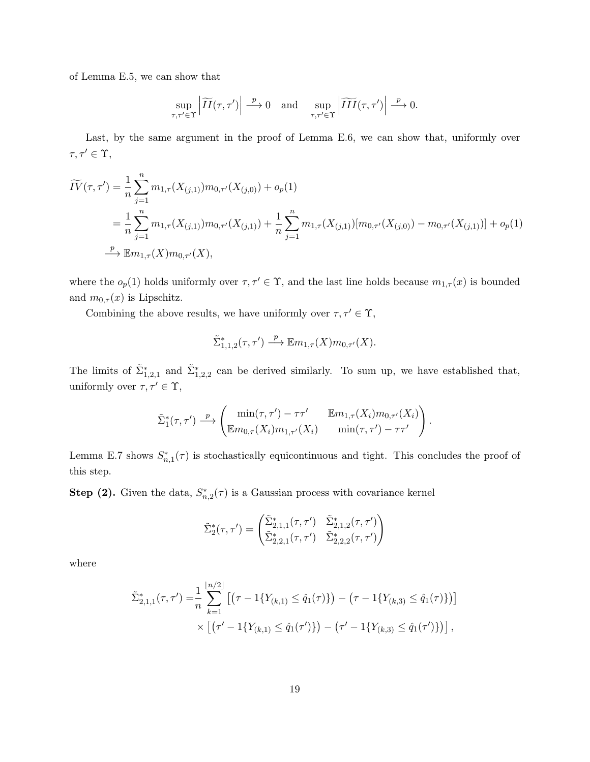of Lemma E.5, we can show that

$$
\sup_{\tau,\tau'\in\Upsilon}\left|\widetilde{II}(\tau,\tau')\right|\xrightarrow{p}0\quad\text{and}\quad\sup_{\tau,\tau'\in\Upsilon}\left|\widetilde{III}(\tau,\tau')\right|\xrightarrow{p}0.
$$

Last, by the same argument in the proof of Lemma E.6, we can show that, uniformly over  $\tau, \tau' \in \Upsilon$ ,

$$
\widetilde{IV}(\tau,\tau') = \frac{1}{n} \sum_{j=1}^{n} m_{1,\tau}(X_{(j,1)}) m_{0,\tau'}(X_{(j,0)}) + o_p(1)
$$
  
= 
$$
\frac{1}{n} \sum_{j=1}^{n} m_{1,\tau}(X_{(j,1)}) m_{0,\tau'}(X_{(j,1)}) + \frac{1}{n} \sum_{j=1}^{n} m_{1,\tau}(X_{(j,1)}) [m_{0,\tau'}(X_{(j,0)}) - m_{0,\tau'}(X_{(j,1)})] + o_p(1)
$$
  

$$
\xrightarrow{p} \mathbb{E} m_{1,\tau}(X) m_{0,\tau'}(X),
$$

where the  $o_p(1)$  holds uniformly over  $\tau, \tau' \in \Upsilon$ , and the last line holds because  $m_{1,\tau}(x)$  is bounded and  $m_{0,\tau}(x)$  is Lipschitz.

Combining the above results, we have uniformly over  $\tau, \tau' \in \Upsilon$ ,

$$
\tilde{\Sigma}_{1,1,2}^*(\tau,\tau') \stackrel{p}{\longrightarrow} \mathbb{E}m_{1,\tau}(X)m_{0,\tau'}(X).
$$

The limits of  $\tilde{\Sigma}_{1,2,1}^*$  and  $\tilde{\Sigma}_{1,2,2}^*$  can be derived similarly. To sum up, we have established that, uniformly over  $\tau, \tau' \in \Upsilon$ ,

$$
\tilde{\Sigma}_1^*(\tau,\tau') \stackrel{p}{\longrightarrow} \begin{pmatrix} \min(\tau,\tau') - \tau\tau' & \mathbb{E}m_{1,\tau}(X_i)m_{0,\tau'}(X_i) \\ \mathbb{E}m_{0,\tau}(X_i)m_{1,\tau'}(X_i) & \min(\tau,\tau') - \tau\tau' \end{pmatrix}.
$$

Lemma E.7 shows  $S_{n,1}^*(\tau)$  is stochastically equicontinuous and tight. This concludes the proof of this step.

**Step (2).** Given the data,  $S_{n,2}^*(\tau)$  is a Gaussian process with covariance kernel

$$
\tilde{\Sigma}_{2}^{*}(\tau,\tau') = \begin{pmatrix} \tilde{\Sigma}_{2,1,1}^{*}(\tau,\tau') & \tilde{\Sigma}_{2,1,2}^{*}(\tau,\tau') \\ \tilde{\Sigma}_{2,2,1}^{*}(\tau,\tau') & \tilde{\Sigma}_{2,2,2}^{*}(\tau,\tau') \end{pmatrix}
$$

where

$$
\tilde{\Sigma}_{2,1,1}^{*}(\tau,\tau') = \frac{1}{n} \sum_{k=1}^{\lfloor n/2 \rfloor} \left[ \left( \tau - 1\{Y_{(k,1)} \leq \hat{q}_1(\tau)\} \right) - \left( \tau - 1\{Y_{(k,3)} \leq \hat{q}_1(\tau)\} \right) \right] \times \left[ \left( \tau' - 1\{Y_{(k,1)} \leq \hat{q}_1(\tau')\} \right) - \left( \tau' - 1\{Y_{(k,3)} \leq \hat{q}_1(\tau')\} \right) \right],
$$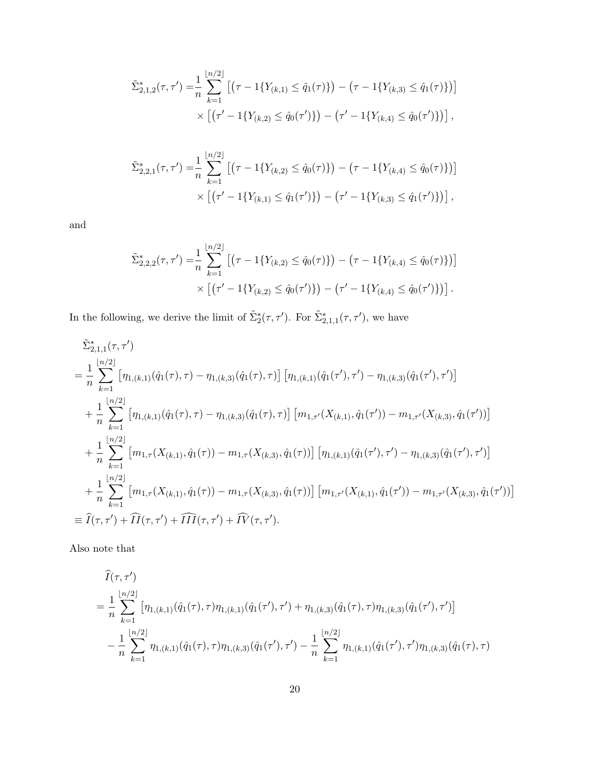$$
\tilde{\Sigma}_{2,1,2}^{*}(\tau,\tau') = \frac{1}{n} \sum_{k=1}^{\lfloor n/2 \rfloor} \left[ \left( \tau - 1\{Y_{(k,1)} \leq \hat{q}_1(\tau)\} \right) - \left( \tau - 1\{Y_{(k,3)} \leq \hat{q}_1(\tau)\} \right) \right] \times \left[ \left( \tau' - 1\{Y_{(k,2)} \leq \hat{q}_0(\tau')\} \right) - \left( \tau' - 1\{Y_{(k,4)} \leq \hat{q}_0(\tau')\} \right) \right],
$$

$$
\tilde{\Sigma}_{2,2,1}^*(\tau,\tau') = \frac{1}{n} \sum_{k=1}^{\lfloor n/2 \rfloor} \left[ \left( \tau - 1\{Y_{(k,2)} \le \hat{q}_0(\tau)\} \right) - \left( \tau - 1\{Y_{(k,4)} \le \hat{q}_0(\tau)\} \right) \right] \times \left[ \left( \tau' - 1\{Y_{(k,1)} \le \hat{q}_1(\tau')\} \right) - \left( \tau' - 1\{Y_{(k,3)} \le \hat{q}_1(\tau')\} \right) \right],
$$

and

$$
\tilde{\Sigma}_{2,2,2}^{*}(\tau,\tau') = \frac{1}{n} \sum_{k=1}^{\lfloor n/2 \rfloor} \left[ \left( \tau - 1\{Y_{(k,2)} \le \hat{q}_0(\tau)\} \right) - \left( \tau - 1\{Y_{(k,4)} \le \hat{q}_0(\tau)\} \right) \right] \times \left[ \left( \tau' - 1\{Y_{(k,2)} \le \hat{q}_0(\tau')\} \right) - \left( \tau' - 1\{Y_{(k,4)} \le \hat{q}_0(\tau')\} \right) \right].
$$

In the following, we derive the limit of  $\tilde{\Sigma}_{2}^{*}(\tau, \tau')$ . For  $\tilde{\Sigma}_{2,1,1}^{*}(\tau, \tau')$ , we have

$$
\tilde{\Sigma}_{2,1,1}^{*}(\tau,\tau')
$$
\n
$$
= \frac{1}{n} \sum_{k=1}^{\lfloor n/2 \rfloor} \left[ \eta_{1,(k,1)}(\hat{q}_1(\tau),\tau) - \eta_{1,(k,3)}(\hat{q}_1(\tau),\tau) \right] \left[ \eta_{1,(k,1)}(\hat{q}_1(\tau'),\tau') - \eta_{1,(k,3)}(\hat{q}_1(\tau'),\tau') \right]
$$
\n
$$
+ \frac{1}{n} \sum_{k=1}^{\lfloor n/2 \rfloor} \left[ \eta_{1,(k,1)}(\hat{q}_1(\tau),\tau) - \eta_{1,(k,3)}(\hat{q}_1(\tau),\tau) \right] \left[ m_{1,\tau'}(X_{(k,1)},\hat{q}_1(\tau')) - m_{1,\tau'}(X_{(k,3)},\hat{q}_1(\tau')) \right]
$$
\n
$$
+ \frac{1}{n} \sum_{k=1}^{\lfloor n/2 \rfloor} \left[ m_{1,\tau}(X_{(k,1)},\hat{q}_1(\tau)) - m_{1,\tau}(X_{(k,3)},\hat{q}_1(\tau)) \right] \left[ \eta_{1,(k,1)}(\hat{q}_1(\tau'),\tau') - \eta_{1,(k,3)}(\hat{q}_1(\tau'),\tau') \right]
$$
\n
$$
+ \frac{1}{n} \sum_{k=1}^{\lfloor n/2 \rfloor} \left[ m_{1,\tau}(X_{(k,1)},\hat{q}_1(\tau)) - m_{1,\tau}(X_{(k,3)},\hat{q}_1(\tau)) \right] \left[ m_{1,\tau'}(X_{(k,1)},\hat{q}_1(\tau')) - m_{1,\tau'}(X_{(k,3)},\hat{q}_1(\tau')) \right]
$$
\n
$$
\equiv \hat{I}(\tau,\tau') + \hat{II}(\tau,\tau') + \hat{III}(\tau,\tau') + \hat{IV}(\tau,\tau').
$$

Also note that

$$
\begin{split}\n\widehat{I}(\tau,\tau') \\
&= \frac{1}{n} \sum_{k=1}^{\lfloor n/2 \rfloor} \left[ \eta_{1,(k,1)}(\hat{q}_1(\tau),\tau) \eta_{1,(k,1)}(\hat{q}_1(\tau'),\tau') + \eta_{1,(k,3)}(\hat{q}_1(\tau),\tau) \eta_{1,(k,3)}(\hat{q}_1(\tau'),\tau') \right] \\
&- \frac{1}{n} \sum_{k=1}^{\lfloor n/2 \rfloor} \eta_{1,(k,1)}(\hat{q}_1(\tau),\tau) \eta_{1,(k,3)}(\hat{q}_1(\tau'),\tau') - \frac{1}{n} \sum_{k=1}^{\lfloor n/2 \rfloor} \eta_{1,(k,1)}(\hat{q}_1(\tau'),\tau') \eta_{1,(k,3)}(\hat{q}_1(\tau),\tau)\n\end{split}
$$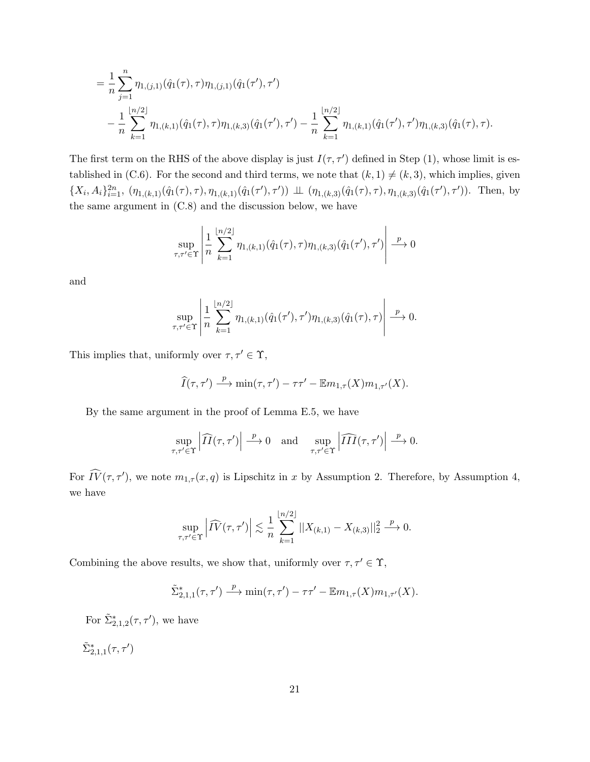$$
= \frac{1}{n} \sum_{j=1}^{n} \eta_{1,(j,1)}(\hat{q}_1(\tau), \tau) \eta_{1,(j,1)}(\hat{q}_1(\tau'), \tau') - \frac{1}{n} \sum_{k=1}^{\lfloor n/2 \rfloor} \eta_{1,(k,1)}(\hat{q}_1(\tau), \tau) \eta_{1,(k,3)}(\hat{q}_1(\tau'), \tau') - \frac{1}{n} \sum_{k=1}^{\lfloor n/2 \rfloor} \eta_{1,(k,1)}(\hat{q}_1(\tau'), \tau') \eta_{1,(k,3)}(\hat{q}_1(\tau), \tau).
$$

The first term on the RHS of the above display is just  $I(\tau, \tau')$  defined in Step (1), whose limit is established in (C.6). For the second and third terms, we note that  $(k, 1) \neq (k, 3)$ , which implies, given  $\{X_i, A_i\}_{i=1}^{2n}$ ,  $(\eta_{1,(k,1)}(\hat{q}_1(\tau),\tau), \eta_{1,(k,1)}(\hat{q}_1(\tau'),\tau')) \perp (\eta_{1,(k,3)}(\hat{q}_1(\tau),\tau), \eta_{1,(k,3)}(\hat{q}_1(\tau'),\tau'))$ . Then, by the same argument in (C.8) and the discussion below, we have

$$
\sup_{\tau,\tau' \in \Upsilon} \left| \frac{1}{n} \sum_{k=1}^{\lfloor n/2 \rfloor} \eta_{1,(k,1)}(\hat{q}_1(\tau), \tau) \eta_{1,(k,3)}(\hat{q}_1(\tau'), \tau') \right| \xrightarrow{p} 0
$$

and

$$
\sup_{\tau,\tau' \in \Upsilon} \left| \frac{1}{n} \sum_{k=1}^{\lfloor n/2 \rfloor} \eta_{1,(k,1)}(\hat{q}_1(\tau'), \tau') \eta_{1,(k,3)}(\hat{q}_1(\tau), \tau) \right| \xrightarrow{p} 0.
$$

This implies that, uniformly over  $\tau, \tau' \in \Upsilon$ ,

$$
\widehat{I}(\tau,\tau') \stackrel{p}{\longrightarrow} \min(\tau,\tau') - \tau\tau' - \mathbb{E}m_{1,\tau}(X)m_{1,\tau'}(X).
$$

By the same argument in the proof of Lemma E.5, we have

$$
\sup_{\tau,\tau'\in\Upsilon}\left|\widehat{II}(\tau,\tau')\right|\xrightarrow{p}0\quad\text{and}\quad\sup_{\tau,\tau'\in\Upsilon}\left|\widehat{III}(\tau,\tau')\right|\xrightarrow{p}0.
$$

For  $\widehat{IV}(\tau, \tau')$ , we note  $m_{1,\tau}(x, q)$  is Lipschitz in x by Assumption 2. Therefore, by Assumption 4, we have

$$
\sup_{\tau,\tau' \in \Upsilon} \left| \widehat{IV}(\tau,\tau') \right| \lesssim \frac{1}{n} \sum_{k=1}^{\lfloor n/2 \rfloor} ||X_{(k,1)} - X_{(k,3)}||_2^2 \stackrel{p}{\longrightarrow} 0.
$$

Combining the above results, we show that, uniformly over  $\tau, \tau' \in \Upsilon,$ 

$$
\tilde{\Sigma}_{2,1,1}^*(\tau,\tau') \stackrel{p}{\longrightarrow} \min(\tau,\tau') - \tau\tau' - \mathbb{E}m_{1,\tau}(X)m_{1,\tau'}(X).
$$

For  $\tilde{\Sigma}_{2,1,2}^*(\tau,\tau')$ , we have

 $\tilde{\Sigma}_{2,1,1}^*(\tau,\tau')$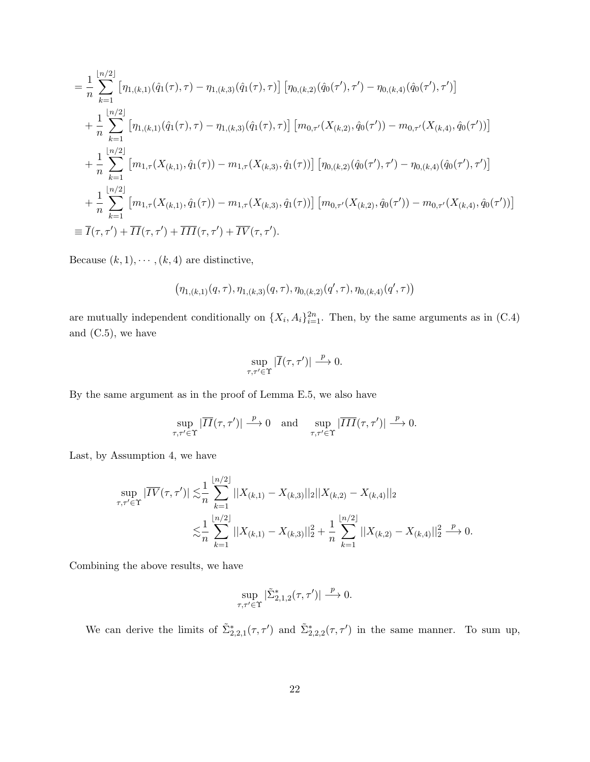$$
= \frac{1}{n} \sum_{k=1}^{\lfloor n/2 \rfloor} \left[ \eta_{1,(k,1)}(\hat{q}_1(\tau),\tau) - \eta_{1,(k,3)}(\hat{q}_1(\tau),\tau) \right] \left[ \eta_{0,(k,2)}(\hat{q}_0(\tau'),\tau') - \eta_{0,(k,4)}(\hat{q}_0(\tau'),\tau') \right]
$$
  
+ 
$$
\frac{1}{n} \sum_{k=1}^{\lfloor n/2 \rfloor} \left[ \eta_{1,(k,1)}(\hat{q}_1(\tau),\tau) - \eta_{1,(k,3)}(\hat{q}_1(\tau),\tau) \right] \left[ m_{0,\tau'}(X_{(k,2)},\hat{q}_0(\tau')) - m_{0,\tau'}(X_{(k,4)},\hat{q}_0(\tau')) \right]
$$
  
+ 
$$
\frac{1}{n} \sum_{k=1}^{\lfloor n/2 \rfloor} \left[ m_{1,\tau}(X_{(k,1)},\hat{q}_1(\tau)) - m_{1,\tau}(X_{(k,3)},\hat{q}_1(\tau)) \right] \left[ \eta_{0,(k,2)}(\hat{q}_0(\tau'),\tau') - \eta_{0,(k,4)}(\hat{q}_0(\tau'),\tau') \right]
$$
  
+ 
$$
\frac{1}{n} \sum_{k=1}^{\lfloor n/2 \rfloor} \left[ m_{1,\tau}(X_{(k,1)},\hat{q}_1(\tau)) - m_{1,\tau}(X_{(k,3)},\hat{q}_1(\tau)) \right] \left[ m_{0,\tau'}(X_{(k,2)},\hat{q}_0(\tau')) - m_{0,\tau'}(X_{(k,4)},\hat{q}_0(\tau')) \right]
$$
  
= 
$$
\overline{I}(\tau,\tau') + \overline{II}(\tau,\tau') + \overline{III}(\tau,\tau') + \overline{III}(\tau,\tau') + \overline{IV}(\tau,\tau').
$$

Because  $(k, 1), \cdots, (k, 4)$  are distinctive,

$$
\left(\eta_{1,(k,1)}(q,\tau),\eta_{1,(k,3)}(q,\tau),\eta_{0,(k,2)}(q',\tau),\eta_{0,(k,4)}(q',\tau)\right)
$$

are mutually independent conditionally on  $\{X_i, A_i\}_{i=1}^{2n}$ . Then, by the same arguments as in (C.4) and (C.5), we have

$$
\sup_{\tau,\tau'\in\Upsilon}|\overline{I}(\tau,\tau')|\xrightarrow{p}0.
$$

By the same argument as in the proof of Lemma E.5, we also have

$$
\sup_{\tau,\tau'\in\Upsilon}|\overline{II}(\tau,\tau')|\xrightarrow{p}0 \text{ and } \sup_{\tau,\tau'\in\Upsilon}|\overline{III}(\tau,\tau')|\xrightarrow{p}0.
$$

Last, by Assumption 4, we have

$$
\sup_{\tau,\tau'\in\Upsilon}|\overline{IV}(\tau,\tau')|\lesssim\frac{1}{n}\sum_{k=1}^{\lfloor n/2\rfloor}||X_{(k,1)}-X_{(k,3)}||_2||X_{(k,2)}-X_{(k,4)}||_2
$$
  

$$
\lesssim\frac{1}{n}\sum_{k=1}^{\lfloor n/2\rfloor}||X_{(k,1)}-X_{(k,3)}||_2^2+\frac{1}{n}\sum_{k=1}^{\lfloor n/2\rfloor}||X_{(k,2)}-X_{(k,4)}||_2^2\stackrel{p}{\longrightarrow}0.
$$

Combining the above results, we have

$$
\sup_{\tau,\tau'\in\Upsilon}|\tilde\Sigma_{2,1,2}^*(\tau,\tau')|\overset{p}{\longrightarrow} 0.
$$

We can derive the limits of  $\tilde{\Sigma}_{2,2,1}^*(\tau,\tau')$  and  $\tilde{\Sigma}_{2,2,2}^*(\tau,\tau')$  in the same manner. To sum up,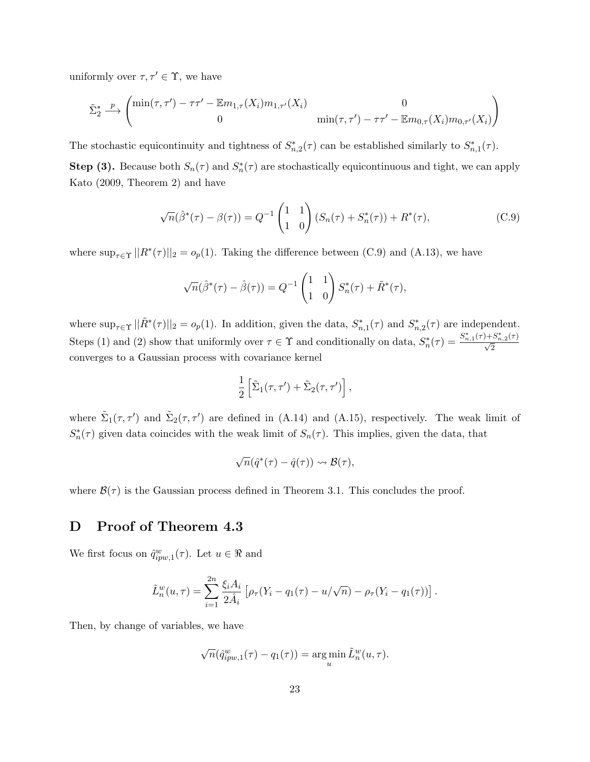uniformly over  $\tau, \tau' \in \Upsilon$ , we have

$$
\tilde{\Sigma}_2^* \xrightarrow{p} \begin{pmatrix} \min(\tau, \tau') - \tau \tau' - \mathbb{E} m_{1, \tau}(X_i) m_{1, \tau'}(X_i) & 0 \\ 0 & \min(\tau, \tau') - \tau \tau' - \mathbb{E} m_{0, \tau}(X_i) m_{0, \tau'}(X_i) \end{pmatrix}
$$

The stochastic equicontinuity and tightness of  $S_{n,2}^*(\tau)$  can be established similarly to  $S_{n,1}^*(\tau)$ .

**Step (3).** Because both  $S_n(\tau)$  and  $S_n^*(\tau)$  are stochastically equicontinuous and tight, we can apply Kato (2009, Theorem 2) and have

$$
\sqrt{n}(\hat{\beta}^*(\tau) - \beta(\tau)) = Q^{-1} \begin{pmatrix} 1 & 1 \\ 1 & 0 \end{pmatrix} (S_n(\tau) + S_n^*(\tau)) + R^*(\tau), \tag{C.9}
$$

where  $\sup_{\tau \in \Upsilon} ||R^*(\tau)||_2 = o_p(1)$ . Taking the difference between (C.9) and (A.13), we have

$$
\sqrt{n}(\hat{\beta}^*(\tau) - \hat{\beta}(\tau)) = Q^{-1} \begin{pmatrix} 1 & 1 \\ 1 & 0 \end{pmatrix} S_n^*(\tau) + \tilde{R}^*(\tau),
$$

where  $\sup_{\tau \in \Upsilon} ||\tilde{R}^*(\tau)||_2 = o_p(1)$ . In addition, given the data,  $S^*_{n,1}(\tau)$  and  $S^*_{n,2}(\tau)$  are independent. Steps (1) and (2) show that uniformly over  $\tau \in \Upsilon$  and conditionally on data,  $S_n^*(\tau) = \frac{S_{n,1}^*(\tau) + S_{n,2}^*(\tau)}{\sqrt{2}}$ converges to a Gaussian process with covariance kernel

$$
\frac{1}{2}\left[\tilde{\Sigma}_1(\tau,\tau')+\tilde{\Sigma}_2(\tau,\tau')\right],
$$

where  $\tilde{\Sigma}_1(\tau, \tau')$  and  $\tilde{\Sigma}_2(\tau, \tau')$  are defined in (A.14) and (A.15), respectively. The weak limit of  $S_n^*(\tau)$  given data coincides with the weak limit of  $S_n(\tau)$ . This implies, given the data, that

$$
\sqrt{n}(\hat{q}^*(\tau)-\hat{q}(\tau))\rightsquigarrow\mathcal{B}(\tau),
$$

where  $\mathcal{B}(\tau)$  is the Gaussian process defined in Theorem 3.1. This concludes the proof.

### D Proof of Theorem 4.3

We first focus on  $\hat{q}_{ipw,1}^w(\tau)$ . Let  $u \in \Re$  and

$$
\tilde{L}_n^w(u,\tau) = \sum_{i=1}^{2n} \frac{\xi_i A_i}{2\hat{A}_i} \left[ \rho_\tau (Y_i - q_1(\tau) - u/\sqrt{n}) - \rho_\tau (Y_i - q_1(\tau)) \right].
$$

Then, by change of variables, we have

$$
\sqrt{n}(\hat{q}_{ipw,1}^w(\tau) - q_1(\tau)) = \argmin_u \tilde{L}_n^w(u,\tau).
$$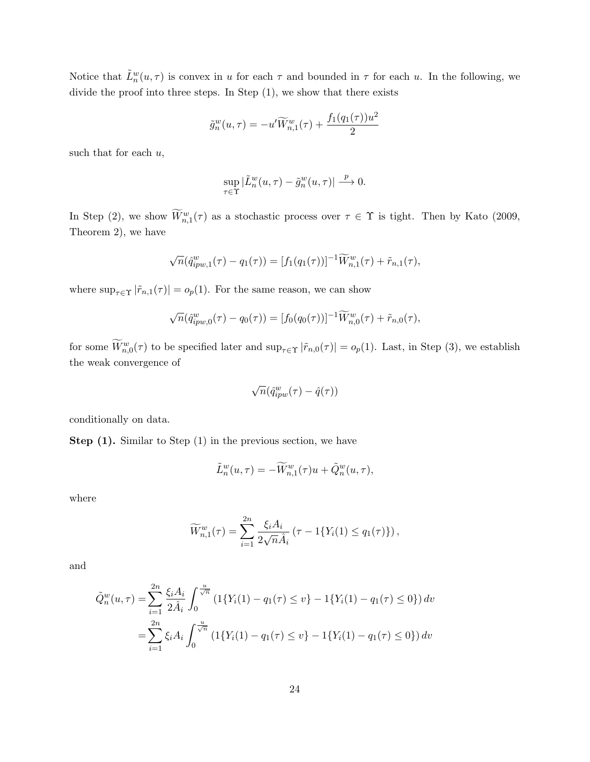Notice that  $\tilde{L}_n^w(u,\tau)$  is convex in u for each  $\tau$  and bounded in  $\tau$  for each u. In the following, we divide the proof into three steps. In Step (1), we show that there exists

$$
\tilde{g}_n^w(u,\tau) = -u'\widetilde{W}_{n,1}^w(\tau) + \frac{f_1(q_1(\tau))u^2}{2}
$$

such that for each  $u$ ,

$$
\sup_{\tau \in \Upsilon}|\tilde{L}^w_n(u,\tau)-\tilde{g}^w_n(u,\tau)| \stackrel{p}{\longrightarrow} 0.
$$

In Step (2), we show  $\widetilde{W}^w_{n,1}(\tau)$  as a stochastic process over  $\tau \in \Upsilon$  is tight. Then by Kato (2009, Theorem 2), we have

$$
\sqrt{n}(\hat{q}_{ipw,1}^w(\tau) - q_1(\tau)) = [f_1(q_1(\tau))]^{-1} \widetilde{W}_{n,1}^w(\tau) + \tilde{r}_{n,1}(\tau),
$$

where  $\sup_{\tau \in \Upsilon} |\tilde{r}_{n,1}(\tau)| = o_p(1)$ . For the same reason, we can show

$$
\sqrt{n}(\hat{q}_{ipw,0}^w(\tau) - q_0(\tau)) = [f_0(q_0(\tau))]^{-1} \widetilde{W}_{n,0}^w(\tau) + \tilde{r}_{n,0}(\tau),
$$

for some  $\widetilde{W}^w_{n,0}(\tau)$  to be specified later and  $\sup_{\tau \in \Upsilon} |\widetilde{r}_{n,0}(\tau)| = o_p(1)$ . Last, in Step (3), we establish the weak convergence of

$$
\sqrt{n}(\hat{q}_{ipw}^w(\tau)-\hat{q}(\tau))
$$

conditionally on data.

Step (1). Similar to Step (1) in the previous section, we have

$$
\tilde{L}_n^w(u,\tau) = -\widetilde{W}_{n,1}^w(\tau)u + \tilde{Q}_n^w(u,\tau),
$$

where

$$
\widetilde{W}_{n,1}^w(\tau) = \sum_{i=1}^{2n} \frac{\xi_i A_i}{2\sqrt{n}\hat{A}_i} (\tau - 1\{Y_i(1) \le q_1(\tau)\}),
$$

and

$$
\tilde{Q}_n^w(u,\tau) = \sum_{i=1}^{2n} \frac{\xi_i A_i}{2\hat{A}_i} \int_0^{\frac{u}{\sqrt{n}}} \left( 1\{ Y_i(1) - q_1(\tau) \le v \} - 1\{ Y_i(1) - q_1(\tau) \le 0 \} \right) dv
$$

$$
= \sum_{i=1}^{2n} \xi_i A_i \int_0^{\frac{u}{\sqrt{n}}} \left( 1\{ Y_i(1) - q_1(\tau) \le v \} - 1\{ Y_i(1) - q_1(\tau) \le 0 \} \right) dv
$$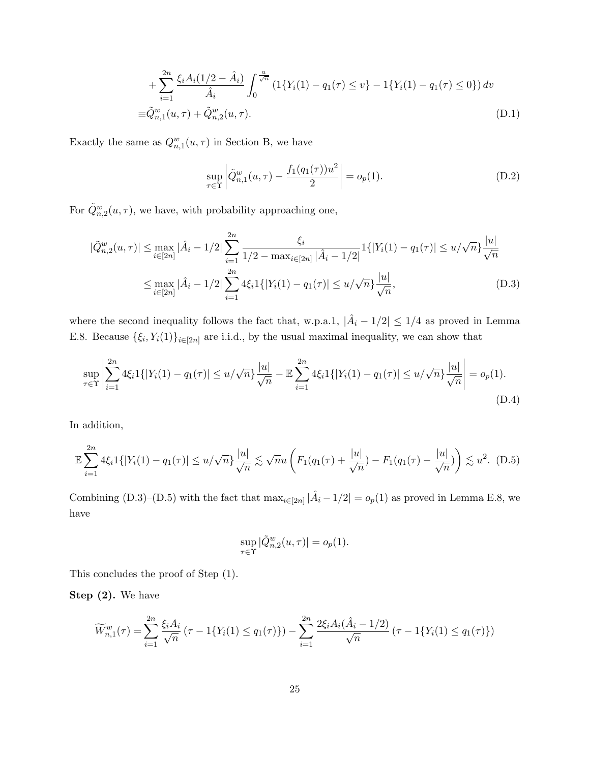$$
+\sum_{i=1}^{2n} \frac{\xi_i A_i (1/2 - \hat{A}_i)}{\hat{A}_i} \int_0^{\frac{u}{\sqrt{n}}} \left(1\{Y_i(1) - q_1(\tau) \le v\} - 1\{Y_i(1) - q_1(\tau) \le 0\}\right) dv
$$
  

$$
\equiv \tilde{Q}_{n,1}^w(u,\tau) + \tilde{Q}_{n,2}^w(u,\tau).
$$
 (D.1)

Exactly the same as  $Q_{n,1}^w(u,\tau)$  in Section B, we have

$$
\sup_{\tau \in \Upsilon} \left| \tilde{Q}_{n,1}^w(u,\tau) - \frac{f_1(q_1(\tau))u^2}{2} \right| = o_p(1). \tag{D.2}
$$

For  $\tilde{Q}_{n,2}^w(u,\tau)$ , we have, with probability approaching one,

$$
|\tilde{Q}_{n,2}^w(u,\tau)| \le \max_{i \in [2n]} |\hat{A}_i - 1/2| \sum_{i=1}^{2n} \frac{\xi_i}{1/2 - \max_{i \in [2n]} |\hat{A}_i - 1/2|} 1\{|Y_i(1) - q_1(\tau)| \le u/\sqrt{n}\} \frac{|u|}{\sqrt{n}} \le \max_{i \in [2n]} |\hat{A}_i - 1/2| \sum_{i=1}^{2n} 4\xi_i 1\{|Y_i(1) - q_1(\tau)| \le u/\sqrt{n}\} \frac{|u|}{\sqrt{n}},
$$
\n(D.3)

where the second inequality follows the fact that, w.p.a.1,  $|\hat{A}_i - 1/2| \leq 1/4$  as proved in Lemma E.8. Because  $\{\xi_i, Y_i(1)\}_{i\in[2n]}$  are i.i.d., by the usual maximal inequality, we can show that

$$
\sup_{\tau \in \Upsilon} \left| \sum_{i=1}^{2n} 4\xi_i 1\{|Y_i(1) - q_1(\tau)| \le u/\sqrt{n}\} \frac{|u|}{\sqrt{n}} - \mathbb{E} \sum_{i=1}^{2n} 4\xi_i 1\{|Y_i(1) - q_1(\tau)| \le u/\sqrt{n}\} \frac{|u|}{\sqrt{n}} \right| = o_p(1).
$$
\n(D.4)

In addition,

$$
\mathbb{E}\sum_{i=1}^{2n}4\xi_i 1\{|Y_i(1)-q_1(\tau)|\leq u/\sqrt{n}\}\frac{|u|}{\sqrt{n}}\lesssim \sqrt{n}u\left(F_1(q_1(\tau)+\frac{|u|}{\sqrt{n}})-F_1(q_1(\tau)-\frac{|u|}{\sqrt{n}})\right)\lesssim u^2.\tag{D.5}
$$

Combining (D.3)–(D.5) with the fact that  $\max_{i \in [2n]} |\hat{A}_i - 1/2| = o_p(1)$  as proved in Lemma E.8, we have

$$
\sup_{\tau \in \Upsilon} |\tilde{Q}_{n,2}^w(u,\tau)| = o_p(1).
$$

This concludes the proof of Step (1).

Step (2). We have

$$
\widetilde{W}_{n,1}^w(\tau) = \sum_{i=1}^{2n} \frac{\xi_i A_i}{\sqrt{n}} (\tau - 1\{Y_i(1) \le q_1(\tau)\}) - \sum_{i=1}^{2n} \frac{2\xi_i A_i (\hat{A}_i - 1/2)}{\sqrt{n}} (\tau - 1\{Y_i(1) \le q_1(\tau)\})
$$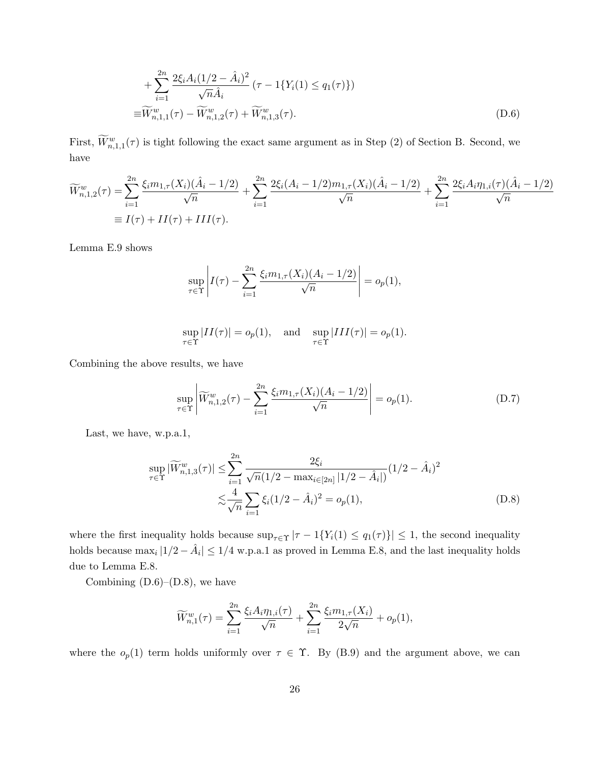+ 
$$
\sum_{i=1}^{2n} \frac{2\xi_i A_i (1/2 - \hat{A}_i)^2}{\sqrt{n} \hat{A}_i} (\tau - 1\{Y_i(1) \le q_1(\tau)\})
$$
  
\n= 
$$
\widetilde{W}_{n,1,1}^w(\tau) - \widetilde{W}_{n,1,2}^w(\tau) + \widetilde{W}_{n,1,3}^w(\tau).
$$
 (D.6)

First,  $\widetilde{W}^w_{n,1,1}(\tau)$  is tight following the exact same argument as in Step (2) of Section B. Second, we have

$$
\widetilde{W}_{n,1,2}^w(\tau) = \sum_{i=1}^{2n} \frac{\xi_i m_{1,\tau}(X_i)(\hat{A}_i - 1/2)}{\sqrt{n}} + \sum_{i=1}^{2n} \frac{2\xi_i(A_i - 1/2)m_{1,\tau}(X_i)(\hat{A}_i - 1/2)}{\sqrt{n}} + \sum_{i=1}^{2n} \frac{2\xi_i A_i \eta_{1,i}(\tau)(\hat{A}_i - 1/2)}{\sqrt{n}}
$$
  
\n
$$
\equiv I(\tau) + II(\tau) + III(\tau).
$$

Lemma E.9 shows

$$
\sup_{\tau \in \Upsilon} \left| I(\tau) - \sum_{i=1}^{2n} \frac{\xi_i m_{1,\tau}(X_i)(A_i - 1/2)}{\sqrt{n}} \right| = o_p(1),
$$

$$
\sup_{\tau \in \Upsilon} |II(\tau)| = o_p(1), \quad \text{and} \quad \sup_{\tau \in \Upsilon} |III(\tau)| = o_p(1).
$$

Combining the above results, we have

$$
\sup_{\tau \in \Upsilon} \left| \widetilde{W}_{n,1,2}^w(\tau) - \sum_{i=1}^{2n} \frac{\xi_i m_{1,\tau}(X_i)(A_i - 1/2)}{\sqrt{n}} \right| = o_p(1). \tag{D.7}
$$

Last, we have, w.p.a.1,

$$
\sup_{\tau \in \Upsilon} |\widetilde{W}_{n,1,3}^w(\tau)| \le \sum_{i=1}^{2n} \frac{2\xi_i}{\sqrt{n}(1/2 - \max_{i \in [2n]} |1/2 - \hat{A}_i|)} (1/2 - \hat{A}_i)^2
$$
  

$$
\lesssim \frac{4}{\sqrt{n}} \sum_{i=1} \xi_i (1/2 - \hat{A}_i)^2 = o_p(1),
$$
 (D.8)

where the first inequality holds because  $\sup_{\tau \in \Upsilon} |\tau - 1\{Y_i(1) \leq q_1(\tau)\}| \leq 1$ , the second inequality holds because  $\max_i |1/2 - \hat{A}_i| \leq 1/4$  w.p.a.1 as proved in Lemma E.8, and the last inequality holds due to Lemma E.8.

Combining  $(D.6)$ – $(D.8)$ , we have

$$
\widetilde{W}_{n,1}^w(\tau) = \sum_{i=1}^{2n} \frac{\xi_i A_i \eta_{1,i}(\tau)}{\sqrt{n}} + \sum_{i=1}^{2n} \frac{\xi_i m_{1,\tau}(X_i)}{2\sqrt{n}} + o_p(1),
$$

where the  $o_p(1)$  term holds uniformly over  $\tau \in \Upsilon$ . By (B.9) and the argument above, we can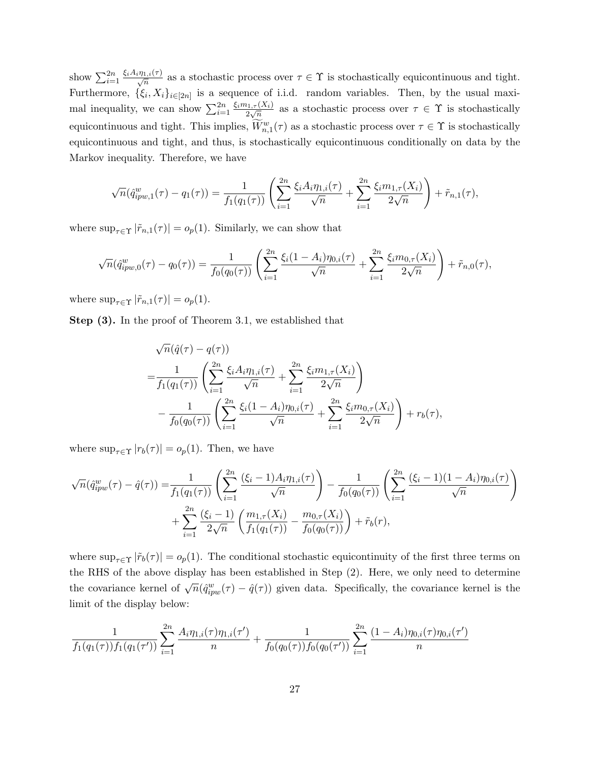show  $\sum_{i=1}^{2n}$  $\frac{\xi_i A_i \eta_{1,i}(\tau)}{\sqrt{n}}$  as a stochastic process over  $\tau \in \Upsilon$  is stochastically equicontinuous and tight. Furthermore,  $\{\xi_i, X_i\}_{i \in [2n]}$  is a sequence of i.i.d. random variables. Then, by the usual maximal inequality, we can show  $\sum_{i=1}^{2n}$  $\xi_i m_{1,\tau}(X_i)$  $\frac{a_{1,\tau}(X_i)}{2\sqrt{n}}$  as a stochastic process over  $\tau \in \Upsilon$  is stochastically equicontinuous and tight. This implies,  $\widetilde{W}^w_{n,1}(\tau)$  as a stochastic process over  $\tau \in \Upsilon$  is stochastically equicontinuous and tight, and thus, is stochastically equicontinuous conditionally on data by the Markov inequality. Therefore, we have

$$
\sqrt{n}(\hat{q}_{ipw,1}^w(\tau) - q_1(\tau)) = \frac{1}{f_1(q_1(\tau))} \left( \sum_{i=1}^{2n} \frac{\xi_i A_i \eta_{1,i}(\tau)}{\sqrt{n}} + \sum_{i=1}^{2n} \frac{\xi_i m_{1,\tau}(X_i)}{2\sqrt{n}} \right) + \tilde{r}_{n,1}(\tau),
$$

where  $\sup_{\tau \in \Upsilon} |\tilde{r}_{n,1}(\tau)| = o_p(1)$ . Similarly, we can show that

$$
\sqrt{n}(\hat{q}_{ipw,0}^w(\tau) - q_0(\tau)) = \frac{1}{f_0(q_0(\tau))} \left( \sum_{i=1}^{2n} \frac{\xi_i(1 - A_i)\eta_{0,i}(\tau)}{\sqrt{n}} + \sum_{i=1}^{2n} \frac{\xi_i m_{0,\tau}(X_i)}{2\sqrt{n}} \right) + \tilde{r}_{n,0}(\tau),
$$

where  $\sup_{\tau \in \Upsilon} |\tilde{r}_{n,1}(\tau)| = o_p(1)$ .

Step (3). In the proof of Theorem 3.1, we established that

$$
\sqrt{n}(\hat{q}(\tau) - q(\tau))
$$
\n
$$
= \frac{1}{f_1(q_1(\tau))} \left( \sum_{i=1}^{2n} \frac{\xi_i A_i \eta_{1,i}(\tau)}{\sqrt{n}} + \sum_{i=1}^{2n} \frac{\xi_i m_{1,\tau}(X_i)}{2\sqrt{n}} \right)
$$
\n
$$
- \frac{1}{f_0(q_0(\tau))} \left( \sum_{i=1}^{2n} \frac{\xi_i (1 - A_i) \eta_{0,i}(\tau)}{\sqrt{n}} + \sum_{i=1}^{2n} \frac{\xi_i m_{0,\tau}(X_i)}{2\sqrt{n}} \right) + r_b(\tau),
$$

where  $\sup_{\tau \in \Upsilon} |r_b(\tau)| = o_p(1)$ . Then, we have

$$
\sqrt{n}(\hat{q}_{ipw}^{w}(\tau) - \hat{q}(\tau)) = \frac{1}{f_1(q_1(\tau))} \left( \sum_{i=1}^{2n} \frac{(\xi_i - 1) A_i \eta_{1,i}(\tau)}{\sqrt{n}} \right) - \frac{1}{f_0(q_0(\tau))} \left( \sum_{i=1}^{2n} \frac{(\xi_i - 1)(1 - A_i) \eta_{0,i}(\tau)}{\sqrt{n}} \right) + \sum_{i=1}^{2n} \frac{(\xi_i - 1)}{2\sqrt{n}} \left( \frac{m_{1,\tau}(X_i)}{f_1(q_1(\tau))} - \frac{m_{0,\tau}(X_i)}{f_0(q_0(\tau))} \right) + \tilde{r}_b(r),
$$

where  $\sup_{\tau \in \Upsilon} |\tilde{r}_b(\tau)| = o_p(1)$ . The conditional stochastic equicontinuity of the first three terms on the RHS of the above display has been established in Step (2). Here, we only need to determine the covariance kernel of  $\sqrt{n}(\hat{q}_{ipw}^w(\tau) - \hat{q}(\tau))$  given data. Specifically, the covariance kernel is the limit of the display below:

$$
\frac{1}{f_1(q_1(\tau))f_1(q_1(\tau'))}\sum_{i=1}^{2n}\frac{A_i\eta_{1,i}(\tau)\eta_{1,i}(\tau')}{n}+\frac{1}{f_0(q_0(\tau))f_0(q_0(\tau'))}\sum_{i=1}^{2n}\frac{(1-A_i)\eta_{0,i}(\tau)\eta_{0,i}(\tau')}{n}
$$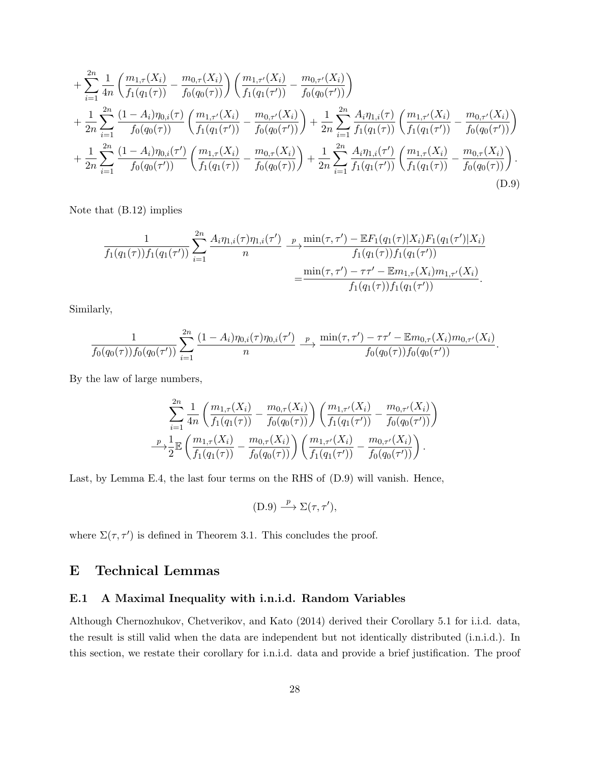$$
+\sum_{i=1}^{2n} \frac{1}{4n} \left( \frac{m_{1,\tau}(X_i)}{f_1(q_1(\tau))} - \frac{m_{0,\tau}(X_i)}{f_0(q_0(\tau))} \right) \left( \frac{m_{1,\tau'}(X_i)}{f_1(q_1(\tau'))} - \frac{m_{0,\tau'}(X_i)}{f_0(q_0(\tau'))} \right) + \frac{1}{2n} \sum_{i=1}^{2n} \frac{(1-A_i)\eta_{0,i}(\tau)}{f_0(q_0(\tau))} \left( \frac{m_{1,\tau'}(X_i)}{f_1(q_1(\tau'))} - \frac{m_{0,\tau'}(X_i)}{f_0(q_0(\tau'))} \right) + \frac{1}{2n} \sum_{i=1}^{2n} \frac{A_i\eta_{1,i}(\tau)}{f_1(q_1(\tau))} \left( \frac{m_{1,\tau'}(X_i)}{f_1(q_1(\tau'))} - \frac{m_{0,\tau'}(X_i)}{f_0(q_0(\tau'))} \right) + \frac{1}{2n} \sum_{i=1}^{2n} \frac{(1-A_i)\eta_{0,i}(\tau')}{f_0(q_0(\tau'))} \left( \frac{m_{1,\tau}(X_i)}{f_1(q_1(\tau))} - \frac{m_{0,\tau}(X_i)}{f_0(q_0(\tau))} \right) + \frac{1}{2n} \sum_{i=1}^{2n} \frac{A_i\eta_{1,i}(\tau')}{f_1(q_1(\tau'))} \left( \frac{m_{1,\tau}(X_i)}{f_1(q_1(\tau))} - \frac{m_{0,\tau}(X_i)}{f_0(q_0(\tau))} \right).
$$
\n(D.9)

Note that (B.12) implies

$$
\frac{1}{f_1(q_1(\tau))f_1(q_1(\tau'))}\sum_{i=1}^{2n}\frac{A_i\eta_{1,i}(\tau)\eta_{1,i}(\tau')}{n} \xrightarrow{p}\frac{\min(\tau,\tau')-\mathbb{E}F_1(q_1(\tau)|X_i)F_1(q_1(\tau')|X_i)}{f_1(q_1(\tau))f_1(q_1(\tau'))} = \frac{\min(\tau,\tau')-\tau\tau'-\mathbb{E}m_{1,\tau}(X_i)m_{1,\tau'}(X_i)}{f_1(q_1(\tau))f_1(q_1(\tau'))}.
$$

Similarly,

$$
\frac{1}{f_0(q_0(\tau))f_0(q_0(\tau'))}\sum_{i=1}^{2n}\frac{(1-A_i)\eta_{0,i}(\tau)\eta_{0,i}(\tau')}{n}\stackrel{p}{\longrightarrow}\frac{\min(\tau,\tau')-\tau\tau'-\mathbb{E}m_{0,\tau}(X_i)m_{0,\tau'}(X_i)}{f_0(q_0(\tau))f_0(q_0(\tau'))}.
$$

By the law of large numbers,

$$
\sum_{i=1}^{2n} \frac{1}{4n} \left( \frac{m_{1,\tau}(X_i)}{f_1(q_1(\tau))} - \frac{m_{0,\tau}(X_i)}{f_0(q_0(\tau))} \right) \left( \frac{m_{1,\tau'}(X_i)}{f_1(q_1(\tau'))} - \frac{m_{0,\tau'}(X_i)}{f_0(q_0(\tau'))} \right)
$$

$$
\xrightarrow{p} \frac{1}{2} \mathbb{E} \left( \frac{m_{1,\tau}(X_i)}{f_1(q_1(\tau))} - \frac{m_{0,\tau}(X_i)}{f_0(q_0(\tau))} \right) \left( \frac{m_{1,\tau'}(X_i)}{f_1(q_1(\tau'))} - \frac{m_{0,\tau'}(X_i)}{f_0(q_0(\tau'))} \right).
$$

Last, by Lemma E.4, the last four terms on the RHS of (D.9) will vanish. Hence,

$$
(D.9) \xrightarrow{p} \Sigma(\tau, \tau'),
$$

where  $\Sigma(\tau, \tau')$  is defined in Theorem 3.1. This concludes the proof.

### E Technical Lemmas

#### E.1 A Maximal Inequality with i.n.i.d. Random Variables

Although Chernozhukov, Chetverikov, and Kato (2014) derived their Corollary 5.1 for i.i.d. data, the result is still valid when the data are independent but not identically distributed (i.n.i.d.). In this section, we restate their corollary for i.n.i.d. data and provide a brief justification. The proof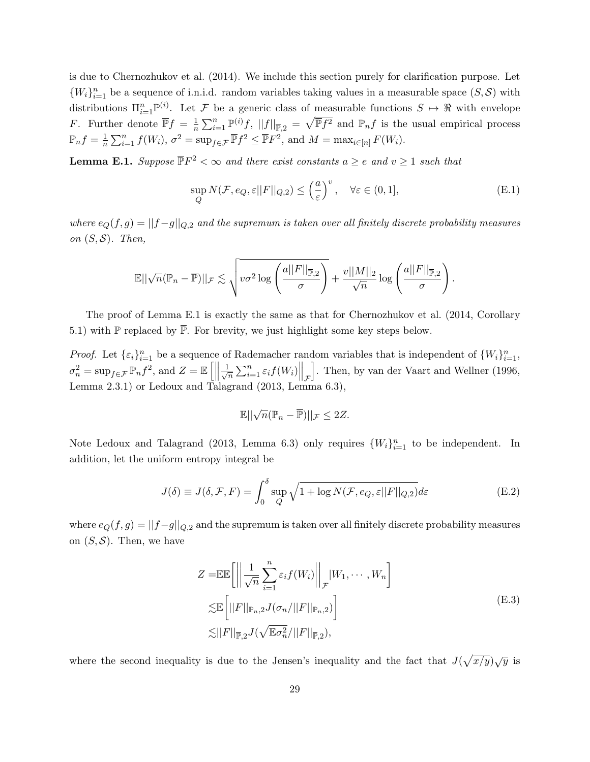is due to Chernozhukov et al. (2014). We include this section purely for clarification purpose. Let  ${W<sub>i</sub>}<sub>i=1</sub><sup>n</sup>$  be a sequence of i.n.i.d. random variables taking values in a measurable space  $(S, S)$  with distributions  $\Pi_{i=1}^n \mathbb{P}^{(i)}$ . Let F be a generic class of measurable functions  $S \mapsto \Re$  with envelope F. Further denote  $\overline{\mathbb{P}}f = \frac{1}{n}$  $\frac{1}{n}\sum_{i=1}^n \mathbb{P}^{(i)}f$ ,  $||f||_{\overline{\mathbb{P}},2} = \sqrt{\overline{\mathbb{P}}f^2}$  and  $\mathbb{P}_n f$  is the usual empirical process  $\mathbb{P}_n f = \frac{1}{n}$  $\frac{1}{n}\sum_{i=1}^{n} f(W_i)$ ,  $\sigma^2 = \sup_{f \in \mathcal{F}} \overline{\mathbb{P}} f^2 \leq \overline{\mathbb{P}} F^2$ , and  $M = \max_{i \in [n]} F(W_i)$ .

**Lemma E.1.** Suppose  $\overline{\mathbb{P}}F^2 < \infty$  and there exist constants  $a \geq e$  and  $v \geq 1$  such that

$$
\sup_{Q} N(\mathcal{F}, e_Q, \varepsilon ||F||_{Q,2}) \le \left(\frac{a}{\varepsilon}\right)^v, \quad \forall \varepsilon \in (0, 1], \tag{E.1}
$$

where  $e_Q(f, g) = ||f - g||_{Q,2}$  and the supremum is taken over all finitely discrete probability measures on  $(S, \mathcal{S})$ . Then,

$$
\mathbb{E}||\sqrt{n}(\mathbb{P}_n - \overline{\mathbb{P}})||_{\mathcal{F}} \lesssim \sqrt{v \sigma^2 \log \left(\frac{a||F||_{\overline{\mathbb{P}},2}}{\sigma}\right)} + \frac{v||M||_2}{\sqrt{n}} \log \left(\frac{a||F||_{\overline{\mathbb{P}},2}}{\sigma}\right).
$$

The proof of Lemma E.1 is exactly the same as that for Chernozhukov et al. (2014, Corollary 5.1) with  $\mathbb P$  replaced by  $\overline{\mathbb P}$ . For brevity, we just highlight some key steps below.

*Proof.* Let  $\{\varepsilon_i\}_{i=1}^n$  be a sequence of Rademacher random variables that is independent of  $\{W_i\}_{i=1}^n$ ,  $\sigma_n^2 = \sup_{f \in \mathcal{F}} \mathbb{P}_n f^2$ , and  $Z = \mathbb{E}\left[\left\|\frac{1}{\sqrt{n}}\right\| \right]$  $\left\| \sum_{i=1}^n \varepsilon_i f(W_i) \right\|_{\mathcal{F}}$ i . Then, by van der Vaart and Wellner (1996, Lemma  $2.3.1$ ) or Ledoux and Talagrand  $(2013, \text{Lemma } 6.3)$ ,

$$
\mathbb{E}||\sqrt{n}(\mathbb{P}_n - \overline{\mathbb{P}})||_{\mathcal{F}} \leq 2Z.
$$

Note Ledoux and Talagrand (2013, Lemma 6.3) only requires  ${W<sub>i</sub>}_{i=1}^n$  to be independent. In addition, let the uniform entropy integral be

$$
J(\delta) \equiv J(\delta, \mathcal{F}, F) = \int_0^{\delta} \sup_Q \sqrt{1 + \log N(\mathcal{F}, e_Q, \varepsilon ||F||_{Q,2})} d\varepsilon
$$
(E.2)

where  $e_Q(f, g) = ||f-g||_{Q,2}$  and the supremum is taken over all finitely discrete probability measures on  $(S, \mathcal{S})$ . Then, we have

$$
Z = \mathbb{E}\mathbb{E}\left[\left|\left|\frac{1}{\sqrt{n}}\sum_{i=1}^{n}\varepsilon_{i}f(W_{i})\right|\right|_{\mathcal{F}}|W_{1}, \cdots, W_{n}\right]
$$
  

$$
\lesssim \mathbb{E}\left[\left|\left|F\right|\right|_{\mathbb{P}_{n},2} J(\sigma_{n}/\left|\left|F\right|\right|_{\mathbb{P}_{n},2})\right]
$$
  

$$
\lesssim \left|\left|F\right|\right|_{\mathbb{P},2} J(\sqrt{\mathbb{E}\sigma_{n}^{2}}/\left|\left|F\right|\right|_{\mathbb{P},2}),
$$
  
(E.3)

where the second inequality is due to the Jensen's inequality and the fact that  $J(\sqrt{x/y})\sqrt{y}$  is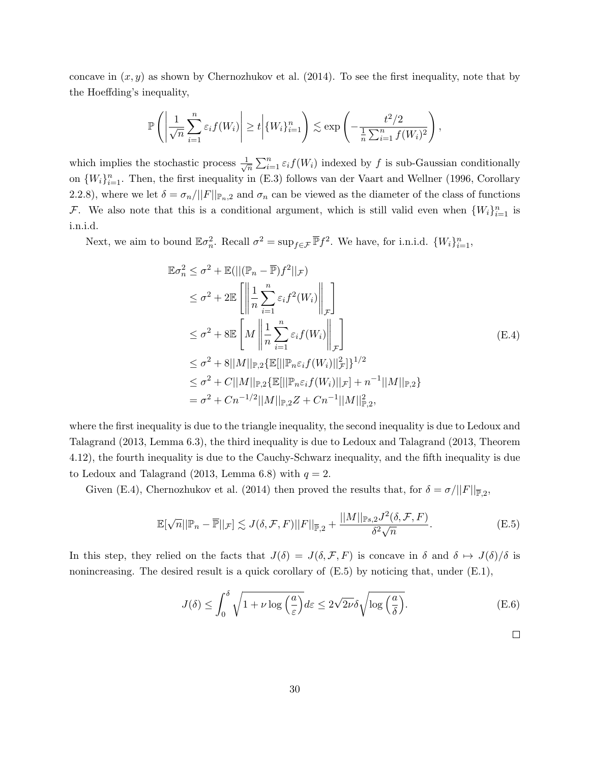concave in  $(x, y)$  as shown by Chernozhukov et al. (2014). To see the first inequality, note that by the Hoeffding's inequality,

$$
\mathbb{P}\left(\left|\frac{1}{\sqrt{n}}\sum_{i=1}^n \varepsilon_i f(W_i)\right| \geq t \left|\{W_i\}_{i=1}^n\right| \lesssim \exp\left(-\frac{t^2/2}{\frac{1}{n}\sum_{i=1}^n f(W_i)^2}\right),
$$

which implies the stochastic process  $\frac{1}{\sqrt{2}}$  $\frac{1}{\sqrt{n}}\sum_{i=1}^n \varepsilon_i f(W_i)$  indexed by f is sub-Gaussian conditionally on  ${W_i}_{i=1}^n$ . Then, the first inequality in (E.3) follows van der Vaart and Wellner (1996, Corollary 2.2.8), where we let  $\delta = \sigma_n / ||F||_{\mathbb{P}_n,2}$  and  $\sigma_n$  can be viewed as the diameter of the class of functions F. We also note that this is a conditional argument, which is still valid even when  $\{W_i\}_{i=1}^n$  is i.n.i.d.

Next, we aim to bound  $\mathbb{E}\sigma_n^2$ . Recall  $\sigma^2 = \sup_{f \in \mathcal{F}} \overline{\mathbb{P}} f^2$ . We have, for i.n.i.d.  $\{W_i\}_{i=1}^n$ ,

$$
\mathbb{E}\sigma_n^2 \leq \sigma^2 + \mathbb{E}(||(\mathbb{P}_n - \overline{\mathbb{P}})f^2||_{\mathcal{F}})
$$
  
\n
$$
\leq \sigma^2 + 2\mathbb{E}\left[\left\|\frac{1}{n}\sum_{i=1}^n \varepsilon_i f^2(W_i)\right\|_{\mathcal{F}}\right]
$$
  
\n
$$
\leq \sigma^2 + 8\mathbb{E}\left[M\left\|\frac{1}{n}\sum_{i=1}^n \varepsilon_i f(W_i)\right\|_{\mathcal{F}}\right]
$$
  
\n
$$
\leq \sigma^2 + 8||M||_{\mathbb{P},2}\left\{\mathbb{E}[||\mathbb{P}_n\varepsilon_i f(W_i)||_{\mathcal{F}}^2]\right\}^{1/2}
$$
  
\n
$$
\leq \sigma^2 + C||M||_{\mathbb{P},2}\left\{\mathbb{E}[||\mathbb{P}_n\varepsilon_i f(W_i)||_{\mathcal{F}}\right\} + n^{-1}||M||_{\mathbb{P},2}\right\}
$$
  
\n
$$
= \sigma^2 + Cn^{-1/2}||M||_{\mathbb{P},2}Z + Cn^{-1}||M||_{\mathbb{P},2}^2,
$$

where the first inequality is due to the triangle inequality, the second inequality is due to Ledoux and Talagrand (2013, Lemma 6.3), the third inequality is due to Ledoux and Talagrand (2013, Theorem 4.12), the fourth inequality is due to the Cauchy-Schwarz inequality, and the fifth inequality is due to Ledoux and Talagrand (2013, Lemma 6.8) with  $q = 2$ .

Given (E.4), Chernozhukov et al. (2014) then proved the results that, for  $\delta = \sigma / ||F||_{\overline{P},2}$ ,

$$
\mathbb{E}[\sqrt{n}||\mathbb{P}_n - \overline{\mathbb{P}}||_{\mathcal{F}}] \lesssim J(\delta, \mathcal{F}, F)||F||_{\overline{\mathbb{P}},2} + \frac{||M||_{\mathbb{P}_s,2}J^2(\delta, \mathcal{F}, F)}{\delta^2 \sqrt{n}}.
$$
\n(E.5)

In this step, they relied on the facts that  $J(\delta) = J(\delta, \mathcal{F}, F)$  is concave in  $\delta$  and  $\delta \mapsto J(\delta)/\delta$  is nonincreasing. The desired result is a quick corollary of  $(E.5)$  by noticing that, under  $(E.1)$ ,

$$
J(\delta) \le \int_0^\delta \sqrt{1 + \nu \log\left(\frac{a}{\varepsilon}\right)} d\varepsilon \le 2\sqrt{2\nu} \delta \sqrt{\log\left(\frac{a}{\delta}\right)}.
$$
 (E.6)

 $\Box$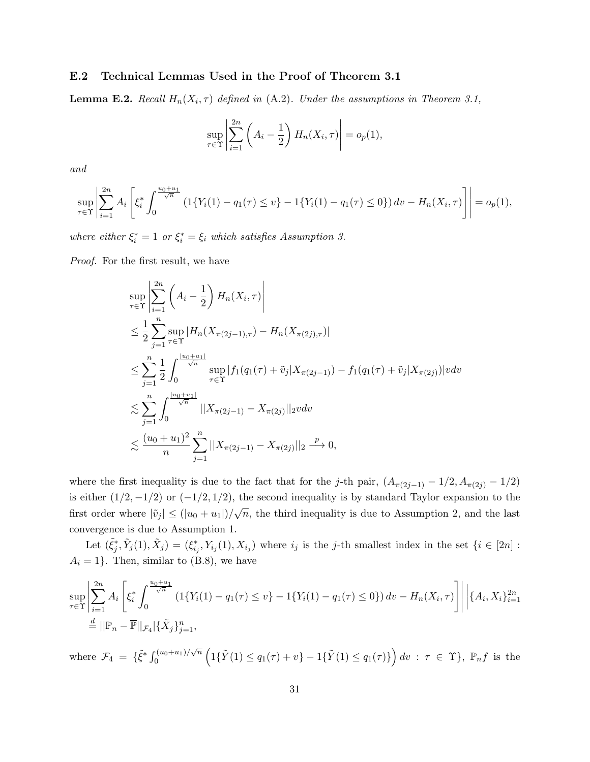#### E.2 Technical Lemmas Used in the Proof of Theorem 3.1

**Lemma E.2.** Recall  $H_n(X_i, \tau)$  defined in  $(A.2)$ . Under the assumptions in Theorem 3.1,

$$
\sup_{\tau \in \Upsilon} \left| \sum_{i=1}^{2n} \left( A_i - \frac{1}{2} \right) H_n(X_i, \tau) \right| = o_p(1),
$$

and

$$
\sup_{\tau \in \Upsilon} \left| \sum_{i=1}^{2n} A_i \left[ \xi_i^* \int_0^{\frac{u_0 + u_1}{\sqrt{n}}} \left( 1\{ Y_i(1) - q_1(\tau) \le v \} - 1\{ Y_i(1) - q_1(\tau) \le 0 \} \right) dv - H_n(X_i, \tau) \right] \right| = o_p(1),
$$

where either  $\xi_i^* = 1$  or  $\xi_i^* = \xi_i$  which satisfies Assumption 3.

Proof. For the first result, we have

$$
\sup_{\tau \in \Upsilon} \left| \sum_{i=1}^{2n} \left( A_i - \frac{1}{2} \right) H_n(X_i, \tau) \right|
$$
\n
$$
\leq \frac{1}{2} \sum_{j=1}^n \sup_{\tau \in \Upsilon} |H_n(X_{\pi(2j-1),\tau}) - H_n(X_{\pi(2j),\tau})|
$$
\n
$$
\leq \sum_{j=1}^n \frac{1}{2} \int_0^{\frac{|u_0 + u_1|}{\sqrt{n}}} \sup_{\tau \in \Upsilon} |f_1(q_1(\tau) + \tilde{v}_j|X_{\pi(2j-1)}) - f_1(q_1(\tau) + \tilde{v}_j|X_{\pi(2j)})| v dv
$$
\n
$$
\leq \sum_{j=1}^n \int_0^{\frac{|u_0 + u_1|}{\sqrt{n}}} ||X_{\pi(2j-1)} - X_{\pi(2j)}||_2 v dv
$$
\n
$$
\leq \frac{(u_0 + u_1)^2}{n} \sum_{j=1}^n ||X_{\pi(2j-1)} - X_{\pi(2j)}||_2 \xrightarrow{p} 0,
$$

where the first inequality is due to the fact that for the j-th pair,  $(A_{\pi(2j-1)} - 1/2, A_{\pi(2j)} - 1/2)$ is either  $(1/2, -1/2)$  or  $(-1/2, 1/2)$ , the second inequality is by standard Taylor expansion to the first order where  $|\tilde{v}_j| \leq (|u_0 + u_1|)/\sqrt{n}$ , the third inequality is due to Assumption 2, and the last convergence is due to Assumption 1.

Let  $(\tilde{\xi}_j^*, \tilde{Y}_j(1), \tilde{X}_j) = (\xi_{ij}^*, Y_{i_j}(1), X_{i_j})$  where  $i_j$  is the j-th smallest index in the set  $\{i \in [2n]:$  $A_i = 1$ . Then, similar to (B.8), we have

$$
\sup_{\tau \in \Upsilon} \left| \sum_{i=1}^{2n} A_i \left[ \xi_i^* \int_0^{\frac{u_0 + u_1}{\sqrt{n}}} (1\{Y_i(1) - q_1(\tau) \le v\} - 1\{Y_i(1) - q_1(\tau) \le 0\}) dv - H_n(X_i, \tau) \right] \right| \left| \{A_i, X_i\}_{i=1}^{2n} \right|
$$
  

$$
\stackrel{d}{=} ||\mathbb{P}_n - \overline{\mathbb{P}}||_{\mathcal{F}_4} |\{\tilde{X}_j\}_{j=1}^n,
$$

where  $\mathcal{F}_4 = {\{\tilde{\xi}^* \int_0^{(u_0 + u_1)/\sqrt{n}}\}$  $C_0^{(u_0+u_1)/\sqrt{n}}\left(1\{\tilde{Y}(1)\leq q_1(\tau)+v\}-1\{\tilde{Y}(1)\leq q_1(\tau)\}\right)dv$  :  $\tau \in \Upsilon$ ,  $\mathbb{P}_n f$  is the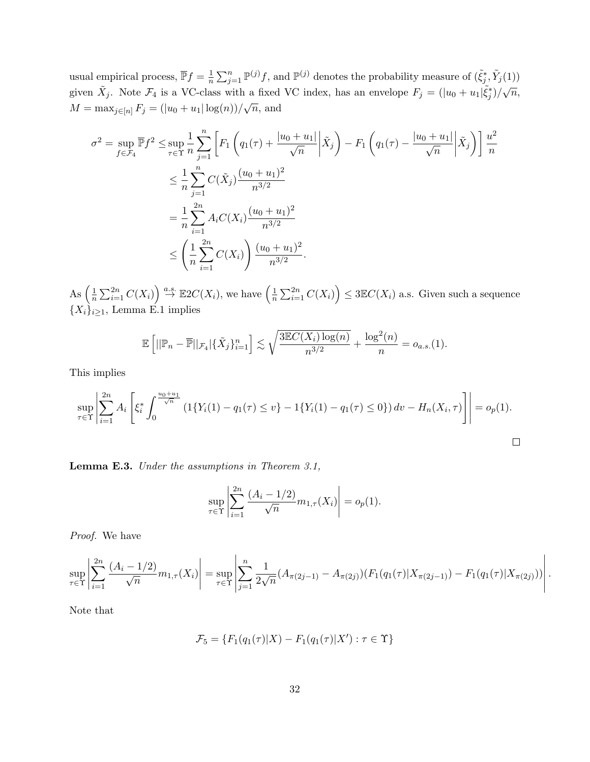usual empirical process,  $\overline{\mathbb{P}}f = \frac{1}{n}$  $\frac{1}{n}\sum_{j=1}^n \mathbb{P}^{(j)} f$ , and  $\mathbb{P}^{(j)}$  denotes the probability measure of  $(\tilde{\xi}_j^*, \tilde{Y}_j(1))$ given  $\tilde{X}_j$ . Note  $\mathcal{F}_4$  is a VC-class with a fixed VC index, has an envelope  $F_j = (|u_0 + u_1| \tilde{\xi}_j^*) / \sqrt{n}$ ,  $M = \max_{j \in [n]} F_j = (|u_0 + u_1| \log(n)) / \sqrt{n},$  and √

$$
\sigma^{2} = \sup_{f \in \mathcal{F}_{4}} \overline{\mathbb{P}} f^{2} \le \sup_{\tau \in \Upsilon} \frac{1}{n} \sum_{j=1}^{n} \left[ F_{1} \left( q_{1}(\tau) + \frac{|u_{0} + u_{1}|}{\sqrt{n}} \middle| \tilde{X}_{j} \right) - F_{1} \left( q_{1}(\tau) - \frac{|u_{0} + u_{1}|}{\sqrt{n}} \middle| \tilde{X}_{j} \right) \right] \frac{u^{2}}{n}
$$
  

$$
\le \frac{1}{n} \sum_{j=1}^{n} C(\tilde{X}_{j}) \frac{(u_{0} + u_{1})^{2}}{n^{3/2}}
$$
  

$$
= \frac{1}{n} \sum_{i=1}^{2n} A_{i} C(X_{i}) \frac{(u_{0} + u_{1})^{2}}{n^{3/2}}
$$
  

$$
\le \left( \frac{1}{n} \sum_{i=1}^{2n} C(X_{i}) \right) \frac{(u_{0} + u_{1})^{2}}{n^{3/2}}.
$$

As  $\left(\frac{1}{n}\right)$  $\frac{1}{n} \sum_{i=1}^{2n} C(X_i)$   $\stackrel{a.s.}{\rightarrow} \mathbb{E}2C(X_i)$ , we have  $\left(\frac{1}{n}\right)$  $\frac{1}{n} \sum_{i=1}^{2n} C(X_i) \leq 3 \mathbb{E} C(X_i)$  a.s. Given such a sequence  ${X_i}_{i\geq 1}$ , Lemma E.1 implies

$$
\mathbb{E}\left[||\mathbb{P}_n - \overline{\mathbb{P}}||_{\mathcal{F}_4}|\{\tilde{X}_j\}_{i=1}^n\right] \lesssim \sqrt{\frac{3\mathbb{E}C(X_i)\log(n)}{n^{3/2}}} + \frac{\log^2(n)}{n} = o_{a.s.}(1).
$$

This implies

$$
\sup_{\tau \in \Upsilon} \left| \sum_{i=1}^{2n} A_i \left[ \xi_i^* \int_0^{\frac{u_0 + u_1}{\sqrt{n}}} \left( 1\{ Y_i(1) - q_1(\tau) \le v \} - 1\{ Y_i(1) - q_1(\tau) \le 0 \} \right) dv - H_n(X_i, \tau) \right] \right| = o_p(1).
$$

Lemma E.3. Under the assumptions in Theorem 3.1,

$$
\sup_{\tau \in \Upsilon} \left| \sum_{i=1}^{2n} \frac{(A_i - 1/2)}{\sqrt{n}} m_{1,\tau}(X_i) \right| = o_p(1).
$$

Proof. We have

$$
\sup_{\tau \in \Upsilon} \left| \sum_{i=1}^{2n} \frac{(A_i - 1/2)}{\sqrt{n}} m_{1,\tau}(X_i) \right| = \sup_{\tau \in \Upsilon} \left| \sum_{j=1}^n \frac{1}{2\sqrt{n}} (A_{\pi(2j-1)} - A_{\pi(2j)}) (F_1(q_1(\tau) | X_{\pi(2j-1)}) - F_1(q_1(\tau) | X_{\pi(2j)}) ) \right|.
$$

Note that

$$
\mathcal{F}_5 = \{ F_1(q_1(\tau)|X) - F_1(q_1(\tau)|X') : \tau \in \Upsilon \}
$$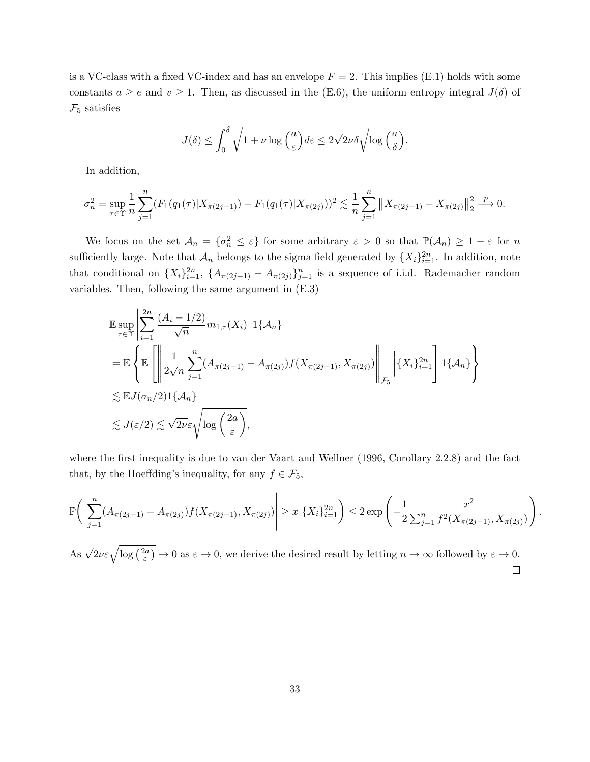is a VC-class with a fixed VC-index and has an envelope  $F = 2$ . This implies (E.1) holds with some constants  $a \ge e$  and  $v \ge 1$ . Then, as discussed in the (E.6), the uniform entropy integral  $J(\delta)$  of  $\mathcal{F}_5$  satisfies

$$
J(\delta) \le \int_0^\delta \sqrt{1 + \nu \log\left(\frac{a}{\varepsilon}\right)} d\varepsilon \le 2\sqrt{2\nu} \delta \sqrt{\log\left(\frac{a}{\delta}\right)}.
$$

In addition,

$$
\sigma_n^2 = \sup_{\tau \in \Upsilon} \frac{1}{n} \sum_{j=1}^n (F_1(q_1(\tau)|X_{\pi(2j-1)}) - F_1(q_1(\tau)|X_{\pi(2j)}))^2 \lesssim \frac{1}{n} \sum_{j=1}^n ||X_{\pi(2j-1)} - X_{\pi(2j)}||_2^2 \xrightarrow{p} 0.
$$

We focus on the set  $\mathcal{A}_n = \{\sigma_n^2 \leq \varepsilon\}$  for some arbitrary  $\varepsilon > 0$  so that  $\mathbb{P}(\mathcal{A}_n) \geq 1 - \varepsilon$  for n sufficiently large. Note that  $\mathcal{A}_n$  belongs to the sigma field generated by  $\{X_i\}_{i=1}^{2n}$ . In addition, note that conditional on  $\{X_i\}_{i=1}^{2n}$ ,  $\{A_{\pi(2j-1)} - A_{\pi(2j)}\}_{j=1}^n$  is a sequence of i.i.d. Rademacher random variables. Then, following the same argument in (E.3)

$$
\mathbb{E} \sup_{\tau \in \Upsilon} \left| \sum_{i=1}^{2n} \frac{(A_i - 1/2)}{\sqrt{n}} m_{1,\tau}(X_i) \right| 1 \{ A_n \}
$$
\n
$$
= \mathbb{E} \left\{ \mathbb{E} \left[ \left\| \frac{1}{2\sqrt{n}} \sum_{j=1}^n (A_{\pi(2j-1)} - A_{\pi(2j)}) f(X_{\pi(2j-1)}, X_{\pi(2j)}) \right\|_{\mathcal{F}_5} \right| \{ X_i \}_{i=1}^{2n} \right] 1 \{ A_n \} \right\}
$$
\n
$$
\lesssim \mathbb{E} J(\sigma_n/2) 1 \{ A_n \}
$$
\n
$$
\lesssim J(\varepsilon/2) \lesssim \sqrt{2\nu} \varepsilon \sqrt{\log \left( \frac{2a}{\varepsilon} \right)},
$$

where the first inequality is due to van der Vaart and Wellner (1996, Corollary 2.2.8) and the fact that, by the Hoeffding's inequality, for any  $f \in \mathcal{F}_5$ ,

$$
\mathbb{P}\Big(\left|\sum_{j=1}^n (A_{\pi(2j-1)} - A_{\pi(2j)}) f(X_{\pi(2j-1)}, X_{\pi(2j)})\right| \ge x \left| \{X_i\}_{i=1}^{2n} \right) \le 2 \exp\left(-\frac{1}{2} \frac{x^2}{\sum_{j=1}^n f^2(X_{\pi(2j-1)}, X_{\pi(2j)})}\right)
$$

.

As  $\sqrt{2\nu}\varepsilon\sqrt{\log\left(\frac{2a}{\varepsilon}\right)}$  $(\frac{2a}{\varepsilon}) \to 0$  as  $\varepsilon \to 0$ , we derive the desired result by letting  $n \to \infty$  followed by  $\varepsilon \to 0$ .  $\Box$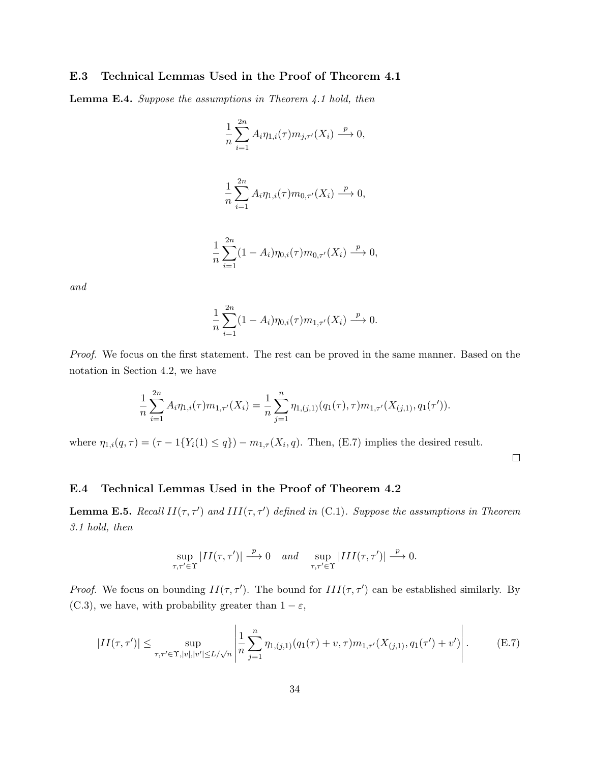#### E.3 Technical Lemmas Used in the Proof of Theorem 4.1

Lemma E.4. Suppose the assumptions in Theorem 4.1 hold, then

$$
\frac{1}{n} \sum_{i=1}^{2n} A_i \eta_{1,i}(\tau) m_{j,\tau'}(X_i) \xrightarrow{p} 0,
$$
  

$$
\frac{1}{n} \sum_{i=1}^{2n} A_i \eta_{1,i}(\tau) m_{0,\tau'}(X_i) \xrightarrow{p} 0,
$$

$$
\frac{1}{n}\sum_{i=1}^{2n}(1-A_i)\eta_{0,i}(\tau)m_{0,\tau'}(X_i)\stackrel{p}{\longrightarrow}0,
$$

and

$$
\frac{1}{n}\sum_{i=1}^{2n}(1-A_i)\eta_{0,i}(\tau)m_{1,\tau'}(X_i)\stackrel{p}{\longrightarrow}0.
$$

Proof. We focus on the first statement. The rest can be proved in the same manner. Based on the notation in Section 4.2, we have

$$
\frac{1}{n}\sum_{i=1}^{2n} A_i \eta_{1,i}(\tau) m_{1,\tau'}(X_i) = \frac{1}{n}\sum_{j=1}^n \eta_{1,(j,1)}(q_1(\tau),\tau) m_{1,\tau'}(X_{(j,1)},q_1(\tau')).
$$

where  $\eta_{1,i}(q,\tau) = (\tau - 1\{Y_i(1) \leq q\}) - m_{1,\tau}(X_i,q)$ . Then, (E.7) implies the desired result.

 $\Box$ 

#### E.4 Technical Lemmas Used in the Proof of Theorem 4.2

**Lemma E.5.** Recall  $II(\tau, \tau')$  and  $III(\tau, \tau')$  defined in (C.1). Suppose the assumptions in Theorem 3.1 hold, then

$$
\sup_{\tau,\tau'\in\Upsilon}|II(\tau,\tau')|\xrightarrow{p}0 \quad and \quad \sup_{\tau,\tau'\in\Upsilon}|III(\tau,\tau')|\xrightarrow{p}0.
$$

*Proof.* We focus on bounding  $II(\tau, \tau')$ . The bound for  $III(\tau, \tau')$  can be established similarly. By (C.3), we have, with probability greater than  $1 - \varepsilon$ ,

$$
|II(\tau, \tau')| \le \sup_{\tau, \tau' \in \Upsilon, |v|, |v'| \le L/\sqrt{n}} \left| \frac{1}{n} \sum_{j=1}^n \eta_{1,(j,1)}(q_1(\tau) + v, \tau) m_{1,\tau'}(X_{(j,1)}, q_1(\tau') + v') \right|.
$$
 (E.7)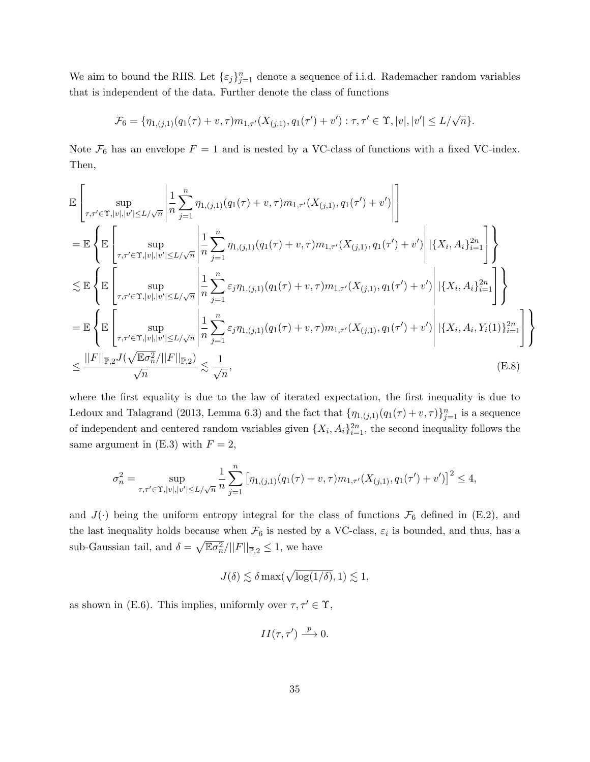We aim to bound the RHS. Let  $\{\varepsilon_j\}_{j=1}^n$  denote a sequence of i.i.d. Rademacher random variables that is independent of the data. Further denote the class of functions

$$
\mathcal{F}_6 = \{ \eta_{1,(j,1)}(q_1(\tau) + v, \tau) m_{1,\tau'}(X_{(j,1)}, q_1(\tau') + v') : \tau, \tau' \in \Upsilon, |v|, |v'| \le L/\sqrt{n} \}.
$$

Note  $\mathcal{F}_6$  has an envelope  $F = 1$  and is nested by a VC-class of functions with a fixed VC-index. Then,

$$
\mathbb{E}\left[\sup_{\tau,\tau'\in\Upsilon,|v|,|v'|\leq L/\sqrt{n}}\left|\frac{1}{n}\sum_{j=1}^{n}\eta_{1,(j,1)}(q_{1}(\tau)+v,\tau)m_{1,\tau'}(X_{(j,1)},q_{1}(\tau')+v')\right|\right] \n= \mathbb{E}\left\{\mathbb{E}\left[\sup_{\tau,\tau'\in\Upsilon,|v|,|v'|\leq L/\sqrt{n}}\left|\frac{1}{n}\sum_{j=1}^{n}\eta_{1,(j,1)}(q_{1}(\tau)+v,\tau)m_{1,\tau'}(X_{(j,1)},q_{1}(\tau')+v')\right|\left|\{X_{i},A_{i}\}_{i=1}^{2n}\right|\right]\right\} \n\lesssim \mathbb{E}\left\{\mathbb{E}\left[\sup_{\tau,\tau'\in\Upsilon,|v|,|v'|\leq L/\sqrt{n}}\left|\frac{1}{n}\sum_{j=1}^{n}\varepsilon_{j}\eta_{1,(j,1)}(q_{1}(\tau)+v,\tau)m_{1,\tau'}(X_{(j,1)},q_{1}(\tau')+v')\right|\left|\{X_{i},A_{i}\}_{i=1}^{2n}\right|\right\} \right] \n= \mathbb{E}\left\{\mathbb{E}\left[\sup_{\tau,\tau'\in\Upsilon,|v|,|v'|\leq L/\sqrt{n}}\left|\frac{1}{n}\sum_{j=1}^{n}\varepsilon_{j}\eta_{1,(j,1)}(q_{1}(\tau)+v,\tau)m_{1,\tau'}(X_{(j,1)},q_{1}(\tau')+v')\right|\left|\{X_{i},A_{i},Y_{i}(1)\}_{i=1}^{2n}\right|\right\} \right\ \n\leq \frac{||F||_{\overline{\mathbb{P}},2}J(\sqrt{\mathbb{E}\sigma_n^2}/||F||_{\overline{\mathbb{P}},2})}{\sqrt{n}}\lesssim \frac{1}{\sqrt{n}},
$$
\n(E.8)

where the first equality is due to the law of iterated expectation, the first inequality is due to Ledoux and Talagrand (2013, Lemma 6.3) and the fact that  $\{\eta_{1,(j,1)}(q_1(\tau)+v,\tau)\}_{j=1}^n$  is a sequence of independent and centered random variables given  $\{X_i, A_i\}_{i=1}^{2n}$ , the second inequality follows the same argument in  $(E.3)$  with  $F = 2$ ,

$$
\sigma_n^2 = \sup_{\tau, \tau' \in \Upsilon, |v|, |v'| \le L/\sqrt{n}} \frac{1}{n} \sum_{j=1}^n \left[ \eta_{1,(j,1)}(q_1(\tau) + v, \tau) m_{1,\tau'}(X_{(j,1)}, q_1(\tau') + v') \right]^2 \le 4,
$$

and  $J(\cdot)$  being the uniform entropy integral for the class of functions  $\mathcal{F}_6$  defined in (E.2), and the last inequality holds because when  $\mathcal{F}_6$  is nested by a VC-class,  $\varepsilon_i$  is bounded, and thus, has a sub-Gaussian tail, and  $\delta = \sqrt{\mathbb{E}\sigma_n^2}/||F||_{\overline{\mathbb{P}},2} \leq 1$ , we have

$$
J(\delta) \lesssim \delta \max(\sqrt{\log(1/\delta)}, 1) \lesssim 1,
$$

as shown in (E.6). This implies, uniformly over  $\tau, \tau' \in \Upsilon$ ,

$$
II(\tau, \tau') \stackrel{p}{\longrightarrow} 0.
$$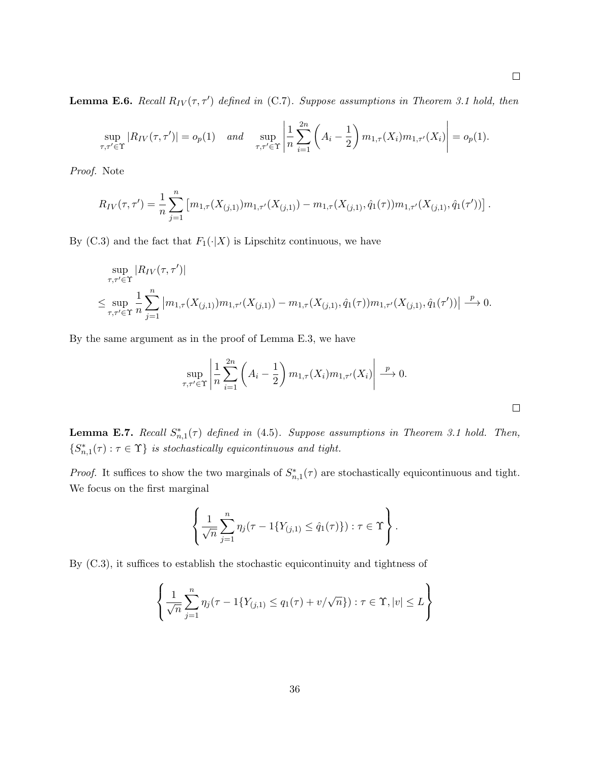**Lemma E.6.** Recall  $R_{IV}(\tau, \tau')$  defined in (C.7). Suppose assumptions in Theorem 3.1 hold, then

$$
\sup_{\tau,\tau' \in \Upsilon} |R_{IV}(\tau,\tau')| = o_p(1) \quad \text{and} \quad \sup_{\tau,\tau' \in \Upsilon} \left| \frac{1}{n} \sum_{i=1}^{2n} \left( A_i - \frac{1}{2} \right) m_{1,\tau}(X_i) m_{1,\tau'}(X_i) \right| = o_p(1).
$$

Proof. Note

$$
R_{IV}(\tau,\tau') = \frac{1}{n} \sum_{j=1}^{n} \left[ m_{1,\tau}(X_{(j,1)}) m_{1,\tau'}(X_{(j,1)}) - m_{1,\tau}(X_{(j,1)},\hat{q}_1(\tau)) m_{1,\tau'}(X_{(j,1)},\hat{q}_1(\tau')) \right].
$$

By (C.3) and the fact that  $F_1(\cdot|X)$  is Lipschitz continuous, we have

$$
\sup_{\tau,\tau'\in\Upsilon} |R_{IV}(\tau,\tau')|
$$
\n
$$
\leq \sup_{\tau,\tau'\in\Upsilon} \frac{1}{n} \sum_{j=1}^n \left| m_{1,\tau}(X_{(j,1)}) m_{1,\tau'}(X_{(j,1)}) - m_{1,\tau}(X_{(j,1)},\hat{q}_1(\tau)) m_{1,\tau'}(X_{(j,1)},\hat{q}_1(\tau')) \right| \xrightarrow{p} 0.
$$

By the same argument as in the proof of Lemma E.3, we have

$$
\sup_{\tau,\tau'\in\Upsilon}\left|\frac{1}{n}\sum_{i=1}^{2n}\left(A_i-\frac{1}{2}\right)m_{1,\tau}(X_i)m_{1,\tau'}(X_i)\right|\xrightarrow{p} 0.
$$

**Lemma E.7.** Recall  $S_{n,1}^*(\tau)$  defined in (4.5). Suppose assumptions in Theorem 3.1 hold. Then,  $\{S_{n,1}^*(\tau): \tau \in \Upsilon\}$  is stochastically equicontinuous and tight.

*Proof.* It suffices to show the two marginals of  $S_{n,1}^*(\tau)$  are stochastically equicontinuous and tight. We focus on the first marginal

$$
\left\{\frac{1}{\sqrt{n}}\sum_{j=1}^n \eta_j(\tau - 1\{Y_{(j,1)} \le \hat{q}_1(\tau)\}) : \tau \in \Upsilon\right\}.
$$

By (C.3), it suffices to establish the stochastic equicontinuity and tightness of

$$
\left\{\frac{1}{\sqrt{n}}\sum_{j=1}^{n}\eta_j(\tau - 1\{Y_{(j,1)} \le q_1(\tau) + v/\sqrt{n}\}):\tau \in \Upsilon, |v| \le L\right\}
$$

 $\overline{\phantom{a}}$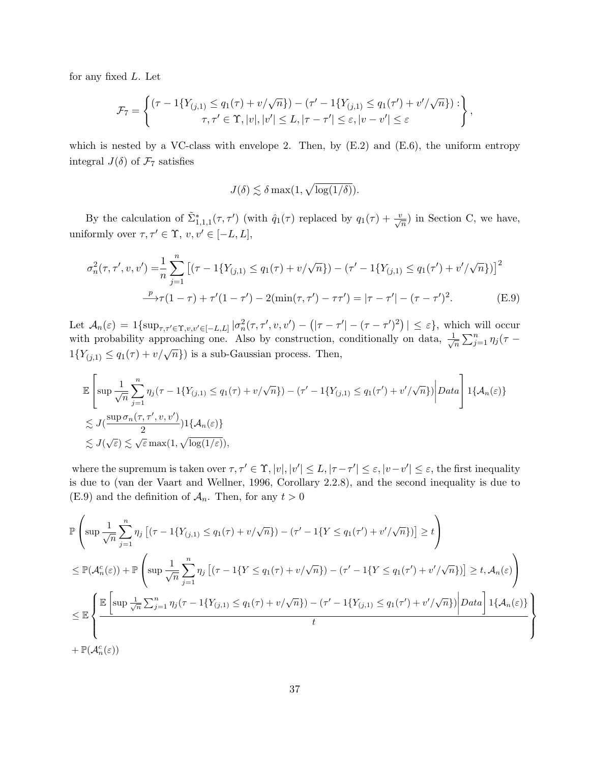for any fixed L. Let

$$
\mathcal{F}_7 = \left\{ \begin{matrix} (\tau - 1\{Y_{(j,1)} \le q_1(\tau) + v/\sqrt{n}\}) - (\tau' - 1\{Y_{(j,1)} \le q_1(\tau') + v'/\sqrt{n}\}) : \\ \tau, \tau' \in \Upsilon, |v|, |v'| \le L, |\tau - \tau'| \le \varepsilon, |v - v'| \le \varepsilon \end{matrix} \right\},\,
$$

which is nested by a VC-class with envelope 2. Then, by  $(E.2)$  and  $(E.6)$ , the uniform entropy integral  $J(\delta)$  of  $\mathcal{F}_7$  satisfies

$$
J(\delta) \lesssim \delta \max(1, \sqrt{\log(1/\delta)}).
$$

By the calculation of  $\tilde{\Sigma}_{1,1,1}^*(\tau,\tau')$  (with  $\hat{q}_1(\tau)$  replaced by  $q_1(\tau) + \frac{v}{\sqrt{n}}$ ) in Section C, we have, uniformly over  $\tau, \tau' \in \Upsilon$ ,  $v, v' \in [-L, L],$ 

$$
\sigma_n^2(\tau, \tau', v, v') = \frac{1}{n} \sum_{j=1}^n \left[ (\tau - 1\{Y_{(j,1)} \le q_1(\tau) + v/\sqrt{n}\}) - (\tau' - 1\{Y_{(j,1)} \le q_1(\tau') + v'/\sqrt{n}\}) \right]^2
$$

$$
\xrightarrow{p} \tau(1-\tau) + \tau'(1-\tau') - 2(\min(\tau, \tau') - \tau\tau') = |\tau - \tau'| - (\tau - \tau')^2. \tag{E.9}
$$

Let  $\mathcal{A}_n(\varepsilon) = 1\{\sup_{\tau,\tau' \in \Upsilon, v,v' \in [-L,L]} |\sigma_n^2(\tau,\tau',v,v') - (|\tau-\tau'| - (\tau-\tau')^2)| \leq \varepsilon\},\$  which will occur with probability approaching one. Also by construction, conditionally on data,  $\frac{1}{6}$  $\frac{1}{n} \sum_{j=1}^n \eta_j(\tau 1\{Y_{(j,1)} \leq q_1(\tau) + v/\sqrt{n}\}\)$  is a sub-Gaussian process. Then,

$$
\mathbb{E}\left[\sup \frac{1}{\sqrt{n}} \sum_{j=1}^{n} \eta_j(\tau - 1\{Y_{(j,1)} \le q_1(\tau) + v/\sqrt{n}\}) - (\tau' - 1\{Y_{(j,1)} \le q_1(\tau') + v'/\sqrt{n}\})\right] Data\right] 1\{\mathcal{A}_n(\varepsilon)\}
$$
  
\n
$$
\lesssim J(\frac{\sup \sigma_n(\tau, \tau', v, v')}{2})1\{\mathcal{A}_n(\varepsilon)\}
$$
  
\n
$$
\lesssim J(\sqrt{\varepsilon}) \lesssim \sqrt{\varepsilon} \max(1, \sqrt{\log(1/\varepsilon)}),
$$

where the supremum is taken over  $\tau, \tau' \in \Upsilon$ ,  $|v|, |v'| \leq L$ ,  $|\tau - \tau'| \leq \varepsilon$ ,  $|v - v'| \leq \varepsilon$ , the first inequality is due to (van der Vaart and Wellner, 1996, Corollary 2.2.8), and the second inequality is due to (E.9) and the definition of  $\mathcal{A}_n$ . Then, for any  $t > 0$ 

$$
\mathbb{P}\left(\sup\frac{1}{\sqrt{n}}\sum_{j=1}^{n}\eta_{j}\left[(\tau-1\{Y_{(j,1)}\leq q_{1}(\tau)+v/\sqrt{n}\})-(\tau'-1\{Y\leq q_{1}(\tau')+v'/\sqrt{n}\})\right]\geq t\right)
$$
\n
$$
\leq \mathbb{P}(\mathcal{A}_{n}^{c}(\varepsilon))+\mathbb{P}\left(\sup\frac{1}{\sqrt{n}}\sum_{j=1}^{n}\eta_{j}\left[(\tau-1\{Y\leq q_{1}(\tau)+v/\sqrt{n}\})-(\tau'-1\{Y\leq q_{1}(\tau')+v'/\sqrt{n}\})\right]\geq t,\mathcal{A}_{n}(\varepsilon)\right)
$$
\n
$$
\leq \mathbb{E}\left\{\frac{\mathbb{E}\left[\sup\frac{1}{\sqrt{n}}\sum_{j=1}^{n}\eta_{j}(\tau-1\{Y_{(j,1)}\leq q_{1}(\tau)+v/\sqrt{n}\})-(\tau'-1\{Y_{(j,1)}\leq q_{1}(\tau')+v'/\sqrt{n}\})\right|Data\right]1\{\mathcal{A}_{n}(\varepsilon)\}}{t}\right\}
$$
\n
$$
+\mathbb{P}(\mathcal{A}_{n}^{c}(\varepsilon))
$$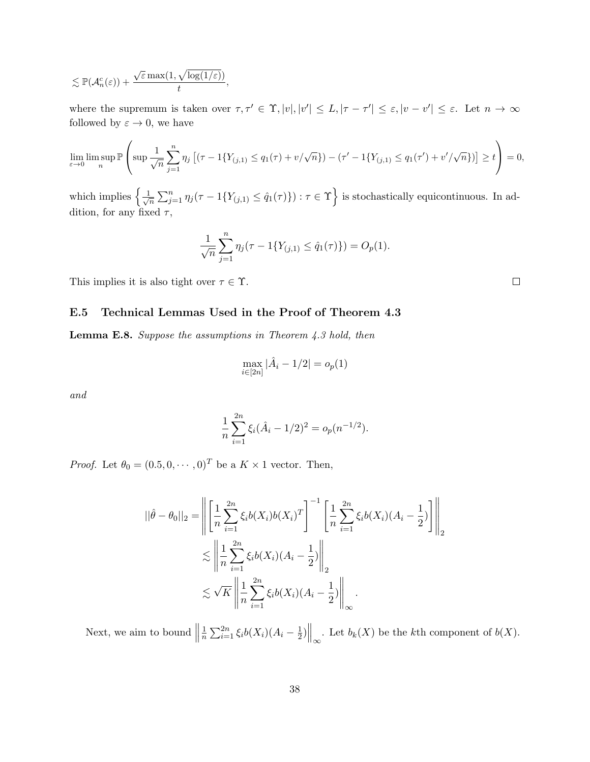$$
\lesssim \mathbb{P}(\mathcal{A}_n^c(\varepsilon))+\frac{\sqrt{\varepsilon}\max(1,\sqrt{\log(1/\varepsilon)})}{t},
$$

where the supremum is taken over  $\tau, \tau' \in \Upsilon$ ,  $|v|, |v'| \leq L, |\tau - \tau'| \leq \varepsilon, |v - v'| \leq \varepsilon$ . Let  $n \to \infty$ followed by  $\varepsilon \to 0$ , we have

$$
\lim_{\varepsilon \to 0} \limsup_{n} \mathbb{P}\left(\sup \frac{1}{\sqrt{n}} \sum_{j=1}^{n} \eta_j \left[ (\tau - 1\{Y_{(j,1)} \le q_1(\tau) + v/\sqrt{n}\}) - (\tau' - 1\{Y_{(j,1)} \le q_1(\tau') + v'/\sqrt{n}\}) \right] \ge t \right) = 0,
$$

which implies  $\left\{\frac{1}{\sqrt{2}}\right\}$  $\frac{1}{\pi} \sum_{j=1}^n \eta_j(\tau - 1\{Y_{(j,1)} \leq \hat{q}_1(\tau)\}) : \tau \in \Upsilon\Big\}$  is stochastically equicontinuous. In addition, for any fixed  $\tau$ ,

$$
\frac{1}{\sqrt{n}} \sum_{j=1}^{n} \eta_j(\tau - 1\{Y_{(j,1)} \le \hat{q}_1(\tau)\}) = O_p(1).
$$

This implies it is also tight over  $\tau \in \Upsilon$ .

#### E.5 Technical Lemmas Used in the Proof of Theorem 4.3

Lemma E.8. Suppose the assumptions in Theorem 4.3 hold, then

$$
\max_{i \in [2n]} |\hat{A}_i - 1/2| = o_p(1)
$$

and

$$
\frac{1}{n}\sum_{i=1}^{2n}\xi_i(\hat{A}_i-1/2)^2=o_p(n^{-1/2}).
$$

*Proof.* Let  $\theta_0 = (0.5, 0, \dots, 0)^T$  be a  $K \times 1$  vector. Then,

$$
||\hat{\theta} - \theta_0||_2 = \left\| \left[ \frac{1}{n} \sum_{i=1}^{2n} \xi_i b(X_i) b(X_i)^T \right]^{-1} \left[ \frac{1}{n} \sum_{i=1}^{2n} \xi_i b(X_i) (A_i - \frac{1}{2}) \right] \right\|_2
$$
  

$$
\lesssim \left\| \frac{1}{n} \sum_{i=1}^{2n} \xi_i b(X_i) (A_i - \frac{1}{2}) \right\|_2
$$
  

$$
\lesssim \sqrt{K} \left\| \frac{1}{n} \sum_{i=1}^{2n} \xi_i b(X_i) (A_i - \frac{1}{2}) \right\|_{\infty}.
$$

Next, we aim to bound  $\parallel$ 1  $\frac{1}{n} \sum_{i=1}^{2n} \xi_i b(X_i) (A_i - \frac{1}{2})$  $\frac{1}{2}$ )  $\Big\|_{\infty}$ . Let  $b_k(X)$  be the kth component of  $b(X)$ .

 $\Box$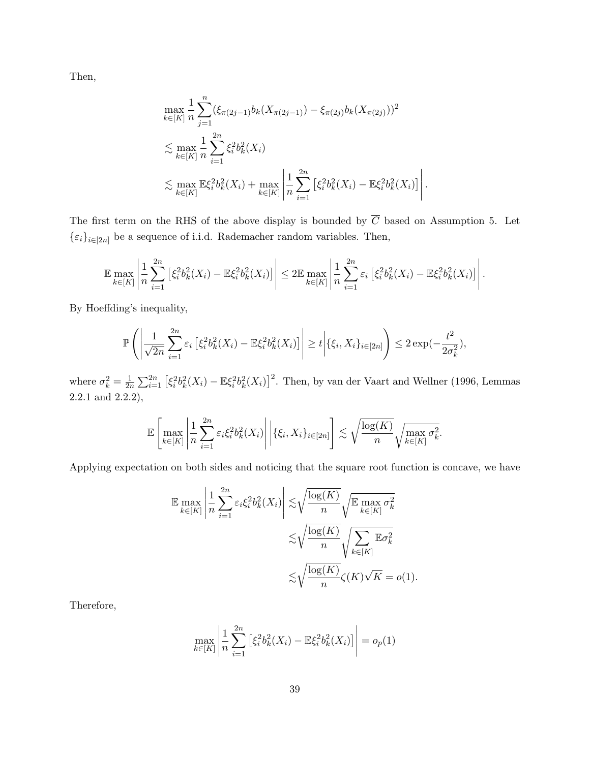Then,

$$
\max_{k \in [K]} \frac{1}{n} \sum_{j=1}^{n} (\xi_{\pi(2j-1)} b_k(X_{\pi(2j-1)}) - \xi_{\pi(2j)} b_k(X_{\pi(2j)}))^2
$$
\n
$$
\lesssim \max_{k \in [K]} \frac{1}{n} \sum_{i=1}^{2n} \xi_i^2 b_k^2(X_i)
$$
\n
$$
\lesssim \max_{k \in [K]} \mathbb{E}\xi_i^2 b_k^2(X_i) + \max_{k \in [K]} \left| \frac{1}{n} \sum_{i=1}^{2n} \left[ \xi_i^2 b_k^2(X_i) - \mathbb{E}\xi_i^2 b_k^2(X_i) \right] \right|
$$

.

The first term on the RHS of the above display is bounded by  $\overline{C}$  based on Assumption 5. Let  $\{\varepsilon_i\}_{i\in[2n]}$  be a sequence of i.i.d. Rademacher random variables. Then,

$$
\mathbb{E} \max_{k \in [K]} \left| \frac{1}{n} \sum_{i=1}^{2n} \left[ \xi_i^2 b_k^2(X_i) - \mathbb{E} \xi_i^2 b_k^2(X_i) \right] \right| \leq 2 \mathbb{E} \max_{k \in [K]} \left| \frac{1}{n} \sum_{i=1}^{2n} \varepsilon_i \left[ \xi_i^2 b_k^2(X_i) - \mathbb{E} \xi_i^2 b_k^2(X_i) \right] \right|.
$$

By Hoeffding's inequality,

$$
\mathbb{P}\left(\left|\frac{1}{\sqrt{2n}}\sum_{i=1}^{2n}\varepsilon_{i}\left[\xi_{i}^{2}b_{k}^{2}(X_{i})-\mathbb{E}\xi_{i}^{2}b_{k}^{2}(X_{i})\right]\right|\geq t\bigg|\{\xi_{i},X_{i}\}_{i\in[2n]}\right)\leq 2\exp(-\frac{t^{2}}{2\sigma_{k}^{2}}),
$$

where  $\sigma_k^2 = \frac{1}{2r}$  $\frac{1}{2n} \sum_{i=1}^{2n} \left[ \xi_i^2 b_k^2(X_i) - \mathbb{E} \xi_i^2 b_k^2(X_i) \right]^2$ . Then, by van der Vaart and Wellner (1996, Lemmas 2.2.1 and 2.2.2),

$$
\mathbb{E}\left[\max_{k\in[K]}\left|\frac{1}{n}\sum_{i=1}^{2n}\varepsilon_i\xi_i^2b_k^2(X_i)\right|\bigg|\{\xi_i,X_i\}_{i\in[2n]}\right]\lesssim\sqrt{\frac{\log(K)}{n}}\sqrt{\max_{k\in[K]}\sigma_k^2}.
$$

Applying expectation on both sides and noticing that the square root function is concave, we have

$$
\mathbb{E} \max_{k \in [K]} \left| \frac{1}{n} \sum_{i=1}^{2n} \varepsilon_i \xi_i^2 b_k^2(X_i) \right| \lesssim \sqrt{\frac{\log(K)}{n}} \sqrt{\mathbb{E} \max_{k \in [K]} \sigma_k^2}
$$

$$
\lesssim \sqrt{\frac{\log(K)}{n}} \sqrt{\sum_{k \in [K]} \mathbb{E} \sigma_k^2}
$$

$$
\lesssim \sqrt{\frac{\log(K)}{n}} \zeta(K) \sqrt{K} = o(1).
$$

Therefore,

$$
\max_{k \in [K]} \left| \frac{1}{n} \sum_{i=1}^{2n} \left[ \xi_i^2 b_k^2(X_i) - \mathbb{E} \xi_i^2 b_k^2(X_i) \right] \right| = o_p(1)
$$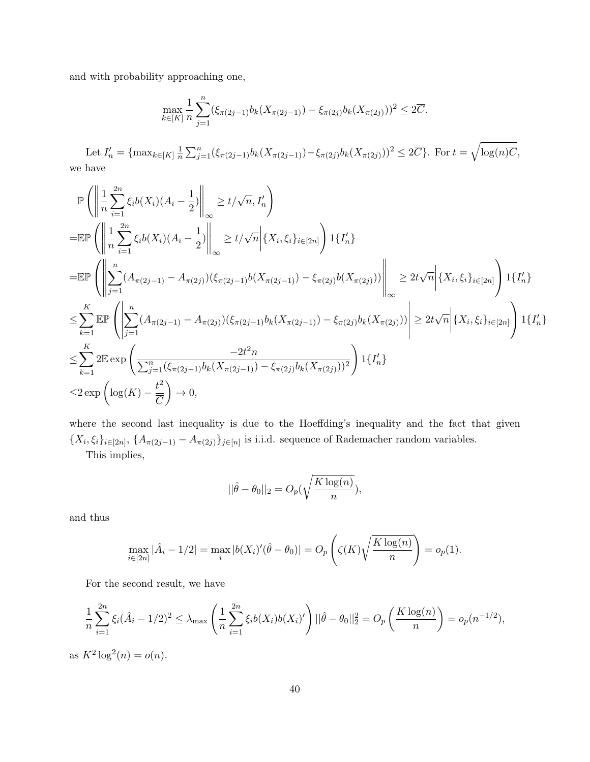and with probability approaching one,

$$
\max_{k \in [K]} \frac{1}{n} \sum_{j=1}^{n} (\xi_{\pi(2j-1)} b_k(X_{\pi(2j-1)}) - \xi_{\pi(2j)} b_k(X_{\pi(2j)}))^2 \leq 2\overline{C}.
$$

Let  $I'_n = \{\max_{k \in [K]} \frac{1}{n}\}$  $\frac{1}{n}\sum_{j=1}^{n}(\xi_{\pi(2j-1)}b_{k}(X_{\pi(2j-1)})-\xi_{\pi(2j)}b_{k}(X_{\pi(2j)}))^2\leq 2\overline{C}\}.$  For  $t=\sqrt{\log(n)\overline{C}}$ , we have

$$
\mathbb{P}\left(\left\|\frac{1}{n}\sum_{i=1}^{2n}\xi_{i}b(X_{i})(A_{i}-\frac{1}{2})\right\|_{\infty}\geq t/\sqrt{n},I'_{n}\right)
$$
\n
$$
=\mathbb{E}\mathbb{P}\left(\left\|\frac{1}{n}\sum_{i=1}^{2n}\xi_{i}b(X_{i})(A_{i}-\frac{1}{2})\right\|_{\infty}\geq t/\sqrt{n}\Big|\{X_{i},\xi_{i}\}_{i\in[2n]}\right)1\{I'_{n}\}\n=\mathbb{E}\mathbb{P}\left(\left\|\sum_{j=1}^{n}(A_{\pi(2j-1)}-A_{\pi(2j)})(\xi_{\pi(2j-1)}b(X_{\pi(2j-1)})-\xi_{\pi(2j)}b(X_{\pi(2j)}))\right\|_{\infty}\geq 2t\sqrt{n}\Big|\{X_{i},\xi_{i}\}_{i\in[2n]}\right)1\{I'_{n}\}\n\leq \sum_{k=1}^{K}\mathbb{E}\mathbb{P}\left(\left|\sum_{j=1}^{n}(A_{\pi(2j-1)}-A_{\pi(2j)})(\xi_{\pi(2j-1)}b_{k}(X_{\pi(2j-1)})-\xi_{\pi(2j)}b_{k}(X_{\pi(2j)}))\right|\geq 2t\sqrt{n}\Big|\{X_{i},\xi_{i}\}_{i\in[2n]}\right)1\{I'_{n}\}\n\leq \sum_{k=1}^{K}2\mathbb{E}\exp\left(\frac{-2t^{2}n}{\sum_{j=1}^{n}(\xi_{\pi(2j-1)}b_{k}(X_{\pi(2j-1)})-\xi_{\pi(2j)}b_{k}(X_{\pi(2j)}))^2}\right)1\{I'_{n}\}\n\leq 2\exp\left(\log(K)-\frac{t^{2}}{\overline{C}}\right)\to 0,
$$

where the second last inequality is due to the Hoeffding's inequality and the fact that given  ${X_i, \xi_i}_{i\in [2n]}, \{A_{\pi(2j-1)} - A_{\pi(2j)}\}_{j\in [n]}$  is i.i.d. sequence of Rademacher random variables.

This implies,

$$
||\hat{\theta} - \theta_0||_2 = O_p(\sqrt{\frac{K \log(n)}{n}}),
$$

and thus

$$
\max_{i \in [2n]} |\hat{A}_i - 1/2| = \max_i |b(X_i)'(\hat{\theta} - \theta_0)| = O_p\left(\zeta(K)\sqrt{\frac{K\log(n)}{n}}\right) = o_p(1).
$$

For the second result, we have

$$
\frac{1}{n}\sum_{i=1}^{2n}\xi_i(\hat{A}_i - 1/2)^2 \leq \lambda_{\max}\left(\frac{1}{n}\sum_{i=1}^{2n}\xi_i b(X_i)b(X_i)'\right)||\hat{\theta} - \theta_0||_2^2 = O_p\left(\frac{K\log(n)}{n}\right) = o_p(n^{-1/2}),
$$

as  $K^2 \log^2(n) = o(n)$ .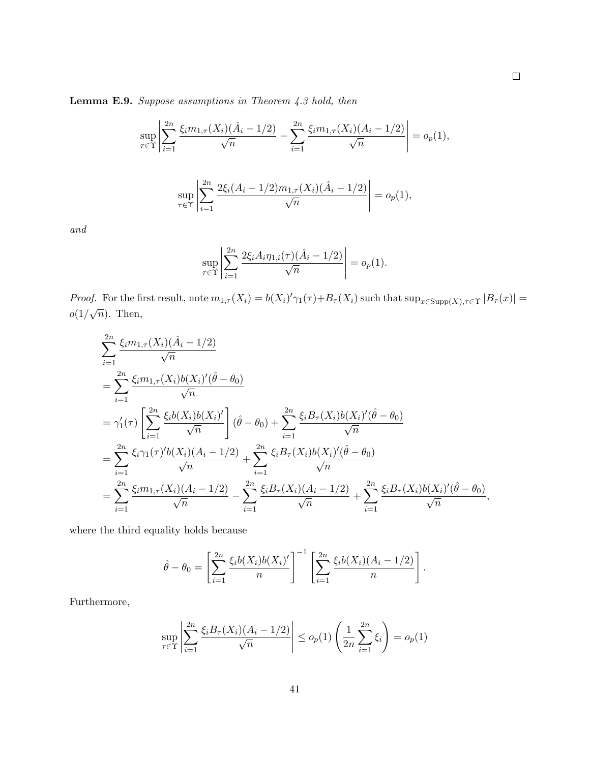Lemma E.9. Suppose assumptions in Theorem 4.3 hold, then

$$
\sup_{\tau \in \Upsilon} \left| \sum_{i=1}^{2n} \frac{\xi_i m_{1,\tau}(X_i)(\hat{A}_i - 1/2)}{\sqrt{n}} - \sum_{i=1}^{2n} \frac{\xi_i m_{1,\tau}(X_i)(A_i - 1/2)}{\sqrt{n}} \right| = o_p(1),
$$

$$
\sup_{\tau \in \Upsilon} \left| \sum_{i=1}^{2n} \frac{2\xi_i (A_i - 1/2) m_{1,\tau}(X_i) (\hat{A}_i - 1/2)}{\sqrt{n}} \right| = o_p(1),
$$

and

$$
\sup_{\tau \in \Upsilon} \left| \sum_{i=1}^{2n} \frac{2\xi_i A_i \eta_{1,i}(\tau) (\hat{A}_i - 1/2)}{\sqrt{n}} \right| = o_p(1).
$$

Proof. For the first result, note  $m_{1,\tau}(X_i) = b(X_i)'\gamma_1(\tau) + B_{\tau}(X_i)$  such that  $\sup_{x \in \text{Supp}(X), \tau \in \Upsilon} |B_{\tau}(x)| =$  $o(1/\sqrt{n})$ . Then,

$$
\sum_{i=1}^{2n} \frac{\xi_i m_{1,\tau}(X_i)(\hat{A}_i - 1/2)}{\sqrt{n}} \n= \sum_{i=1}^{2n} \frac{\xi_i m_{1,\tau}(X_i)b(X_i)'(\hat{\theta} - \theta_0)}{\sqrt{n}} \n= \gamma'_1(\tau) \left[ \sum_{i=1}^{2n} \frac{\xi_i b(X_i)b(X_i)'}{\sqrt{n}} \right] (\hat{\theta} - \theta_0) + \sum_{i=1}^{2n} \frac{\xi_i B_{\tau}(X_i)b(X_i)'(\hat{\theta} - \theta_0)}{\sqrt{n}} \n= \sum_{i=1}^{2n} \frac{\xi_i \gamma_1(\tau)'b(X_i)(A_i - 1/2)}{\sqrt{n}} + \sum_{i=1}^{2n} \frac{\xi_i B_{\tau}(X_i)b(X_i)'(\hat{\theta} - \theta_0)}{\sqrt{n}} \n= \sum_{i=1}^{2n} \frac{\xi_i m_{1,\tau}(X_i)(A_i - 1/2)}{\sqrt{n}} - \sum_{i=1}^{2n} \frac{\xi_i B_{\tau}(X_i)(A_i - 1/2)}{\sqrt{n}} + \sum_{i=1}^{2n} \frac{\xi_i B_{\tau}(X_i)b(X_i)'(\hat{\theta} - \theta_0)}{\sqrt{n}},
$$

where the third equality holds because

$$
\hat{\theta} - \theta_0 = \left[ \sum_{i=1}^{2n} \frac{\xi_i b(X_i) b(X_i)'}{n} \right]^{-1} \left[ \sum_{i=1}^{2n} \frac{\xi_i b(X_i) (A_i - 1/2)}{n} \right].
$$

Furthermore,

$$
\sup_{\tau \in \Upsilon} \left| \sum_{i=1}^{2n} \frac{\xi_i B_{\tau}(X_i)(A_i - 1/2)}{\sqrt{n}} \right| \le o_p(1) \left( \frac{1}{2n} \sum_{i=1}^{2n} \xi_i \right) = o_p(1)
$$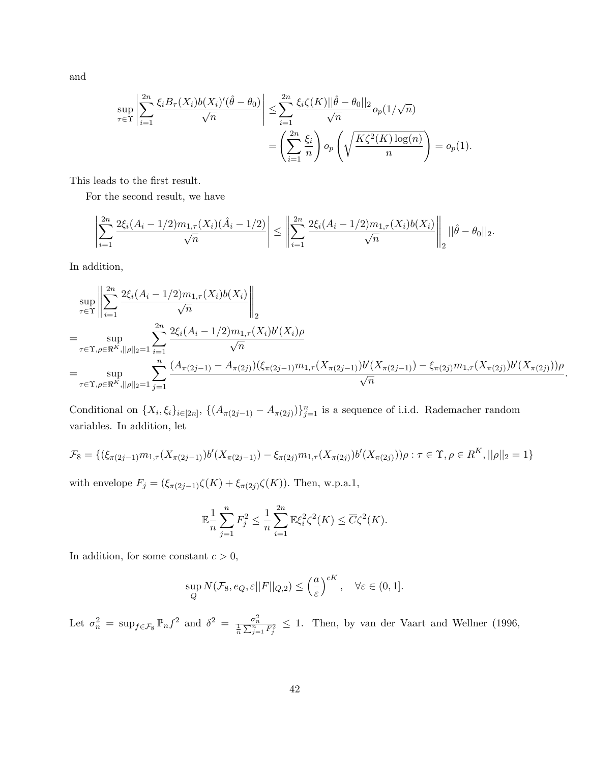and

$$
\sup_{\tau \in \Upsilon} \left| \sum_{i=1}^{2n} \frac{\xi_i B_{\tau}(X_i) b(X_i)'(\hat{\theta} - \theta_0)}{\sqrt{n}} \right| \leq \sum_{i=1}^{2n} \frac{\xi_i \zeta(K) ||\hat{\theta} - \theta_0||_2}{\sqrt{n}} o_p(1/\sqrt{n})
$$

$$
= \left( \sum_{i=1}^{2n} \frac{\xi_i}{n} \right) o_p\left(\sqrt{\frac{K\zeta^2(K) \log(n)}{n}}\right) = o_p(1).
$$

This leads to the first result.

For the second result, we have

$$
\left|\sum_{i=1}^{2n} \frac{2\xi_i(A_i - 1/2)m_{1,\tau}(X_i)(\hat{A}_i - 1/2)}{\sqrt{n}}\right| \leq \left\|\sum_{i=1}^{2n} \frac{2\xi_i(A_i - 1/2)m_{1,\tau}(X_i)b(X_i)}{\sqrt{n}}\right\|_2 ||\hat{\theta} - \theta_0||_2.
$$

In addition,

$$
\sup_{\tau \in \Upsilon} \left\| \sum_{i=1}^{2n} \frac{2\xi_i (A_i - 1/2) m_{1,\tau}(X_i) b(X_i)}{\sqrt{n}} \right\|_2
$$
\n
$$
= \sup_{\tau \in \Upsilon, \rho \in \Re^K, ||\rho||_2 = 1} \sum_{i=1}^{2n} \frac{2\xi_i (A_i - 1/2) m_{1,\tau}(X_i) b'(X_i) \rho}{\sqrt{n}}
$$
\n
$$
= \sup_{\tau \in \Upsilon, \rho \in \Re^K, ||\rho||_2 = 1} \sum_{j=1}^n \frac{(A_{\pi(2j-1)} - A_{\pi(2j)})(\xi_{\pi(2j-1)} m_{1,\tau}(X_{\pi(2j-1)}) b'(X_{\pi(2j-1)}) - \xi_{\pi(2j)} m_{1,\tau}(X_{\pi(2j)}) b'(X_{\pi(2j)})) \rho}{\sqrt{n}}.
$$

Conditional on  $\{X_i, \xi_i\}_{i\in[2n]}, \{(\overline{A}_{\pi(2j-1)} - A_{\pi(2j)})\}_{j=1}^n$  is a sequence of i.i.d. Rademacher random variables. In addition, let

$$
\mathcal{F}_8 = \{ (\xi_{\pi(2j-1)} m_{1,\tau}(X_{\pi(2j-1)}) b'(X_{\pi(2j-1)}) - \xi_{\pi(2j)} m_{1,\tau}(X_{\pi(2j)}) b'(X_{\pi(2j)})) \rho : \tau \in \Upsilon, \rho \in R^K, ||\rho||_2 = 1 \}
$$

with envelope  $F_j = (\xi_{\pi(2j-1)}\zeta(K) + \xi_{\pi(2j)}\zeta(K)).$  Then, w.p.a.1,

$$
\mathbb{E}\frac{1}{n}\sum_{j=1}^{n}F_{j}^{2} \leq \frac{1}{n}\sum_{i=1}^{2n}\mathbb{E}\xi_{i}^{2}\zeta^{2}(K) \leq \overline{C}\zeta^{2}(K).
$$

In addition, for some constant  $c > 0$ ,

$$
\sup_{Q} N(\mathcal{F}_8, e_Q, \varepsilon ||F||_{Q,2}) \le \left(\frac{a}{\varepsilon}\right)^{cK}, \quad \forall \varepsilon \in (0,1].
$$

Let  $\sigma_n^2 = \sup_{f \in \mathcal{F}_8} \mathbb{P}_n f^2$  and  $\delta^2 = \frac{\sigma_n^2}{\frac{1}{n} \sum_{j=1}^n F_j^2} \leq 1$ . Then, by van der Vaart and Wellner (1996,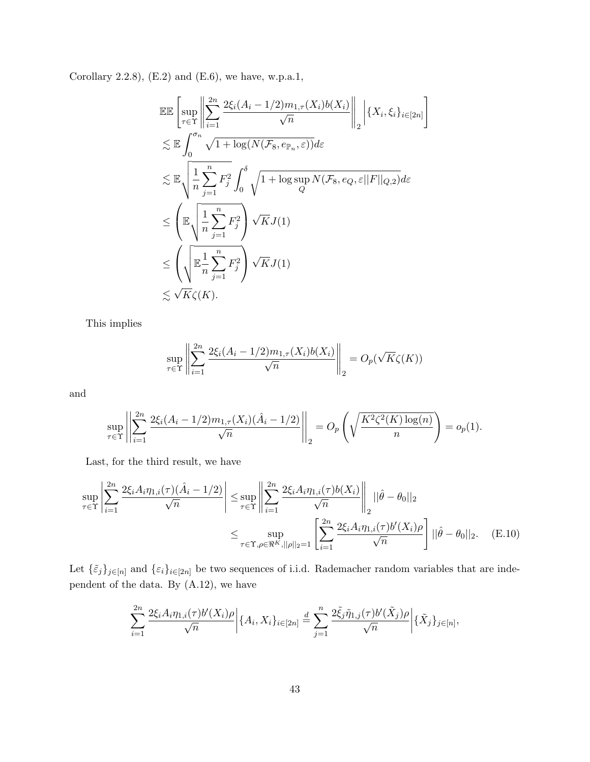Corollary 2.2.8),  $(E.2)$  and  $(E.6)$ , we have, w.p.a.1,

$$
\begin{split}\n&\mathbb{E}\mathbb{E}\left[\sup_{\tau\in\Upsilon}\left\|\sum_{i=1}^{2n}\frac{2\xi_i(A_i-1/2)m_{1,\tau}(X_i)b(X_i)}{\sqrt{n}}\right\|_2\right|\{X_i,\xi_i\}_{i\in[2n]}\right] \\
&\lesssim \mathbb{E}\int_0^{\sigma_n}\sqrt{1+\log(N(\mathcal{F}_8,e_{\mathbb{P}_n},\varepsilon))}d\varepsilon \\
&\lesssim \mathbb{E}\sqrt{\frac{1}{n}\sum_{j=1}^nF_j^2}\int_0^{\delta}\sqrt{1+\log\sup_Q N(\mathcal{F}_8,e_Q,\varepsilon||F||_{Q,2})}d\varepsilon \\
&\leq \left(\mathbb{E}\sqrt{\frac{1}{n}\sum_{j=1}^nF_j^2}\right)\sqrt{K}J(1) \\
&\lesssim \left(\sqrt{\mathbb{E}\frac{1}{n}\sum_{j=1}^nF_j^2}\right)\sqrt{K}J(1) \\
&\lesssim \sqrt{K}\zeta(K).\n\end{split}
$$

This implies

$$
\sup_{\tau \in \Upsilon} \left\| \sum_{i=1}^{2n} \frac{2\xi_i (A_i - 1/2) m_{1,\tau}(X_i) b(X_i)}{\sqrt{n}} \right\|_2 = O_p(\sqrt{K}\zeta(K))
$$

and

$$
\sup_{\tau \in \Upsilon} \left| \left| \sum_{i=1}^{2n} \frac{2\xi_i (A_i - 1/2) m_{1,\tau}(X_i) (\hat{A}_i - 1/2)}{\sqrt{n}} \right| \right|_2 = O_p\left(\sqrt{\frac{K^2 \zeta^2(K) \log(n)}{n}}\right) = o_p(1).
$$

Last, for the third result, we have

$$
\sup_{\tau \in \Upsilon} \left| \sum_{i=1}^{2n} \frac{2\xi_i A_i \eta_{1,i}(\tau)(\hat{A}_i - 1/2)}{\sqrt{n}} \right| \leq \sup_{\tau \in \Upsilon} \left\| \sum_{i=1}^{2n} \frac{2\xi_i A_i \eta_{1,i}(\tau) b(X_i)}{\sqrt{n}} \right\|_2 ||\hat{\theta} - \theta_0||_2
$$
  

$$
\leq \sup_{\tau \in \Upsilon, \rho \in \mathfrak{R}^K, ||\rho||_2 = 1} \left[ \sum_{i=1}^{2n} \frac{2\xi_i A_i \eta_{1,i}(\tau) b'(X_i)\rho}{\sqrt{n}} \right] ||\hat{\theta} - \theta_0||_2.
$$
 (E.10)

Let  $\{\tilde{\varepsilon}_j\}_{j\in[n]}$  and  $\{\varepsilon_i\}_{i\in[2n]}$  be two sequences of i.i.d. Rademacher random variables that are independent of the data. By (A.12), we have

$$
\sum_{i=1}^{2n} \frac{2\xi_i A_i \eta_{1,i}(\tau) b'(X_i)\rho}{\sqrt{n}} \bigg| \{A_i, X_i\}_{i \in [2n]} \stackrel{d}{=} \sum_{j=1}^{n} \frac{2\xi_j \tilde{\eta}_{1,j}(\tau) b'(\tilde{X}_j)\rho}{\sqrt{n}} \bigg| \{\tilde{X}_j\}_{j \in [n]},
$$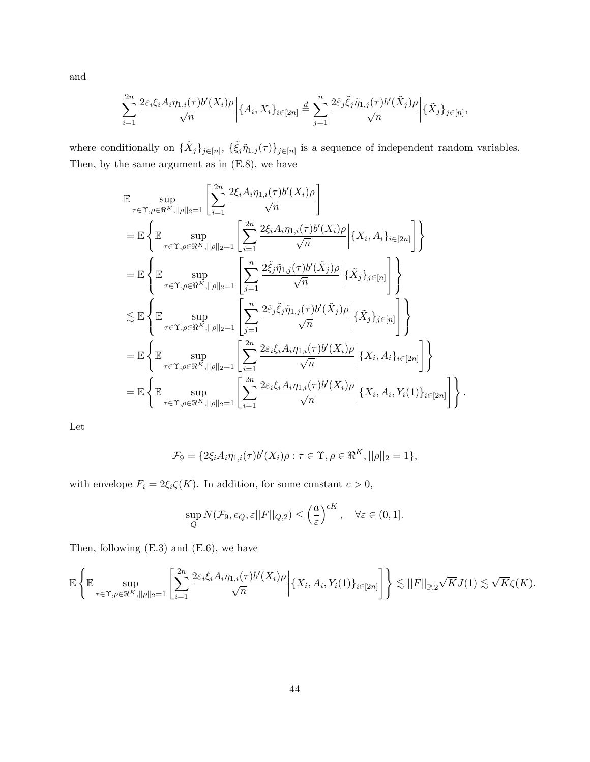and

$$
\sum_{i=1}^{2n} \frac{2\varepsilon_i \xi_i A_i \eta_{1,i}(\tau) b'(X_i)\rho}{\sqrt{n}} \left| \{A_i, X_i\}_{i \in [2n]} \right| \leq \sum_{j=1}^{n} \frac{2\tilde{\varepsilon}_j \tilde{\xi}_j \tilde{\eta}_{1,j}(\tau) b'(\tilde{X}_j)\rho}{\sqrt{n}} \left| \{\tilde{X}_j\}_{j \in [n]},
$$

where conditionally on  $\{\tilde{X}_j\}_{j\in[n]}, \{\tilde{\xi}_j\tilde{\eta}_{1,j}(\tau)\}_{j\in[n]}$  is a sequence of independent random variables. Then, by the same argument as in (E.8), we have

$$
\mathbb{E} \sup_{\tau \in \Upsilon, \rho \in \mathfrak{R}^K, ||\rho||_2 = 1} \left[ \sum_{i=1}^{2n} \frac{2\xi_i A_i \eta_{1,i}(\tau) b'(X_i) \rho}{\sqrt{n}} \right]
$$
\n
$$
= \mathbb{E} \left\{ \mathbb{E} \sup_{\tau \in \Upsilon, \rho \in \mathfrak{R}^K, ||\rho||_2 = 1} \left[ \sum_{i=1}^{2n} \frac{2\xi_i A_i \eta_{1,i}(\tau) b'(X_i) \rho}{\sqrt{n}} \Big| \{X_i, A_i\}_{i \in [2n]} \right] \right\}
$$
\n
$$
= \mathbb{E} \left\{ \mathbb{E} \sup_{\tau \in \Upsilon, \rho \in \mathfrak{R}^K, ||\rho||_2 = 1} \left[ \sum_{j=1}^n \frac{2\xi_j \tilde{\eta}_{1,j}(\tau) b'(\tilde{X}_j) \rho}{\sqrt{n}} \Big| \{\tilde{X}_j\}_{j \in [n]} \right] \right\}
$$
\n
$$
\leq \mathbb{E} \left\{ \mathbb{E} \sup_{\tau \in \Upsilon, \rho \in \mathfrak{R}^K, ||\rho||_2 = 1} \left[ \sum_{j=1}^n \frac{2\xi_j \tilde{\xi}_j \tilde{\eta}_{1,j}(\tau) b'(\tilde{X}_j) \rho}{\sqrt{n}} \Big| \{\tilde{X}_j\}_{j \in [n]} \right] \right\}
$$
\n
$$
= \mathbb{E} \left\{ \mathbb{E} \sup_{\tau \in \Upsilon, \rho \in \mathfrak{R}^K, ||\rho||_2 = 1} \left[ \sum_{i=1}^{2n} \frac{2\varepsilon_i \xi_i A_i \eta_{1,i}(\tau) b'(X_i) \rho}{\sqrt{n}} \Big| \{X_i, A_i\}_{i \in [2n]} \right] \right\}
$$
\n
$$
= \mathbb{E} \left\{ \mathbb{E} \sup_{\tau \in \Upsilon, \rho \in \mathfrak{R}^K, ||\rho||_2 = 1} \left[ \sum_{i=1}^{2n} \frac{2\varepsilon_i \xi_i A_i \eta_{1,i}(\tau) b'(X_i) \rho}{\sqrt{n}} \Big| \{X_i, A_i\}_{i \in [2n]}
$$

Let

$$
\mathcal{F}_9 = \{2\xi_i A_i \eta_{1,i}(\tau) b'(X_i)\rho : \tau \in \Upsilon, \rho \in \Re^K, ||\rho||_2 = 1\},\
$$

with envelope  $F_i = 2\xi_i\zeta(K)$ . In addition, for some constant  $c > 0$ ,

$$
\sup_{Q} N(\mathcal{F}_9, e_Q, \varepsilon ||F||_{Q,2}) \leq \left(\frac{a}{\varepsilon}\right)^{cK}, \quad \forall \varepsilon \in (0,1].
$$

Then, following (E.3) and (E.6), we have

$$
\mathbb{E}\left\{\mathbb{E}\sup_{\tau\in\Upsilon,\rho\in\Re^K,||\rho||_2=1}\left[\sum_{i=1}^{2n}\frac{2\varepsilon_i\xi_iA_i\eta_{1,i}(\tau)b'(X_i)\rho}{\sqrt{n}}\bigg|\{X_i,A_i,Y_i(1)\}_{i\in[2n]}\right]\right\}\lesssim||F||_{\overline{\mathbb{P}},2}\sqrt{K}J(1)\lesssim\sqrt{K}\zeta(K).
$$